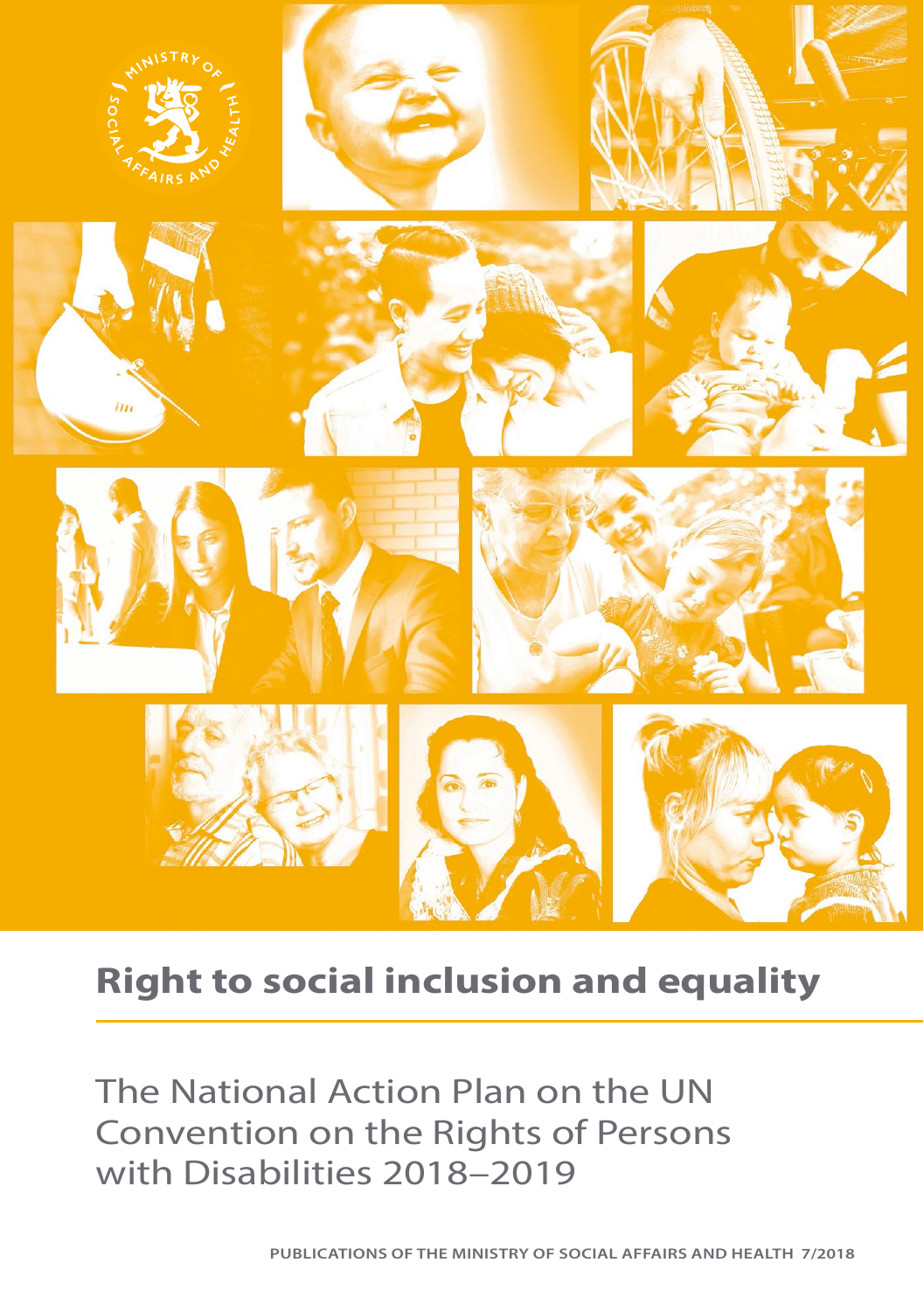

# **Right to social inclusion and equality**

The National Action Plan on the UN Convention on the Rights of Persons with Disabilities 2018–2019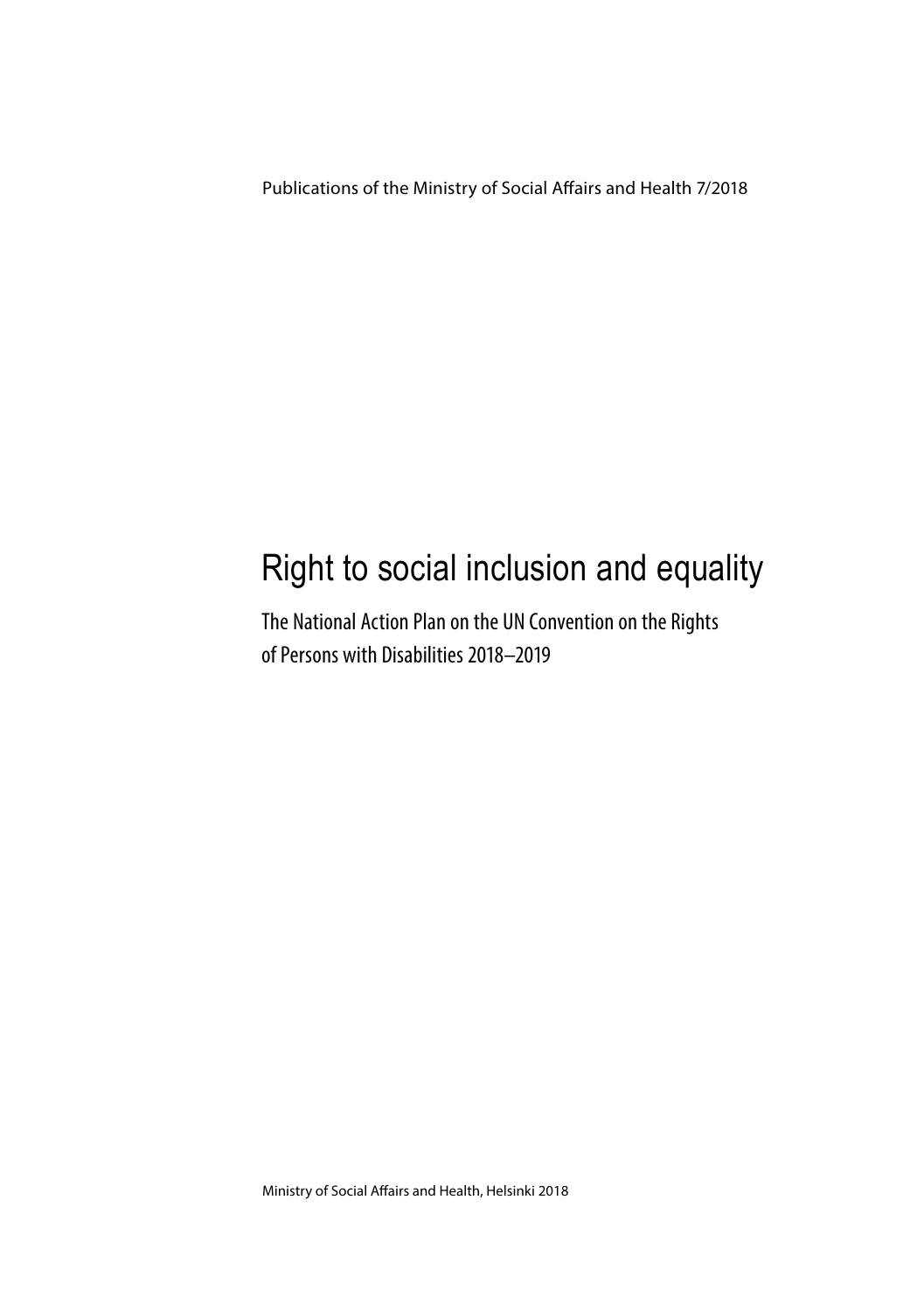Publications of the Ministry of Social Affairs and Health 7/2018

# Right to social inclusion and equality

The National Action Plan on the UN Convention on the Rights of Persons with Disabilities 2018–2019

Ministry of Social Affairs and Health, Helsinki 2018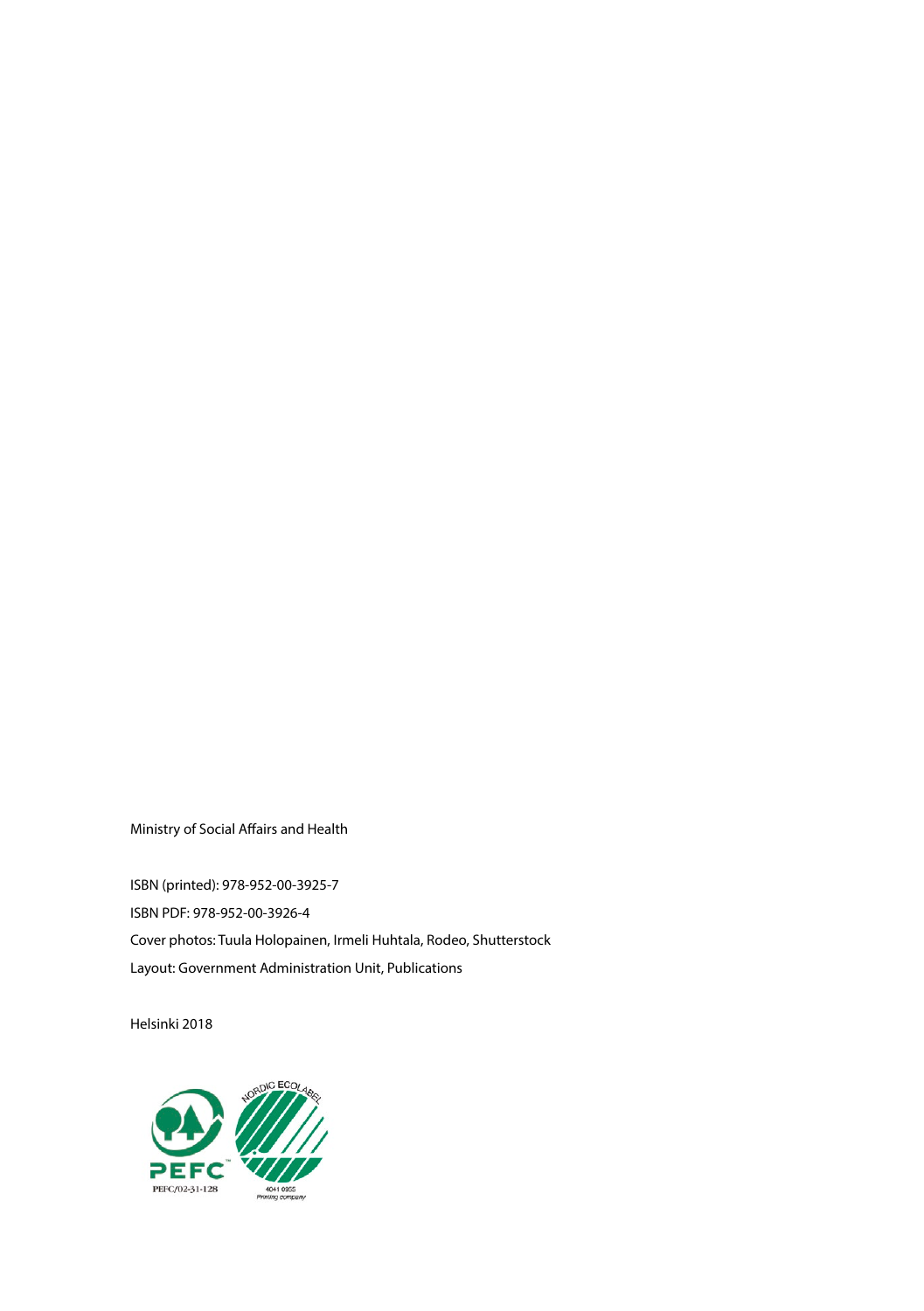Ministry of Social Affairs and Health

ISBN (printed): 978-952-00-3925-7 ISBN PDF: 978-952-00-3926-4 Cover photos: Tuula Holopainen, Irmeli Huhtala, Rodeo, Shutterstock Layout: Government Administration Unit, Publications

Helsinki 2018

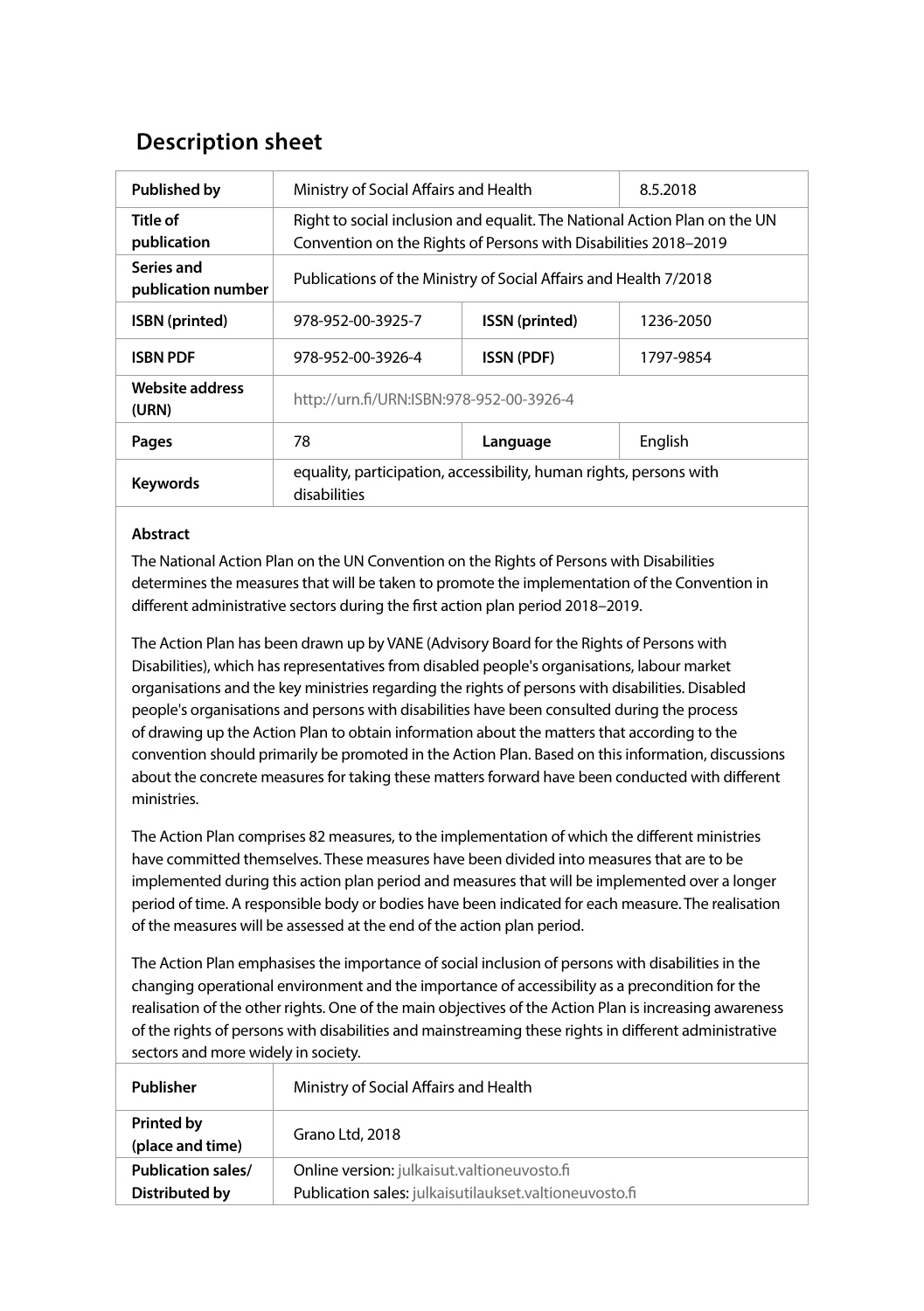## **Description sheet**

| <b>Published by</b>              | Ministry of Social Affairs and Health                                                                                                        |                       | 8.5.2018  |
|----------------------------------|----------------------------------------------------------------------------------------------------------------------------------------------|-----------------------|-----------|
| Title of<br>publication          | Right to social inclusion and equalit. The National Action Plan on the UN<br>Convention on the Rights of Persons with Disabilities 2018-2019 |                       |           |
| Series and<br>publication number | Publications of the Ministry of Social Affairs and Health 7/2018                                                                             |                       |           |
| <b>ISBN</b> (printed)            | 978-952-00-3925-7                                                                                                                            | <b>ISSN</b> (printed) | 1236-2050 |
| <b>ISBN PDF</b>                  | 978-952-00-3926-4                                                                                                                            | <b>ISSN (PDF)</b>     | 1797-9854 |
| Website address<br>(URN)         | http://urn.fi/URN:ISBN:978-952-00-3926-4                                                                                                     |                       |           |
| Pages                            | 78                                                                                                                                           | Language              | English   |
| <b>Keywords</b>                  | equality, participation, accessibility, human rights, persons with<br>disabilities                                                           |                       |           |

### **Abstract**

The National Action Plan on the UN Convention on the Rights of Persons with Disabilities determines the measures that will be taken to promote the implementation of the Convention in different administrative sectors during the first action plan period 2018–2019.

The Action Plan has been drawn up by VANE (Advisory Board for the Rights of Persons with Disabilities), which has representatives from disabled people's organisations, labour market organisations and the key ministries regarding the rights of persons with disabilities. Disabled people's organisations and persons with disabilities have been consulted during the process of drawing up the Action Plan to obtain information about the matters that according to the convention should primarily be promoted in the Action Plan. Based on this information, discussions about the concrete measures for taking these matters forward have been conducted with different ministries.

The Action Plan comprises 82 measures, to the implementation of which the different ministries have committed themselves. These measures have been divided into measures that are to be implemented during this action plan period and measures that will be implemented over a longer period of time. A responsible body or bodies have been indicated for each measure. The realisation of the measures will be assessed at the end of the action plan period.

The Action Plan emphasises the importance of social inclusion of persons with disabilities in the changing operational environment and the importance of accessibility as a precondition for the realisation of the other rights. One of the main objectives of the Action Plan is increasing awareness of the rights of persons with disabilities and mainstreaming these rights in different administrative sectors and more widely in society.

| Publisher                                   | Ministry of Social Affairs and Health                                                                 |
|---------------------------------------------|-------------------------------------------------------------------------------------------------------|
| <b>Printed by</b><br>(place and time)       | Grano Ltd, 2018                                                                                       |
| <b>Publication sales/</b><br>Distributed by | Online version: julkaisut.valtioneuvosto.fi<br>Publication sales: julkaisutilaukset.valtioneuvosto.fi |
|                                             |                                                                                                       |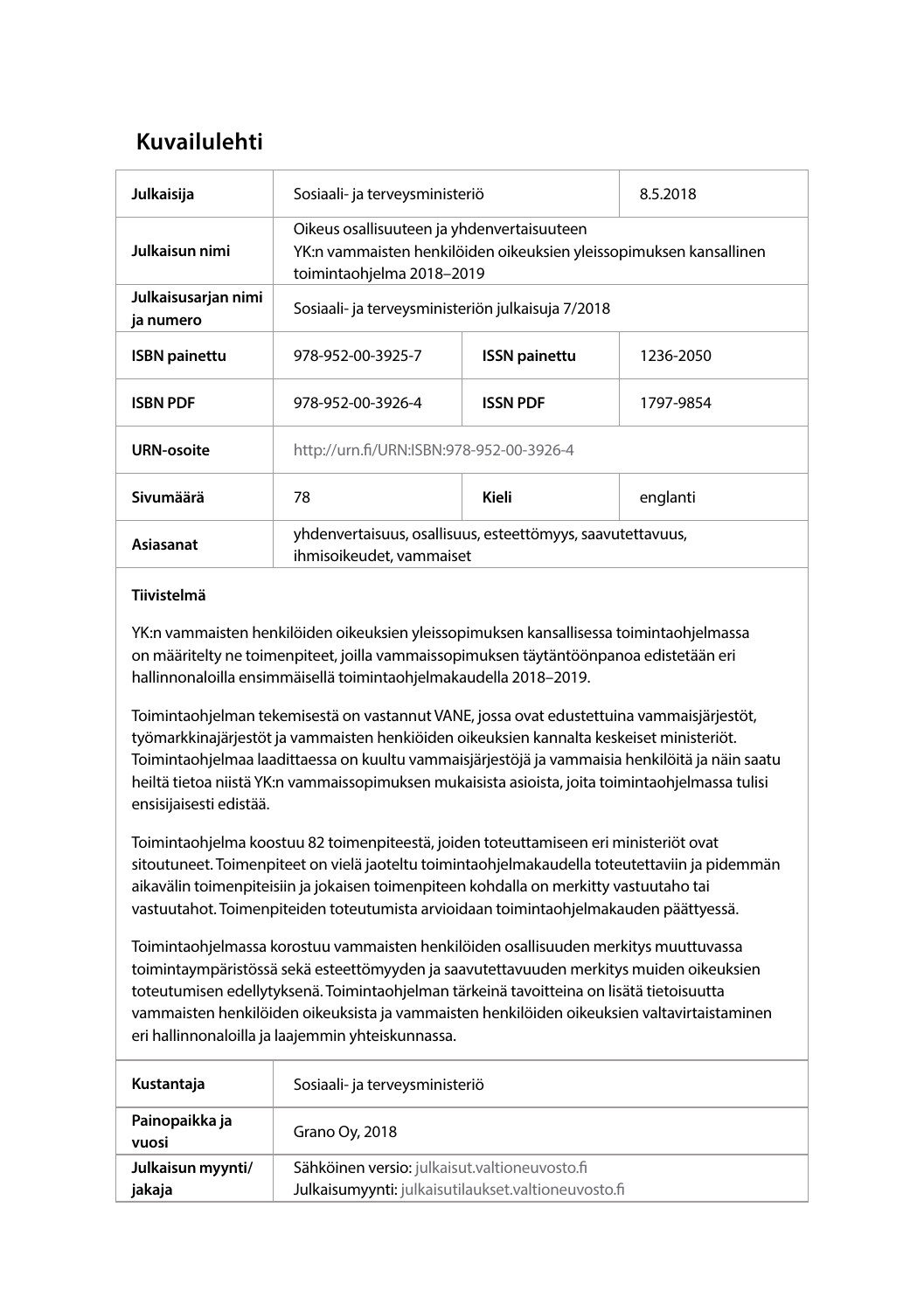## **Kuvailulehti**

| Julkaisija                       | Sosiaali- ja terveysministeriö                                                                                                                |                      | 8.5.2018  |
|----------------------------------|-----------------------------------------------------------------------------------------------------------------------------------------------|----------------------|-----------|
| Julkaisun nimi                   | Oikeus osallisuuteen ja yhdenvertaisuuteen<br>YK:n vammaisten henkilöiden oikeuksien yleissopimuksen kansallinen<br>toimintaohjelma 2018–2019 |                      |           |
| Julkaisusarjan nimi<br>ja numero | Sosiaali- ja terveysministeriön julkaisuja 7/2018                                                                                             |                      |           |
| <b>ISBN</b> painettu             | 978-952-00-3925-7                                                                                                                             | <b>ISSN painettu</b> | 1236-2050 |
| <b>ISBN PDF</b>                  | 978-952-00-3926-4                                                                                                                             | <b>ISSN PDF</b>      | 1797-9854 |
| <b>URN-osoite</b>                | http://urn.fi/URN:ISBN:978-952-00-3926-4                                                                                                      |                      |           |
| Sivumäärä                        | 78                                                                                                                                            | Kieli                | englanti  |
| Asiasanat                        | yhdenvertaisuus, osallisuus, esteettömyys, saavutettavuus,<br>ihmisoikeudet, vammaiset                                                        |                      |           |

### **Tiivistelmä**

YK:n vammaisten henkilöiden oikeuksien yleissopimuksen kansallisessa toimintaohjelmassa on määritelty ne toimenpiteet, joilla vammaissopimuksen täytäntöönpanoa edistetään eri hallinnonaloilla ensimmäisellä toimintaohjelmakaudella 2018–2019.

Toimintaohjelman tekemisestä on vastannut VANE, jossa ovat edustettuina vammaisjärjestöt, työmarkkinajärjestöt ja vammaisten henkiöiden oikeuksien kannalta keskeiset ministeriöt. Toimintaohjelmaa laadittaessa on kuultu vammaisjärjestöjä ja vammaisia henkilöitä ja näin saatu heiltä tietoa niistä YK:n vammaissopimuksen mukaisista asioista, joita toimintaohjelmassa tulisi ensisijaisesti edistää.

Toimintaohjelma koostuu 82 toimenpiteestä, joiden toteuttamiseen eri ministeriöt ovat sitoutuneet. Toimenpiteet on vielä jaoteltu toimintaohjelmakaudella toteutettaviin ja pidemmän aikavälin toimenpiteisiin ja jokaisen toimenpiteen kohdalla on merkitty vastuutaho tai vastuutahot. Toimenpiteiden toteutumista arvioidaan toimintaohjelmakauden päättyessä.

Toimintaohjelmassa korostuu vammaisten henkilöiden osallisuuden merkitys muuttuvassa toimintaympäristössä sekä esteettömyyden ja saavutettavuuden merkitys muiden oikeuksien toteutumisen edellytyksenä. Toimintaohjelman tärkeinä tavoitteina on lisätä tietoisuutta vammaisten henkilöiden oikeuksista ja vammaisten henkilöiden oikeuksien valtavirtaistaminen eri hallinnonaloilla ja laajemmin yhteiskunnassa.

| Kustantaja                  | Sosiaali- ja terveysministeriö                                                                       |
|-----------------------------|------------------------------------------------------------------------------------------------------|
| Painopaikka ja<br>vuosi     | Grano Oy, 2018                                                                                       |
| Julkaisun myynti/<br>jakaja | Sähköinen versio: julkaisut.valtioneuvosto.fi<br>Julkaisumyynti: julkaisutilaukset.valtioneuvosto.fi |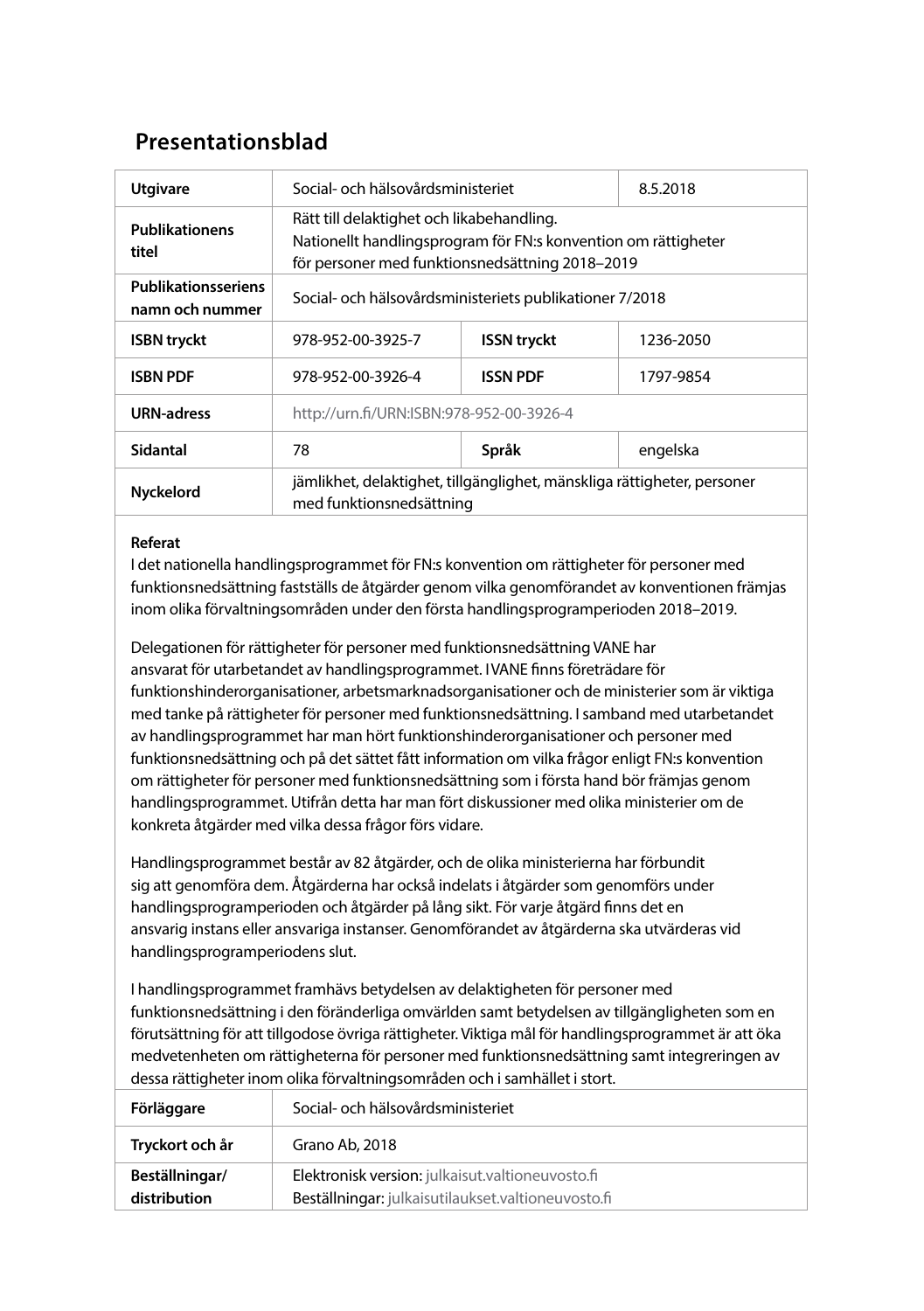### **Presentationsblad**

| <b>Utgivare</b>                               | Social- och hälsovårdsministeriet                                                                                                                              |                    | 8.5.2018  |
|-----------------------------------------------|----------------------------------------------------------------------------------------------------------------------------------------------------------------|--------------------|-----------|
| <b>Publikationens</b><br>titel                | Rätt till delaktighet och likabehandling.<br>Nationellt handlingsprogram för FN:s konvention om rättigheter<br>för personer med funktionsnedsättning 2018–2019 |                    |           |
| <b>Publikationsseriens</b><br>namn och nummer | Social- och hälsovårdsministeriets publikationer 7/2018                                                                                                        |                    |           |
| <b>ISBN</b> tryckt                            | 978-952-00-3925-7                                                                                                                                              | <b>ISSN tryckt</b> | 1236-2050 |
| <b>ISBN PDF</b>                               | 978-952-00-3926-4                                                                                                                                              | <b>ISSN PDF</b>    | 1797-9854 |
| <b>URN-adress</b>                             | http://urn.fi/URN:ISBN:978-952-00-3926-4                                                                                                                       |                    |           |
| Sidantal                                      | 78                                                                                                                                                             | Språk              | engelska  |
| <b>Nyckelord</b>                              | jämlikhet, delaktighet, tillgänglighet, mänskliga rättigheter, personer<br>med funktionsnedsättning                                                            |                    |           |

### **Referat**

I det nationella handlingsprogrammet för FN:s konvention om rättigheter för personer med funktionsnedsättning fastställs de åtgärder genom vilka genomförandet av konventionen främjas inom olika förvaltningsområden under den första handlingsprogramperioden 2018–2019.

Delegationen för rättigheter för personer med funktionsnedsättning VANE har ansvarat för utarbetandet av handlingsprogrammet. IVANE finns företrädare för funktionshinderorganisationer, arbetsmarknadsorganisationer och de ministerier som är viktiga med tanke på rättigheter för personer med funktionsnedsättning. I samband med utarbetandet av handlingsprogrammet har man hört funktionshinderorganisationer och personer med funktionsnedsättning och på det sättet fått information om vilka frågor enligt FN:s konvention om rättigheter för personer med funktionsnedsättning som i första hand bör främjas genom handlingsprogrammet. Utifrån detta har man fört diskussioner med olika ministerier om de konkreta åtgärder med vilka dessa frågor förs vidare.

Handlingsprogrammet består av 82 åtgärder, och de olika ministerierna har förbundit sig att genomföra dem. Åtgärderna har också indelats i åtgärder som genomförs under handlingsprogramperioden och åtgärder på lång sikt. För varje åtgärd finns det en ansvarig instans eller ansvariga instanser. Genomförandet av åtgärderna ska utvärderas vid handlingsprogramperiodens slut.

I handlingsprogrammet framhävs betydelsen av delaktigheten för personer med funktionsnedsättning i den föränderliga omvärlden samt betydelsen av tillgängligheten som en förutsättning för att tillgodose övriga rättigheter. Viktiga mål för handlingsprogrammet är att öka medvetenheten om rättigheterna för personer med funktionsnedsättning samt integreringen av dessa rättigheter inom olika förvaltningsområden och i samhället i stort.

| Förläggare                     | Social- och hälsovårdsministeriet                                                                      |
|--------------------------------|--------------------------------------------------------------------------------------------------------|
| Tryckort och år                | Grano Ab, 2018                                                                                         |
| Beställningar/<br>distribution | Elektronisk version: julkaisut.valtioneuvosto.fi<br>Beställningar: julkaisutilaukset.valtioneuvosto.fi |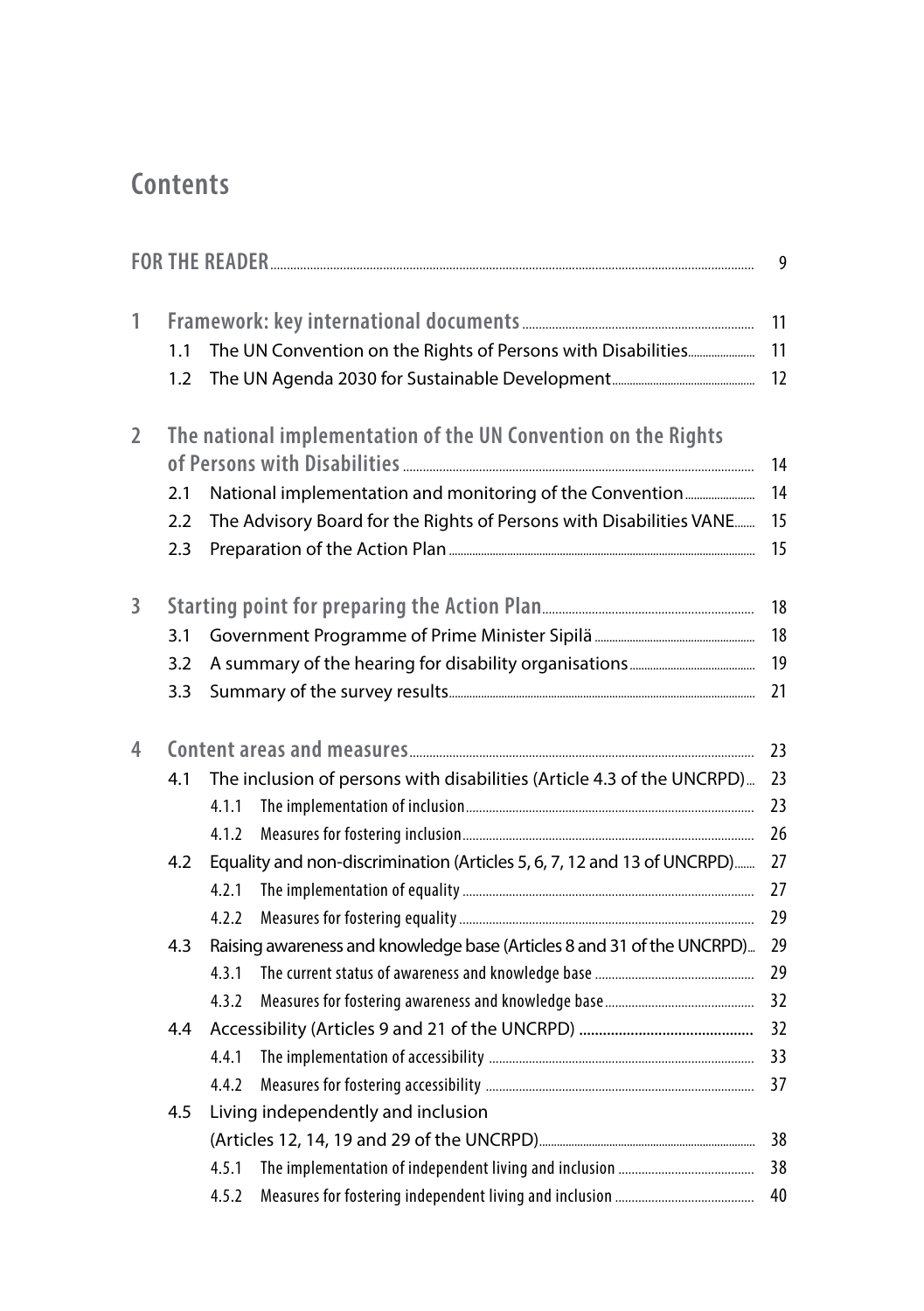# **Contents**

| 1<br>1.1<br>1.2<br>The national implementation of the UN Convention on the Rights<br>$\overline{2}$ | 11<br>11<br>12 |
|-----------------------------------------------------------------------------------------------------|----------------|
|                                                                                                     |                |
|                                                                                                     |                |
|                                                                                                     |                |
|                                                                                                     |                |
|                                                                                                     | 14             |
| National implementation and monitoring of the Convention<br>2.1                                     | 14             |
| The Advisory Board for the Rights of Persons with Disabilities VANE<br>2.2                          | 15             |
| 2.3                                                                                                 | 15             |
| 3                                                                                                   | 18             |
| 3.1                                                                                                 | 18             |
| 3.2                                                                                                 | 19             |
| 3.3                                                                                                 | 21             |
| 4                                                                                                   | 23             |
| The inclusion of persons with disabilities (Article 4.3 of the UNCRPD)<br>4.1                       | 23             |
| 4.1.1                                                                                               | 23             |
| 4.1.2                                                                                               | 26             |
| Equality and non-discrimination (Articles 5, 6, 7, 12 and 13 of UNCRPD)<br>4.2                      | 27             |
| 4.2.1                                                                                               | 27             |
| 4.2.2                                                                                               | 29             |
| Raising awareness and knowledge base (Articles 8 and 31 of the UNCRPD)<br>4.3                       | 29             |
| 4.3.1                                                                                               | 29             |
| 4.3.2                                                                                               | 32             |
| 4.4                                                                                                 | 32             |
| 4.4.1                                                                                               | 33             |
|                                                                                                     | 37             |
| 4.4.2                                                                                               |                |
| Living independently and inclusion<br>4.5                                                           |                |
|                                                                                                     | 38             |
| 4.5.1                                                                                               | 38             |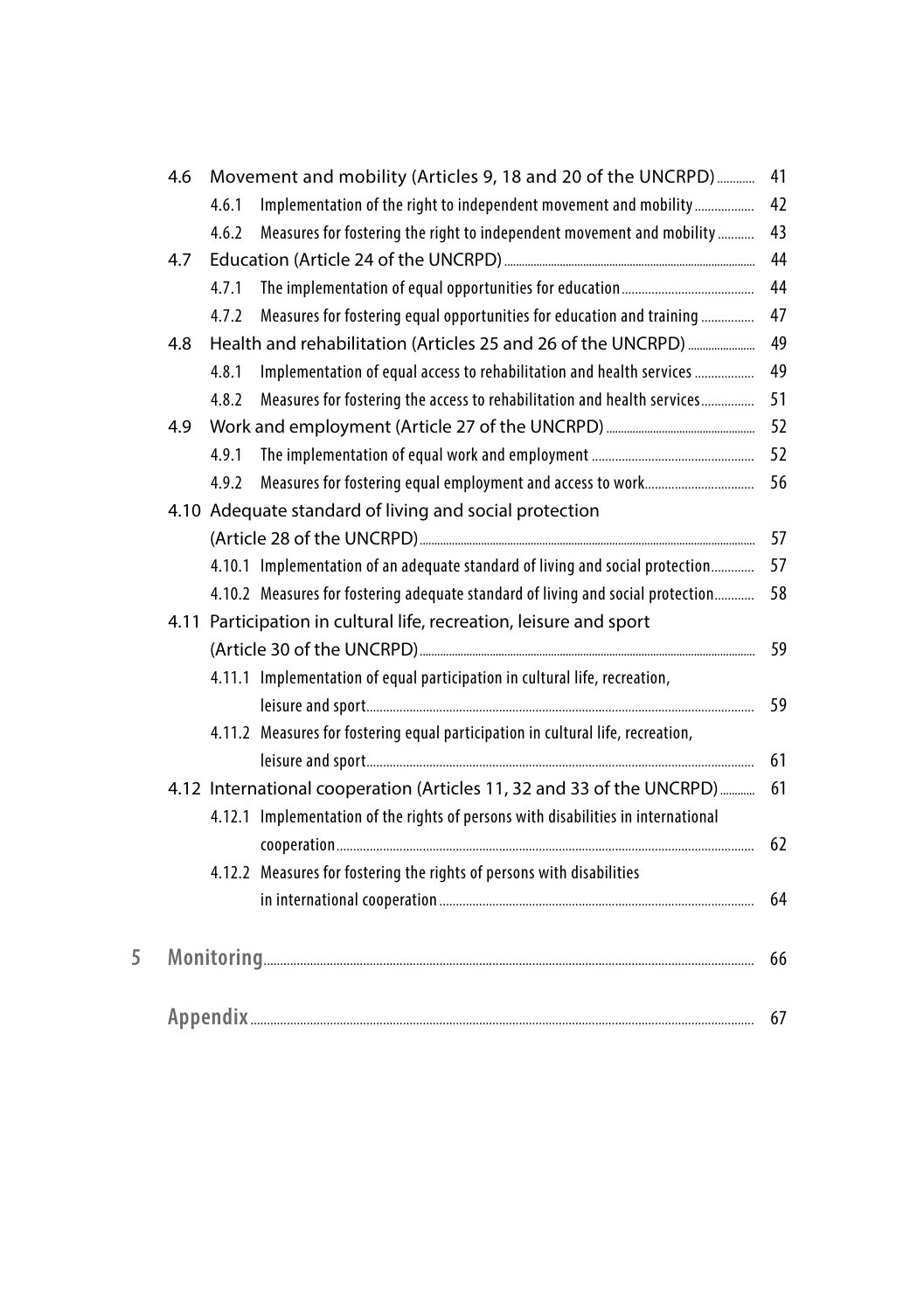|   | 4.6 |       | Movement and mobility (Articles 9, 18 and 20 of the UNCRPD)                       | 41 |
|---|-----|-------|-----------------------------------------------------------------------------------|----|
|   |     | 4.6.1 | Implementation of the right to independent movement and mobility                  | 42 |
|   |     | 4.6.2 | Measures for fostering the right to independent movement and mobility             | 43 |
|   | 4.7 |       |                                                                                   | 44 |
|   |     | 4.7.1 |                                                                                   | 44 |
|   |     | 4.7.2 | Measures for fostering equal opportunities for education and training             | 47 |
|   | 4.8 |       |                                                                                   | 49 |
|   |     | 4.8.1 | Implementation of equal access to rehabilitation and health services              | 49 |
|   |     | 4.8.2 | Measures for fostering the access to rehabilitation and health services           | 51 |
|   | 4.9 |       |                                                                                   | 52 |
|   |     | 4.9.1 |                                                                                   | 52 |
|   |     | 4.9.2 |                                                                                   | 56 |
|   |     |       | 4.10 Adequate standard of living and social protection                            |    |
|   |     |       |                                                                                   | 57 |
|   |     |       | 4.10.1 Implementation of an adequate standard of living and social protection     | 57 |
|   |     |       | 4.10.2 Measures for fostering adequate standard of living and social protection   | 58 |
|   |     |       | 4.11 Participation in cultural life, recreation, leisure and sport                |    |
|   |     |       |                                                                                   | 59 |
|   |     |       | 4.11.1 Implementation of equal participation in cultural life, recreation,        |    |
|   |     |       |                                                                                   | 59 |
|   |     |       | 4.11.2 Measures for fostering equal participation in cultural life, recreation,   |    |
|   |     |       |                                                                                   | 61 |
|   |     |       | 4.12 International cooperation (Articles 11, 32 and 33 of the UNCRPD)             | 61 |
|   |     |       | 4.12.1 Implementation of the rights of persons with disabilities in international |    |
|   |     |       |                                                                                   | 62 |
|   |     |       | 4.12.2 Measures for fostering the rights of persons with disabilities             |    |
|   |     |       |                                                                                   | 64 |
|   |     |       |                                                                                   |    |
| 5 |     |       |                                                                                   |    |
|   |     |       |                                                                                   |    |
|   |     |       |                                                                                   | 67 |
|   |     |       |                                                                                   |    |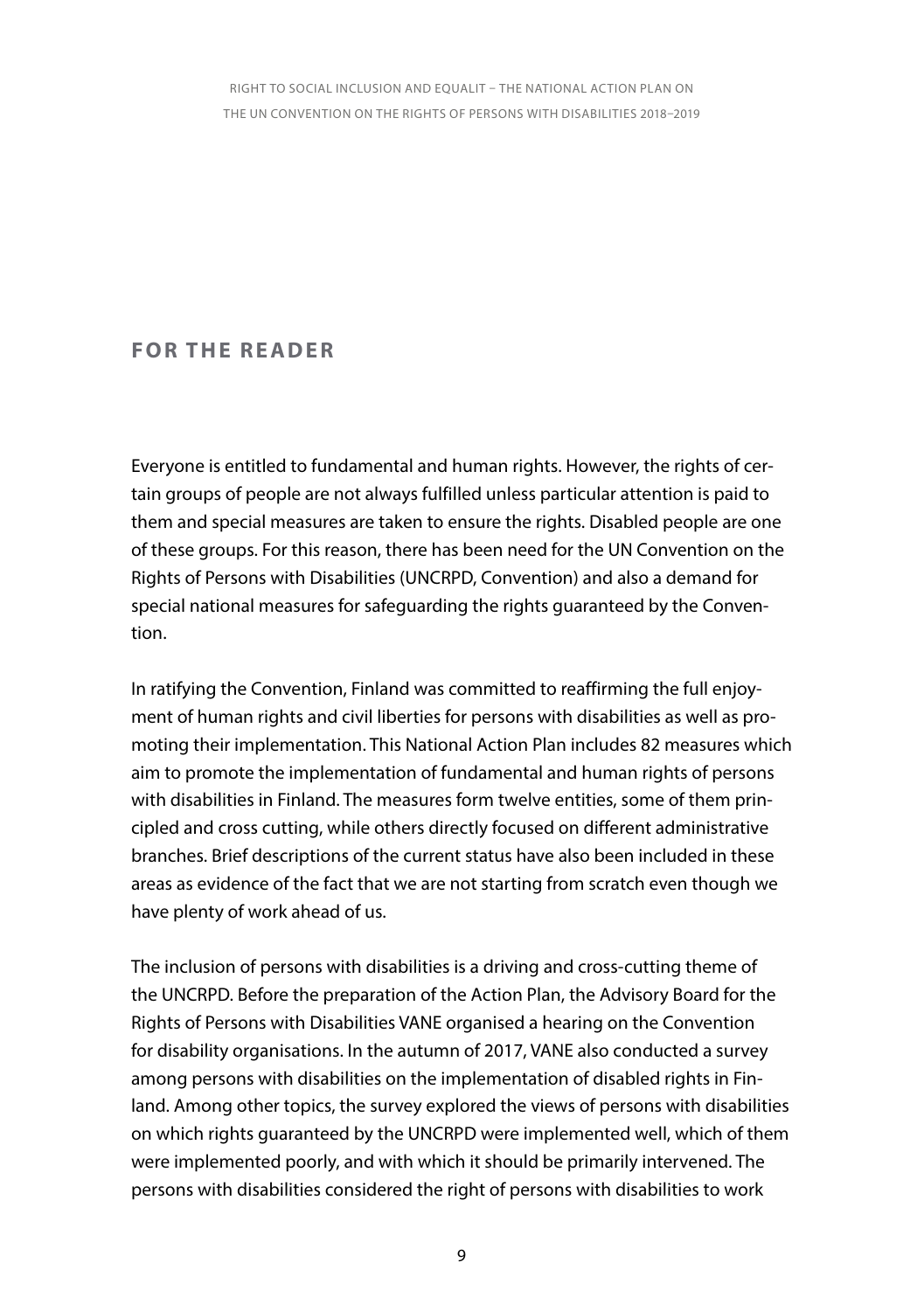### <span id="page-10-0"></span>**FOR THE READER**

Everyone is entitled to fundamental and human rights. However, the rights of certain groups of people are not always fulfilled unless particular attention is paid to them and special measures are taken to ensure the rights. Disabled people are one of these groups. For this reason, there has been need for the UN Convention on the Rights of Persons with Disabilities (UNCRPD, Convention) and also a demand for special national measures for safeguarding the rights guaranteed by the Convention.

In ratifying the Convention, Finland was committed to reaffirming the full enjoyment of human rights and civil liberties for persons with disabilities as well as promoting their implementation. This National Action Plan includes 82 measures which aim to promote the implementation of fundamental and human rights of persons with disabilities in Finland. The measures form twelve entities, some of them principled and cross cutting, while others directly focused on different administrative branches. Brief descriptions of the current status have also been included in these areas as evidence of the fact that we are not starting from scratch even though we have plenty of work ahead of us.

The inclusion of persons with disabilities is a driving and cross-cutting theme of the UNCRPD. Before the preparation of the Action Plan, the Advisory Board for the Rights of Persons with Disabilities VANE organised a hearing on the Convention for disability organisations. In the autumn of 2017, VANE also conducted a survey among persons with disabilities on the implementation of disabled rights in Finland. Among other topics, the survey explored the views of persons with disabilities on which rights guaranteed by the UNCRPD were implemented well, which of them were implemented poorly, and with which it should be primarily intervened. The persons with disabilities considered the right of persons with disabilities to work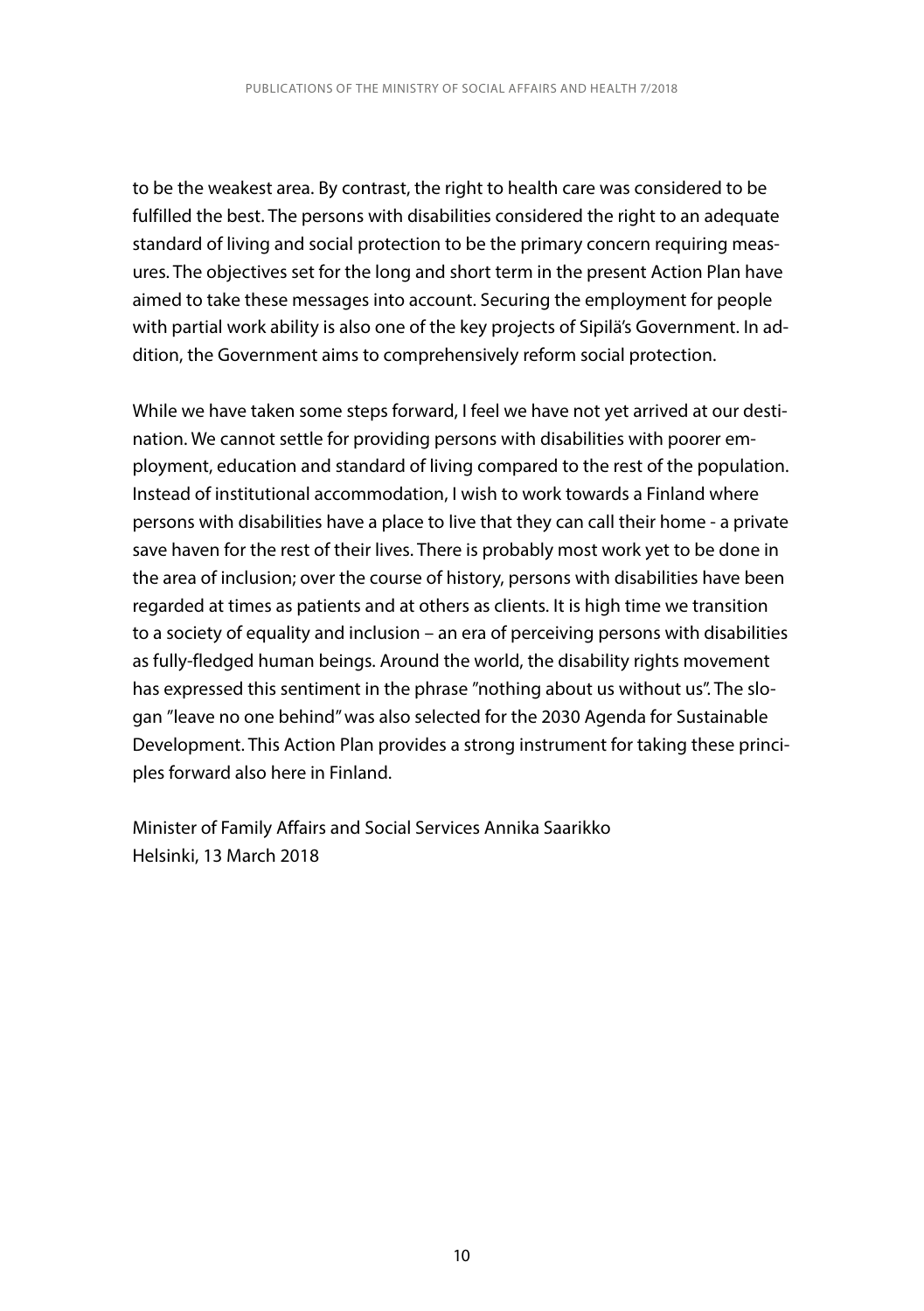to be the weakest area. By contrast, the right to health care was considered to be fulfilled the best. The persons with disabilities considered the right to an adequate standard of living and social protection to be the primary concern requiring measures. The objectives set for the long and short term in the present Action Plan have aimed to take these messages into account. Securing the employment for people with partial work ability is also one of the key projects of Sipilä's Government. In addition, the Government aims to comprehensively reform social protection.

While we have taken some steps forward, I feel we have not yet arrived at our destination. We cannot settle for providing persons with disabilities with poorer employment, education and standard of living compared to the rest of the population. Instead of institutional accommodation, I wish to work towards a Finland where persons with disabilities have a place to live that they can call their home - a private save haven for the rest of their lives. There is probably most work yet to be done in the area of inclusion; over the course of history, persons with disabilities have been regarded at times as patients and at others as clients. It is high time we transition to a society of equality and inclusion – an era of perceiving persons with disabilities as fully-fledged human beings. Around the world, the disability rights movement has expressed this sentiment in the phrase "nothing about us without us". The slogan "leave no one behind" was also selected for the 2030 Agenda for Sustainable Development. This Action Plan provides a strong instrument for taking these principles forward also here in Finland.

Minister of Family Affairs and Social Services Annika Saarikko Helsinki, 13 March 2018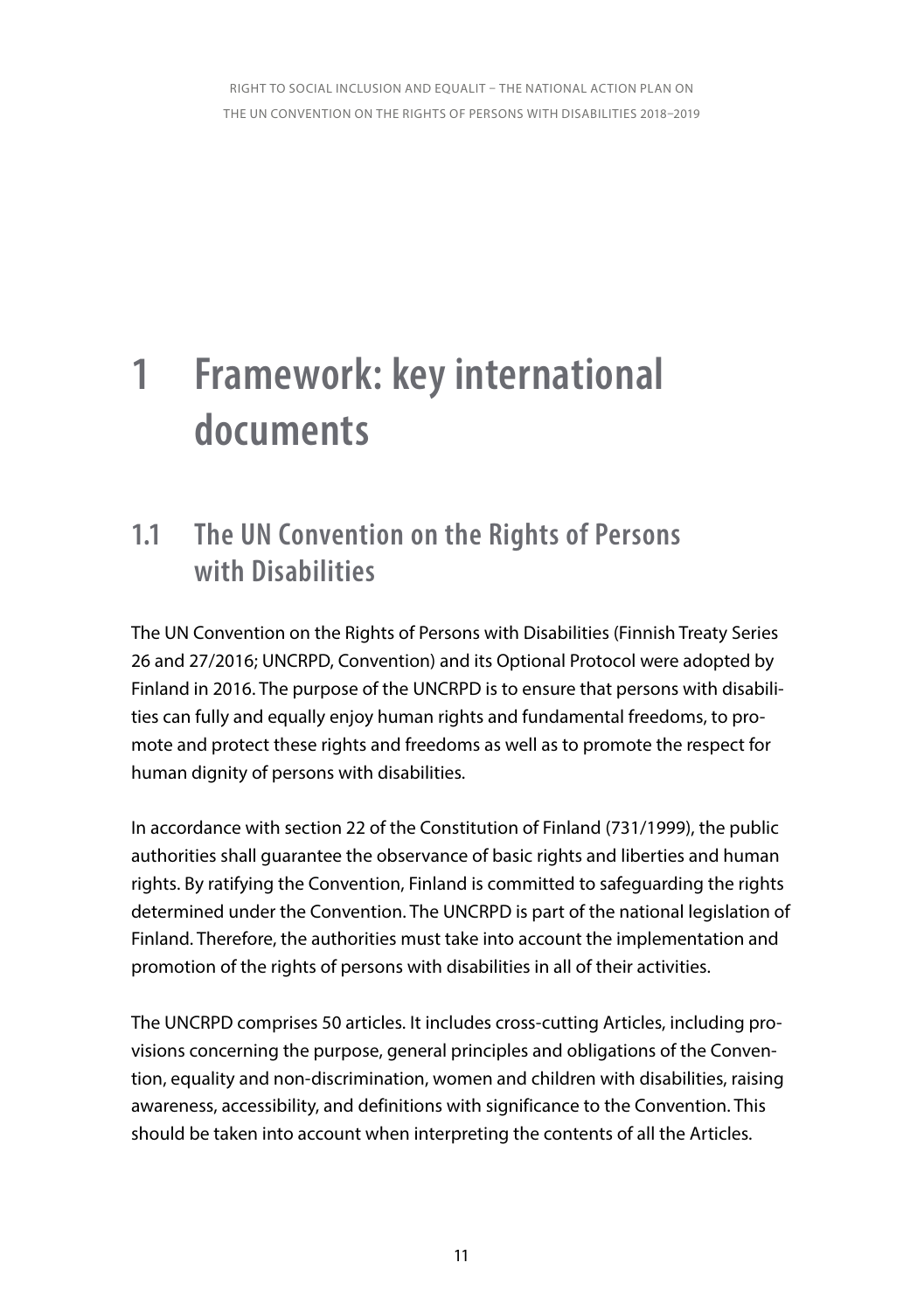# <span id="page-12-0"></span>**1 Framework: key international documents**

# **1.1 The UN Convention on the Rights of Persons with Disabilities**

The UN Convention on the Rights of Persons with Disabilities (Finnish Treaty Series 26 and 27/2016; UNCRPD, Convention) and its Optional Protocol were adopted by Finland in 2016. The purpose of the UNCRPD is to ensure that persons with disabilities can fully and equally enjoy human rights and fundamental freedoms, to promote and protect these rights and freedoms as well as to promote the respect for human dignity of persons with disabilities.

In accordance with section 22 of the Constitution of Finland (731/1999), the public authorities shall guarantee the observance of basic rights and liberties and human rights. By ratifying the Convention, Finland is committed to safeguarding the rights determined under the Convention. The UNCRPD is part of the national legislation of Finland. Therefore, the authorities must take into account the implementation and promotion of the rights of persons with disabilities in all of their activities.

The UNCRPD comprises 50 articles. It includes cross-cutting Articles, including provisions concerning the purpose, general principles and obligations of the Convention, equality and non-discrimination, women and children with disabilities, raising awareness, accessibility, and definitions with significance to the Convention. This should be taken into account when interpreting the contents of all the Articles.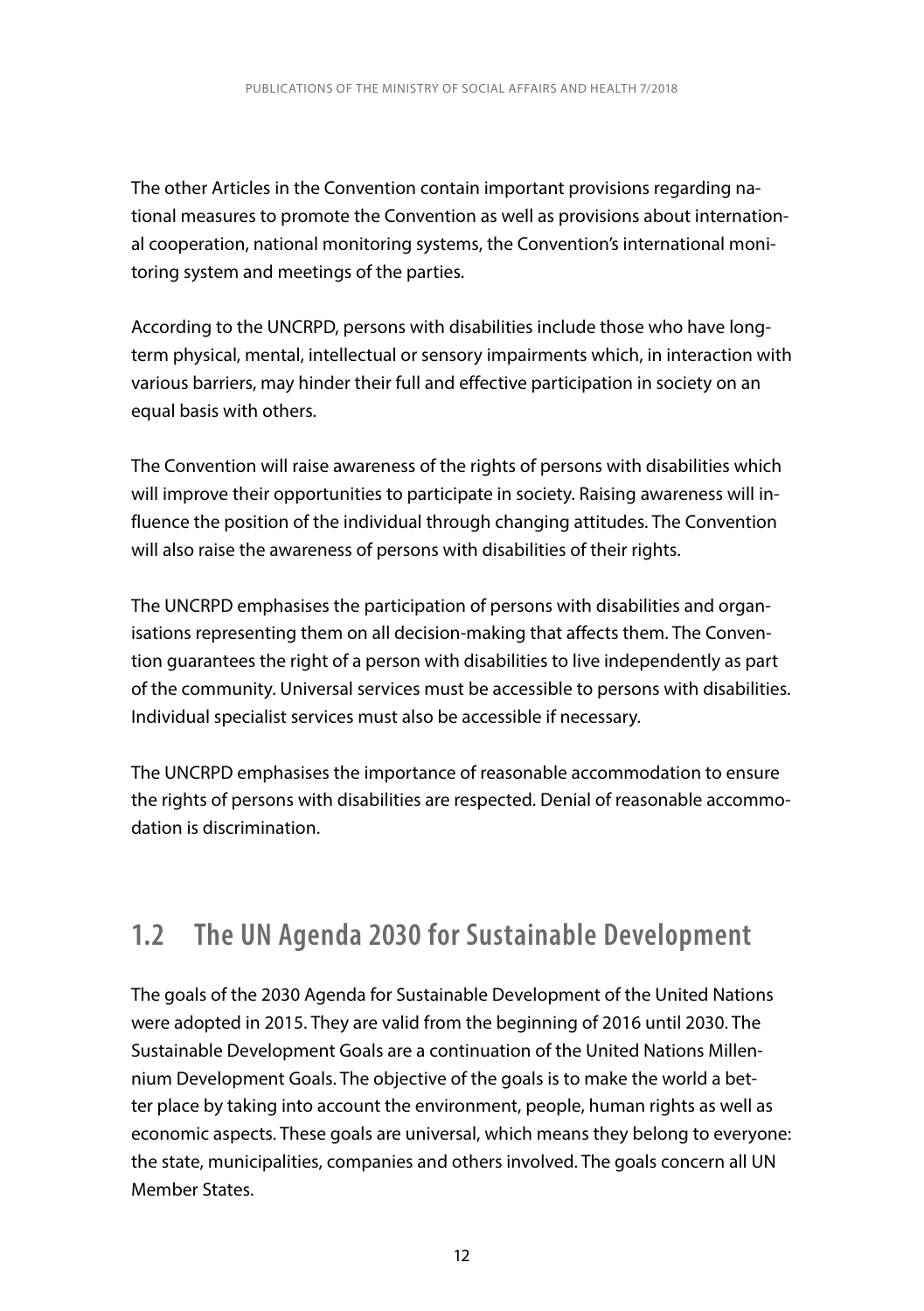<span id="page-13-0"></span>The other Articles in the Convention contain important provisions regarding national measures to promote the Convention as well as provisions about international cooperation, national monitoring systems, the Convention's international monitoring system and meetings of the parties.

According to the UNCRPD, persons with disabilities include those who have longterm physical, mental, intellectual or sensory impairments which, in interaction with various barriers, may hinder their full and effective participation in society on an equal basis with others.

The Convention will raise awareness of the rights of persons with disabilities which will improve their opportunities to participate in society. Raising awareness will influence the position of the individual through changing attitudes. The Convention will also raise the awareness of persons with disabilities of their rights.

The UNCRPD emphasises the participation of persons with disabilities and organisations representing them on all decision-making that affects them. The Convention guarantees the right of a person with disabilities to live independently as part of the community. Universal services must be accessible to persons with disabilities. Individual specialist services must also be accessible if necessary.

The UNCRPD emphasises the importance of reasonable accommodation to ensure the rights of persons with disabilities are respected. Denial of reasonable accommodation is discrimination.

## **1.2 The UN Agenda 2030 for Sustainable Development**

The goals of the 2030 Agenda for Sustainable Development of the United Nations were adopted in 2015. They are valid from the beginning of 2016 until 2030. The Sustainable Development Goals are a continuation of the United Nations Millennium Development Goals. The objective of the goals is to make the world a better place by taking into account the environment, people, human rights as well as economic aspects. These goals are universal, which means they belong to everyone: the state, municipalities, companies and others involved. The goals concern all UN Member States.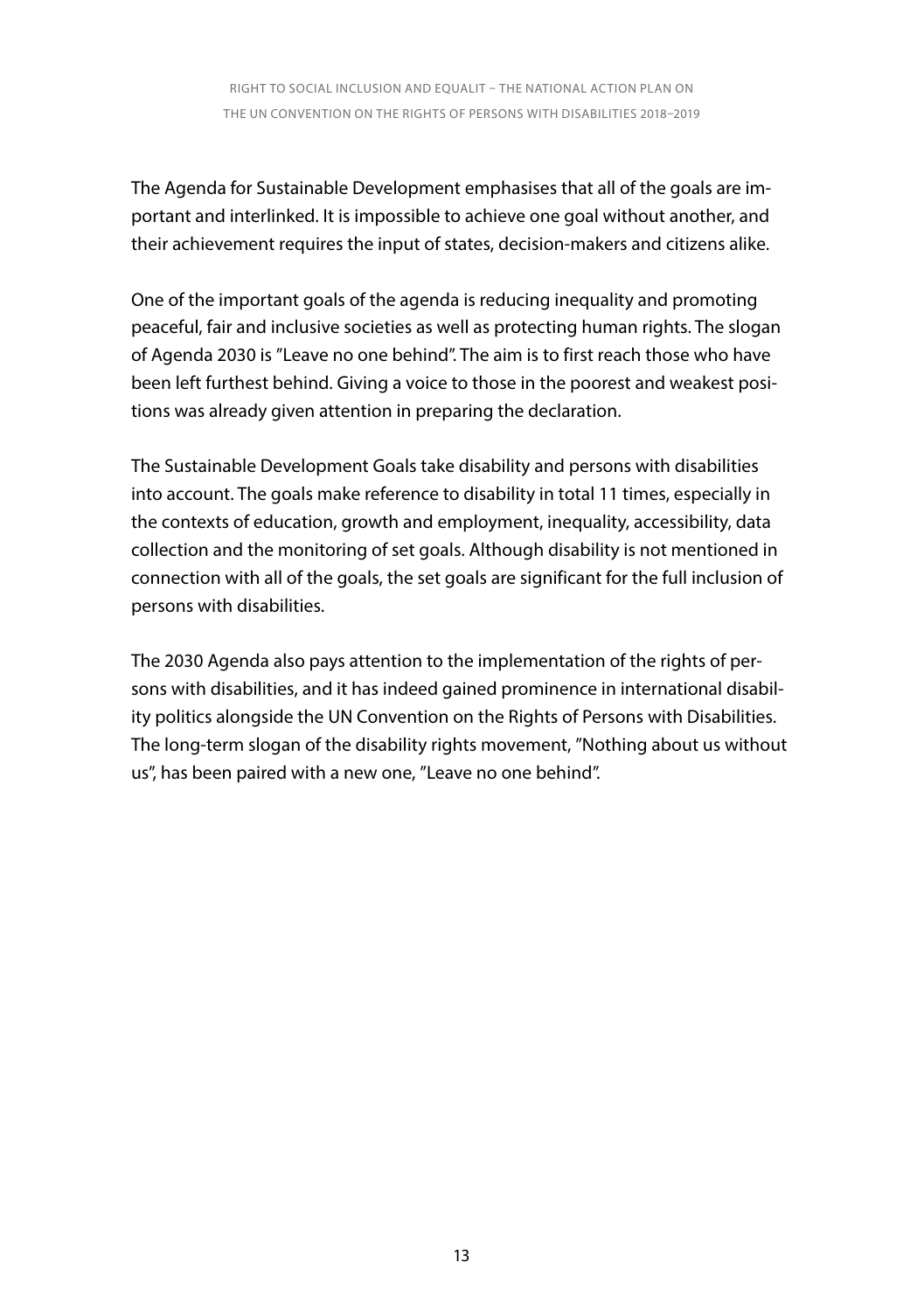RIGHT TO SOCIAL INCLUSION AND EQUALIT – THE NATIONAL ACTION PLAN ON THE UN CONVENTION ON THE RIGHTS OF PERSONS WITH DISABILITIES 2018–2019

The Agenda for Sustainable Development emphasises that all of the goals are important and interlinked. It is impossible to achieve one goal without another, and their achievement requires the input of states, decision-makers and citizens alike.

One of the important goals of the agenda is reducing inequality and promoting peaceful, fair and inclusive societies as well as protecting human rights. The slogan of Agenda 2030 is "Leave no one behind". The aim is to first reach those who have been left furthest behind. Giving a voice to those in the poorest and weakest positions was already given attention in preparing the declaration.

The Sustainable Development Goals take disability and persons with disabilities into account. The goals make reference to disability in total 11 times, especially in the contexts of education, growth and employment, inequality, accessibility, data collection and the monitoring of set goals. Although disability is not mentioned in connection with all of the goals, the set goals are significant for the full inclusion of persons with disabilities.

The 2030 Agenda also pays attention to the implementation of the rights of persons with disabilities, and it has indeed gained prominence in international disability politics alongside the UN Convention on the Rights of Persons with Disabilities. The long-term slogan of the disability rights movement, "Nothing about us without us", has been paired with a new one, "Leave no one behind".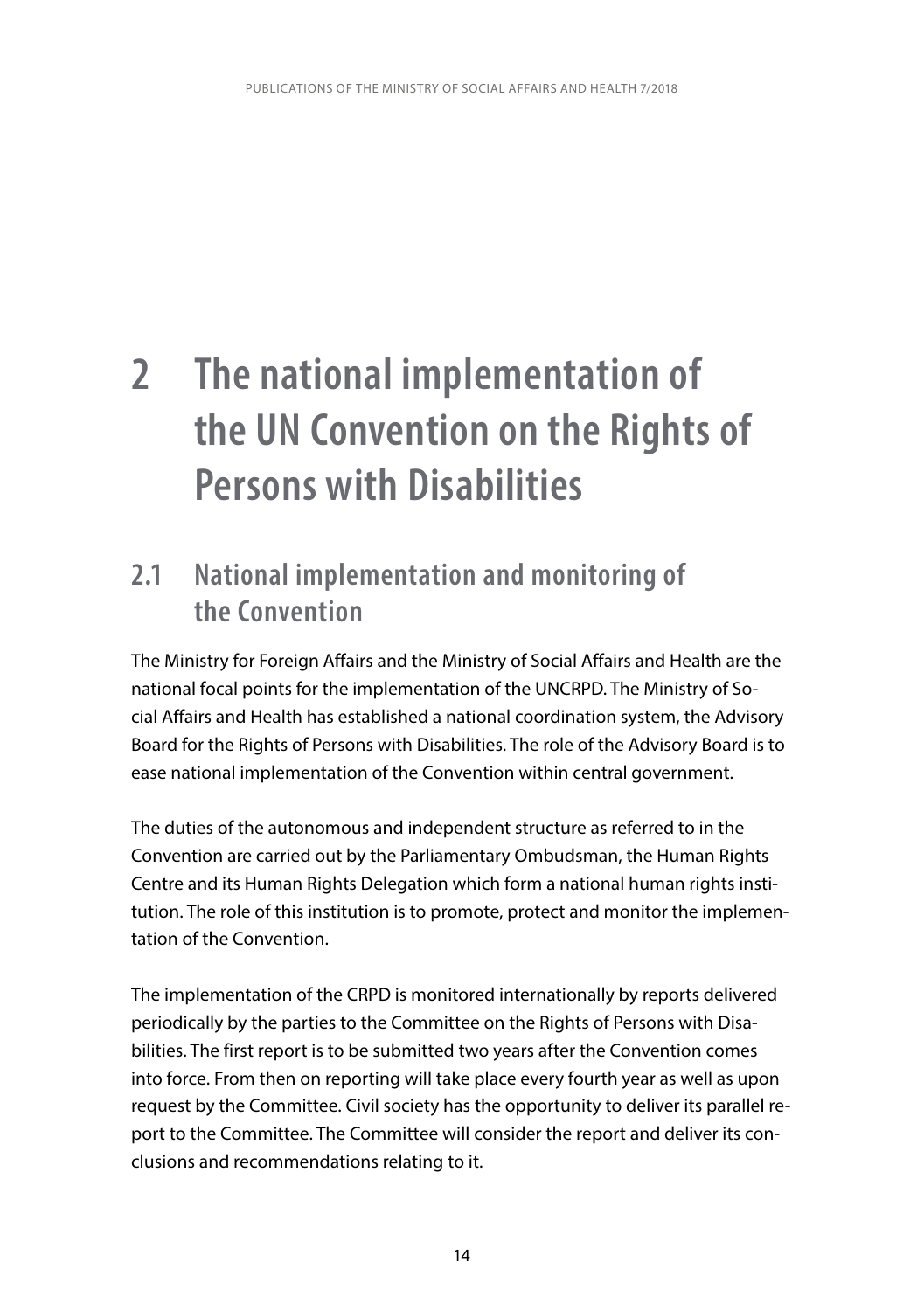# <span id="page-15-0"></span>**2 The national implementation of the UN Convention on the Rights of Persons with Disabilities**

# **2.1 National implementation and monitoring of the Convention**

The Ministry for Foreign Affairs and the Ministry of Social Affairs and Health are the national focal points for the implementation of the UNCRPD. The Ministry of Social Affairs and Health has established a national coordination system, the Advisory Board for the Rights of Persons with Disabilities. The role of the Advisory Board is to ease national implementation of the Convention within central government.

The duties of the autonomous and independent structure as referred to in the Convention are carried out by the Parliamentary Ombudsman, the Human Rights Centre and its Human Rights Delegation which form a national human rights institution. The role of this institution is to promote, protect and monitor the implementation of the Convention.

The implementation of the CRPD is monitored internationally by reports delivered periodically by the parties to the Committee on the Rights of Persons with Disabilities. The first report is to be submitted two years after the Convention comes into force. From then on reporting will take place every fourth year as well as upon request by the Committee. Civil society has the opportunity to deliver its parallel report to the Committee. The Committee will consider the report and deliver its conclusions and recommendations relating to it.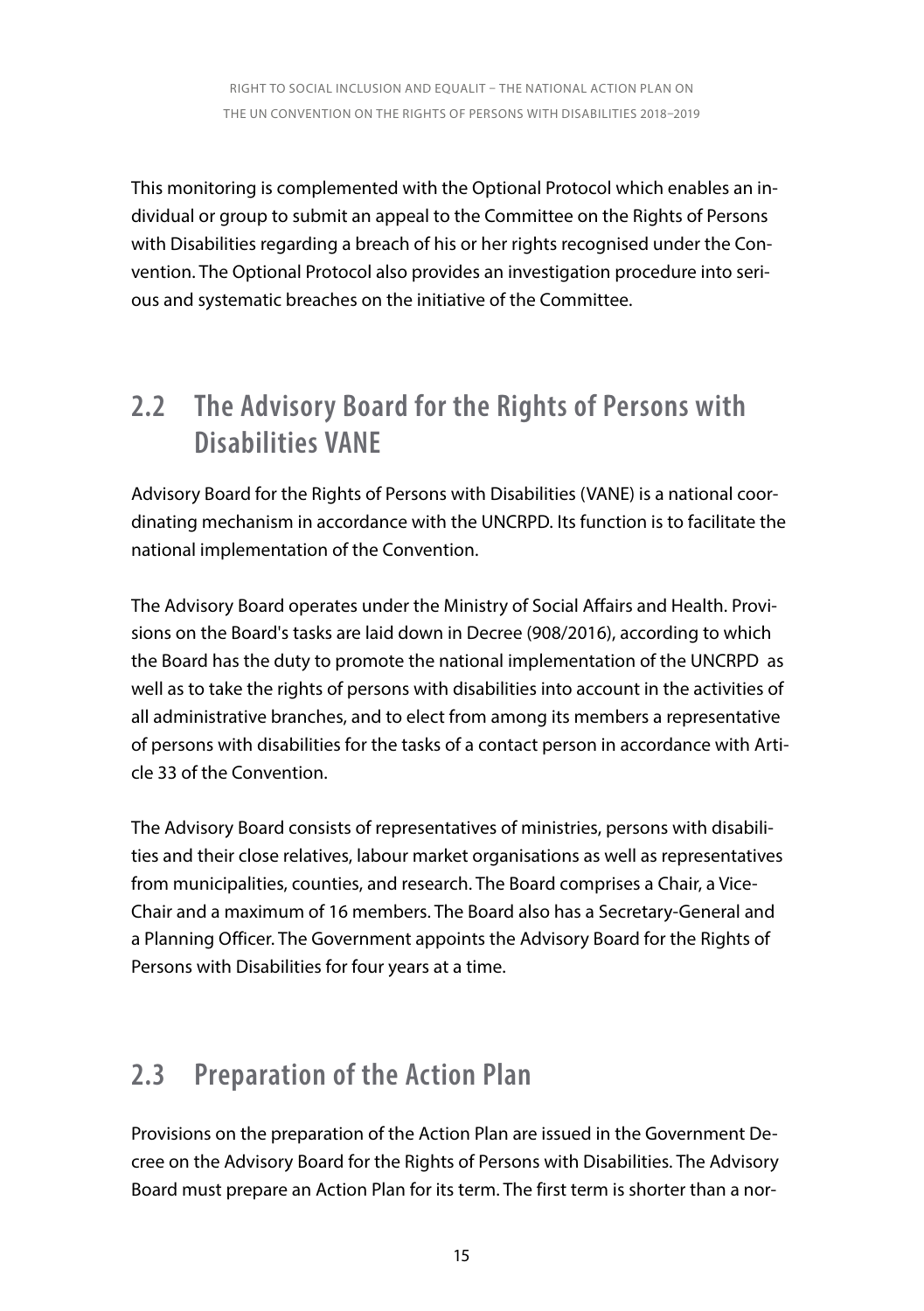<span id="page-16-0"></span>This monitoring is complemented with the Optional Protocol which enables an individual or group to submit an appeal to the Committee on the Rights of Persons with Disabilities regarding a breach of his or her rights recognised under the Convention. The Optional Protocol also provides an investigation procedure into serious and systematic breaches on the initiative of the Committee.

# **2.2 The Advisory Board for the Rights of Persons with Disabilities VANE**

Advisory Board for the Rights of Persons with Disabilities (VANE) is a national coordinating mechanism in accordance with the UNCRPD. Its function is to facilitate the national implementation of the Convention.

The Advisory Board operates under the Ministry of Social Affairs and Health. Provisions on the Board's tasks are laid down in Decree (908/2016), according to which the Board has the duty to promote the national implementation of the UNCRPD as well as to take the rights of persons with disabilities into account in the activities of all administrative branches, and to elect from among its members a representative of persons with disabilities for the tasks of a contact person in accordance with Article 33 of the Convention.

The Advisory Board consists of representatives of ministries, persons with disabilities and their close relatives, labour market organisations as well as representatives from municipalities, counties, and research. The Board comprises a Chair, a Vice-Chair and a maximum of 16 members. The Board also has a Secretary-General and a Planning Officer. The Government appoints the Advisory Board for the Rights of Persons with Disabilities for four years at a time.

# **2.3 Preparation of the Action Plan**

Provisions on the preparation of the Action Plan are issued in the Government Decree on the Advisory Board for the Rights of Persons with Disabilities. The Advisory Board must prepare an Action Plan for its term. The first term is shorter than a nor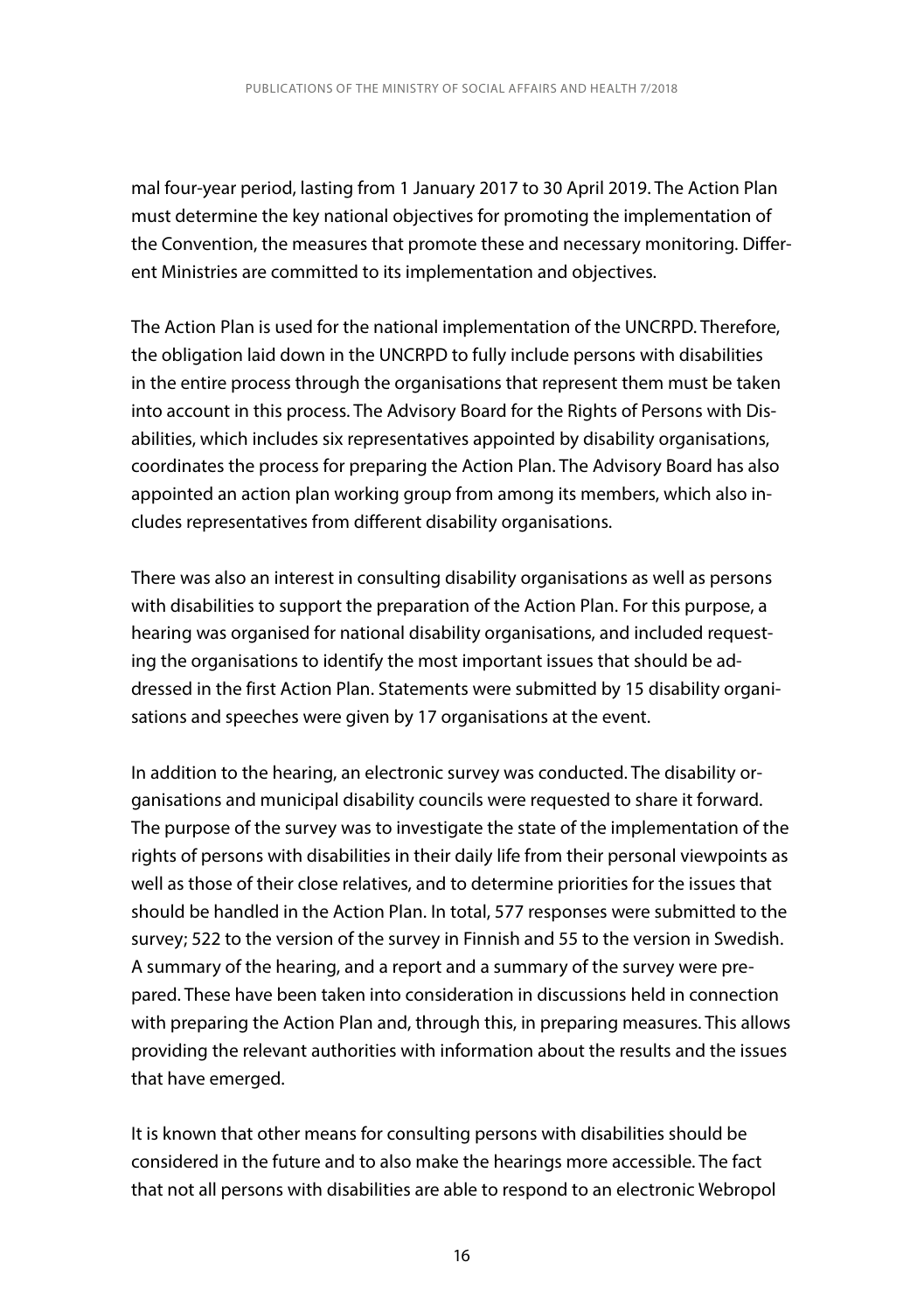mal four-year period, lasting from 1 January 2017 to 30 April 2019. The Action Plan must determine the key national objectives for promoting the implementation of the Convention, the measures that promote these and necessary monitoring. Different Ministries are committed to its implementation and objectives.

The Action Plan is used for the national implementation of the UNCRPD. Therefore, the obligation laid down in the UNCRPD to fully include persons with disabilities in the entire process through the organisations that represent them must be taken into account in this process. The Advisory Board for the Rights of Persons with Disabilities, which includes six representatives appointed by disability organisations, coordinates the process for preparing the Action Plan. The Advisory Board has also appointed an action plan working group from among its members, which also includes representatives from different disability organisations.

There was also an interest in consulting disability organisations as well as persons with disabilities to support the preparation of the Action Plan. For this purpose, a hearing was organised for national disability organisations, and included requesting the organisations to identify the most important issues that should be addressed in the first Action Plan. Statements were submitted by 15 disability organisations and speeches were given by 17 organisations at the event.

In addition to the hearing, an electronic survey was conducted. The disability organisations and municipal disability councils were requested to share it forward. The purpose of the survey was to investigate the state of the implementation of the rights of persons with disabilities in their daily life from their personal viewpoints as well as those of their close relatives, and to determine priorities for the issues that should be handled in the Action Plan. In total, 577 responses were submitted to the survey; 522 to the version of the survey in Finnish and 55 to the version in Swedish. A summary of the hearing, and a report and a summary of the survey were prepared. These have been taken into consideration in discussions held in connection with preparing the Action Plan and, through this, in preparing measures. This allows providing the relevant authorities with information about the results and the issues that have emerged.

It is known that other means for consulting persons with disabilities should be considered in the future and to also make the hearings more accessible. The fact that not all persons with disabilities are able to respond to an electronic Webropol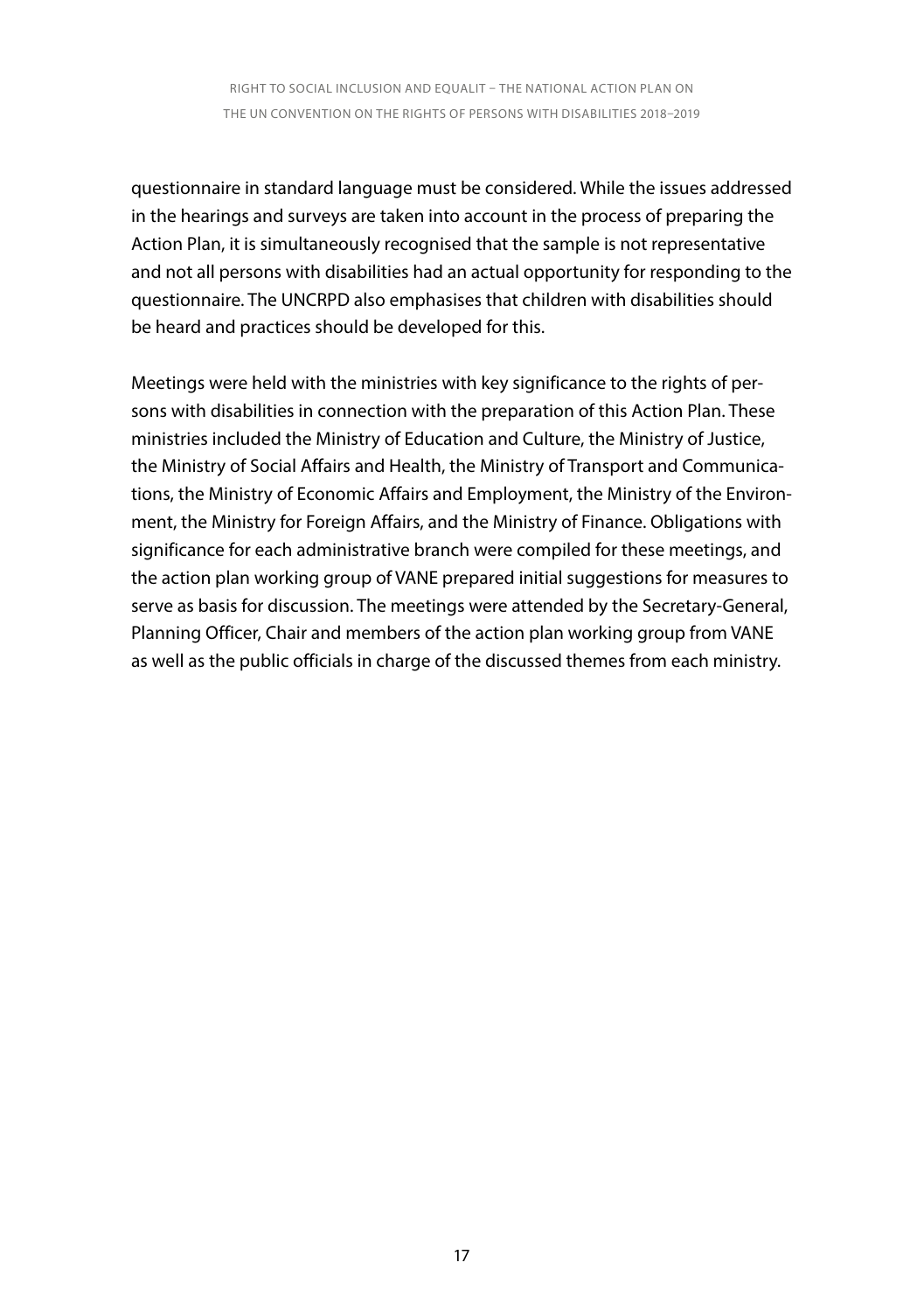questionnaire in standard language must be considered. While the issues addressed in the hearings and surveys are taken into account in the process of preparing the Action Plan, it is simultaneously recognised that the sample is not representative and not all persons with disabilities had an actual opportunity for responding to the questionnaire. The UNCRPD also emphasises that children with disabilities should be heard and practices should be developed for this.

Meetings were held with the ministries with key significance to the rights of persons with disabilities in connection with the preparation of this Action Plan. These ministries included the Ministry of Education and Culture, the Ministry of Justice, the Ministry of Social Affairs and Health, the Ministry of Transport and Communications, the Ministry of Economic Affairs and Employment, the Ministry of the Environment, the Ministry for Foreign Affairs, and the Ministry of Finance. Obligations with significance for each administrative branch were compiled for these meetings, and the action plan working group of VANE prepared initial suggestions for measures to serve as basis for discussion. The meetings were attended by the Secretary-General, Planning Officer, Chair and members of the action plan working group from VANE as well as the public officials in charge of the discussed themes from each ministry.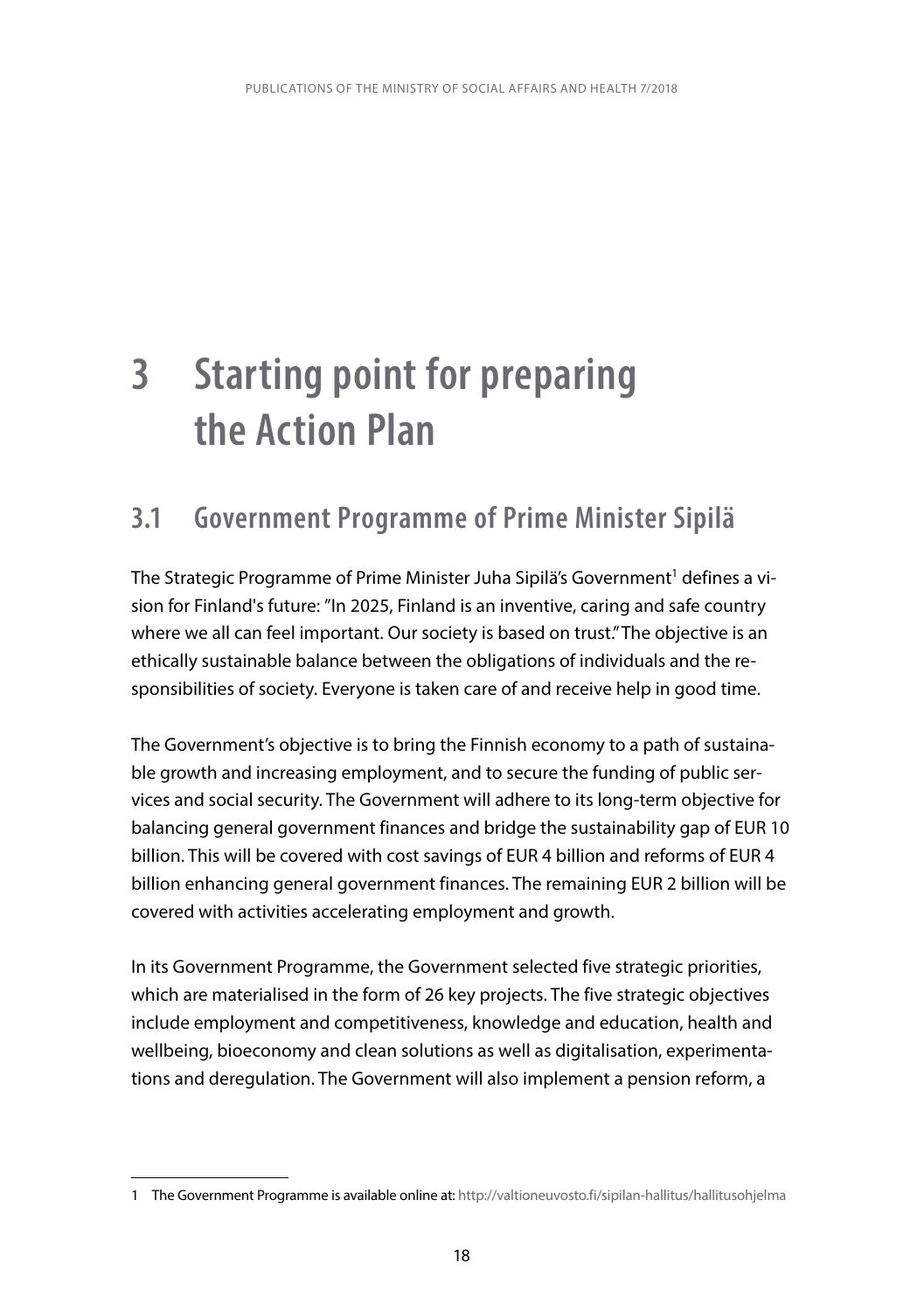# <span id="page-19-0"></span>**3 Starting point for preparing the Action Plan**

# **3.1 Government Programme of Prime Minister Sipilä**

The Strategic Programme of Prime Minister Juha Sipilä's Government<sup>1</sup> defines a vision for Finland's future: "In 2025, Finland is an inventive, caring and safe country where we all can feel important. Our society is based on trust." The objective is an ethically sustainable balance between the obligations of individuals and the responsibilities of society. Everyone is taken care of and receive help in good time.

The Government's objective is to bring the Finnish economy to a path of sustainable growth and increasing employment, and to secure the funding of public services and social security. The Government will adhere to its long-term objective for balancing general government finances and bridge the sustainability gap of EUR 10 billion. This will be covered with cost savings of EUR 4 billion and reforms of EUR 4 billion enhancing general government finances. The remaining EUR 2 billion will be covered with activities accelerating employment and growth.

In its Government Programme, the Government selected five strategic priorities, which are materialised in the form of 26 key projects. The five strategic objectives include employment and competitiveness, knowledge and education, health and wellbeing, bioeconomy and clean solutions as well as digitalisation, experimentations and deregulation. The Government will also implement a pension reform, a

<sup>1</sup> The Government Programme is available online at: http://valtioneuvosto.fi/sipilan-hallitus/hallitusohjelma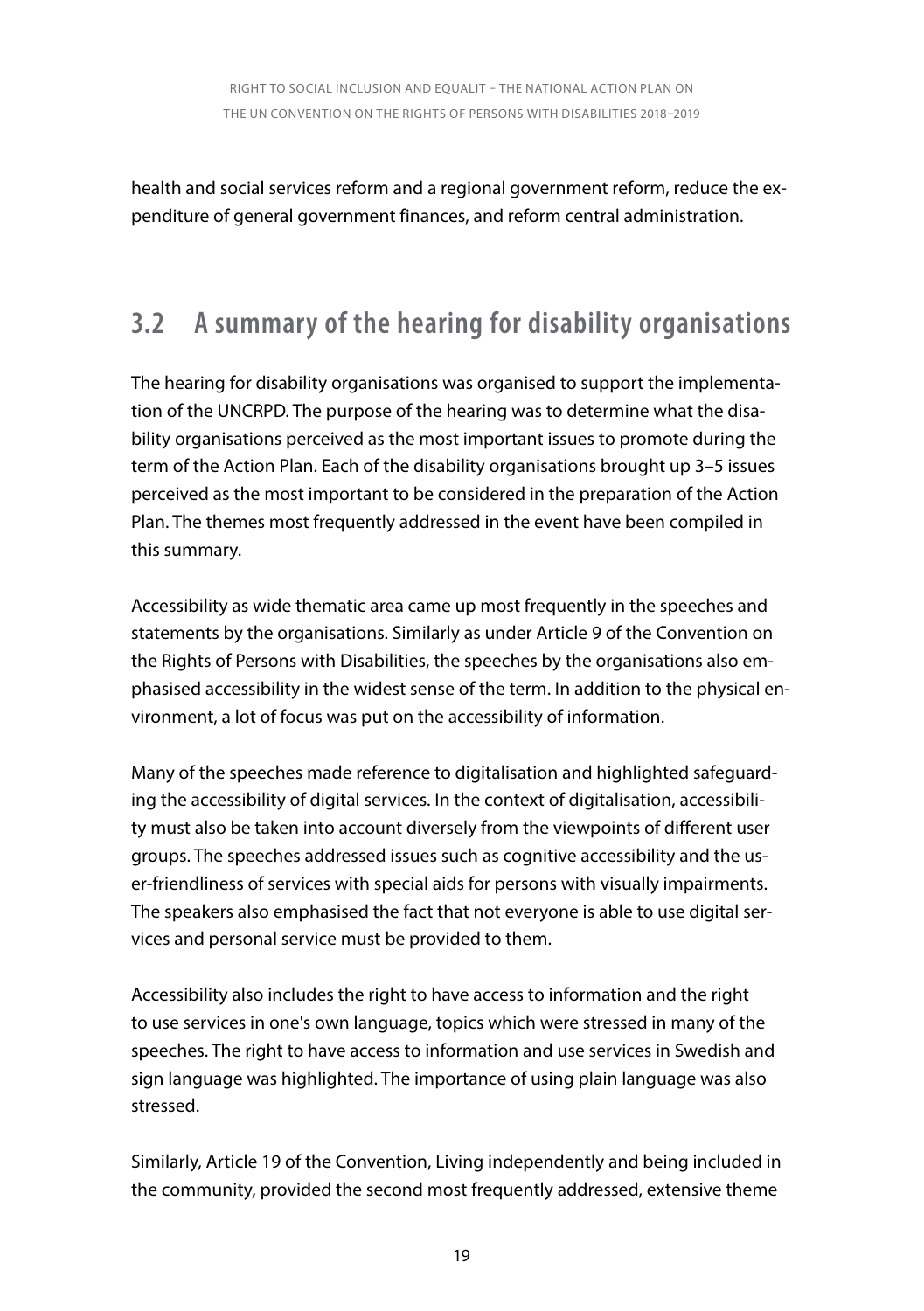<span id="page-20-0"></span>health and social services reform and a regional government reform, reduce the expenditure of general government finances, and reform central administration.

# **3.2 A summary of the hearing for disability organisations**

The hearing for disability organisations was organised to support the implementation of the UNCRPD. The purpose of the hearing was to determine what the disability organisations perceived as the most important issues to promote during the term of the Action Plan. Each of the disability organisations brought up 3–5 issues perceived as the most important to be considered in the preparation of the Action Plan. The themes most frequently addressed in the event have been compiled in this summary.

Accessibility as wide thematic area came up most frequently in the speeches and statements by the organisations. Similarly as under Article 9 of the Convention on the Rights of Persons with Disabilities, the speeches by the organisations also emphasised accessibility in the widest sense of the term. In addition to the physical environment, a lot of focus was put on the accessibility of information.

Many of the speeches made reference to digitalisation and highlighted safeguarding the accessibility of digital services. In the context of digitalisation, accessibility must also be taken into account diversely from the viewpoints of different user groups. The speeches addressed issues such as cognitive accessibility and the user-friendliness of services with special aids for persons with visually impairments. The speakers also emphasised the fact that not everyone is able to use digital services and personal service must be provided to them.

Accessibility also includes the right to have access to information and the right to use services in one's own language, topics which were stressed in many of the speeches. The right to have access to information and use services in Swedish and sign language was highlighted. The importance of using plain language was also stressed.

Similarly, Article 19 of the Convention, Living independently and being included in the community, provided the second most frequently addressed, extensive theme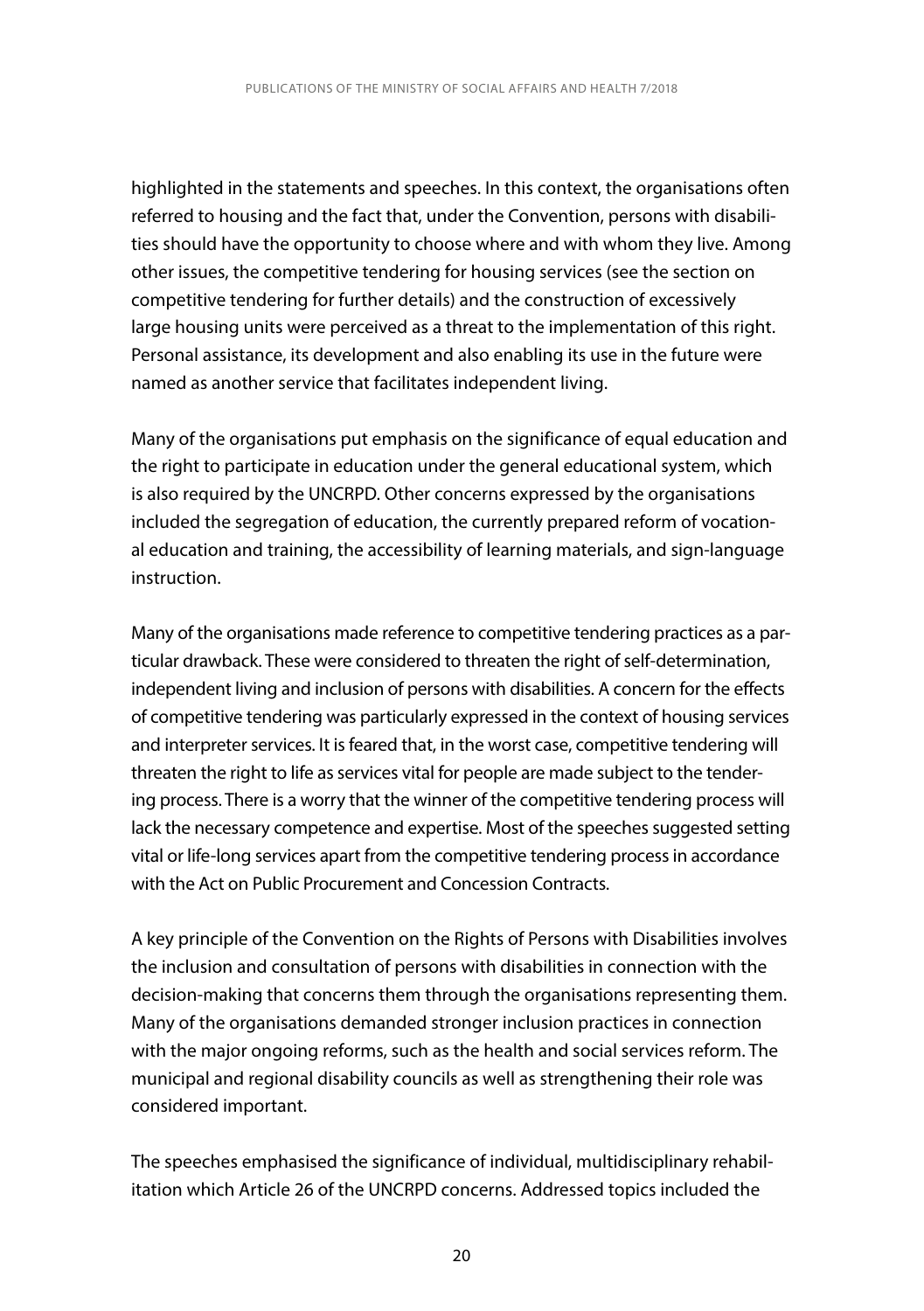highlighted in the statements and speeches. In this context, the organisations often referred to housing and the fact that, under the Convention, persons with disabilities should have the opportunity to choose where and with whom they live. Among other issues, the competitive tendering for housing services (see the section on competitive tendering for further details) and the construction of excessively large housing units were perceived as a threat to the implementation of this right. Personal assistance, its development and also enabling its use in the future were named as another service that facilitates independent living.

Many of the organisations put emphasis on the significance of equal education and the right to participate in education under the general educational system, which is also required by the UNCRPD. Other concerns expressed by the organisations included the segregation of education, the currently prepared reform of vocational education and training, the accessibility of learning materials, and sign-language instruction.

Many of the organisations made reference to competitive tendering practices as a particular drawback. These were considered to threaten the right of self-determination, independent living and inclusion of persons with disabilities. A concern for the effects of competitive tendering was particularly expressed in the context of housing services and interpreter services. It is feared that, in the worst case, competitive tendering will threaten the right to life as services vital for people are made subject to the tendering process. There is a worry that the winner of the competitive tendering process will lack the necessary competence and expertise. Most of the speeches suggested setting vital or life-long services apart from the competitive tendering process in accordance with the Act on Public Procurement and Concession Contracts.

A key principle of the Convention on the Rights of Persons with Disabilities involves the inclusion and consultation of persons with disabilities in connection with the decision-making that concerns them through the organisations representing them. Many of the organisations demanded stronger inclusion practices in connection with the major ongoing reforms, such as the health and social services reform. The municipal and regional disability councils as well as strengthening their role was considered important.

The speeches emphasised the significance of individual, multidisciplinary rehabilitation which Article 26 of the UNCRPD concerns. Addressed topics included the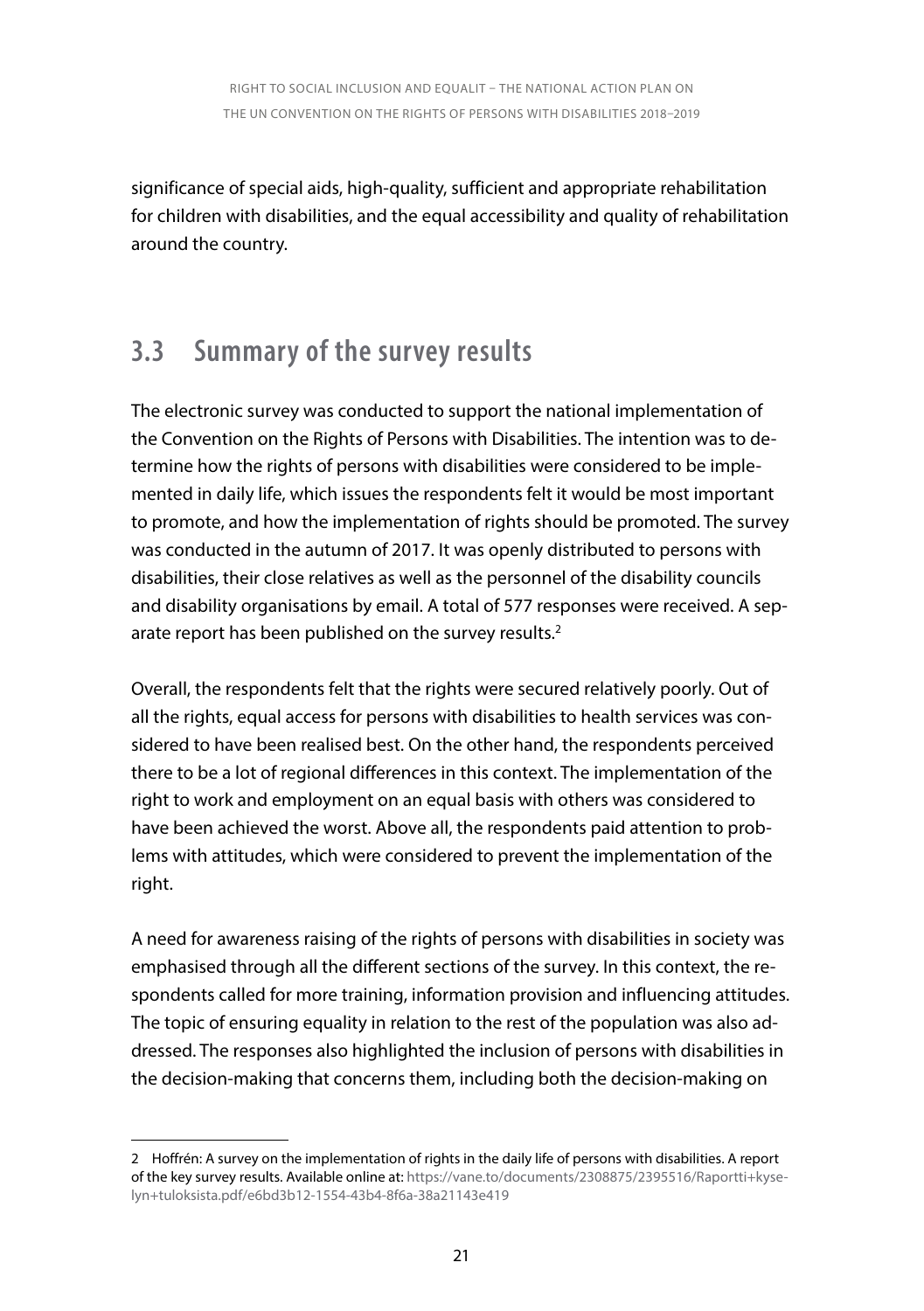<span id="page-22-0"></span>significance of special aids, high-quality, sufficient and appropriate rehabilitation for children with disabilities, and the equal accessibility and quality of rehabilitation around the country.

# **3.3 Summary of the survey results**

The electronic survey was conducted to support the national implementation of the Convention on the Rights of Persons with Disabilities. The intention was to determine how the rights of persons with disabilities were considered to be implemented in daily life, which issues the respondents felt it would be most important to promote, and how the implementation of rights should be promoted. The survey was conducted in the autumn of 2017. It was openly distributed to persons with disabilities, their close relatives as well as the personnel of the disability councils and disability organisations by email. A total of 577 responses were received. A separate report has been published on the survey results.<sup>2</sup>

Overall, the respondents felt that the rights were secured relatively poorly. Out of all the rights, equal access for persons with disabilities to health services was considered to have been realised best. On the other hand, the respondents perceived there to be a lot of regional differences in this context. The implementation of the right to work and employment on an equal basis with others was considered to have been achieved the worst. Above all, the respondents paid attention to problems with attitudes, which were considered to prevent the implementation of the right.

A need for awareness raising of the rights of persons with disabilities in society was emphasised through all the different sections of the survey. In this context, the respondents called for more training, information provision and influencing attitudes. The topic of ensuring equality in relation to the rest of the population was also addressed. The responses also highlighted the inclusion of persons with disabilities in the decision-making that concerns them, including both the decision-making on

<sup>2</sup> Hoffrén: A survey on the implementation of rights in the daily life of persons with disabilities. A report of the key survey results. Available online at: https://vane.to/documents/2308875/2395516/Raportti+kyselyn+tuloksista.pdf/e6bd3b12-1554-43b4-8f6a-38a21143e419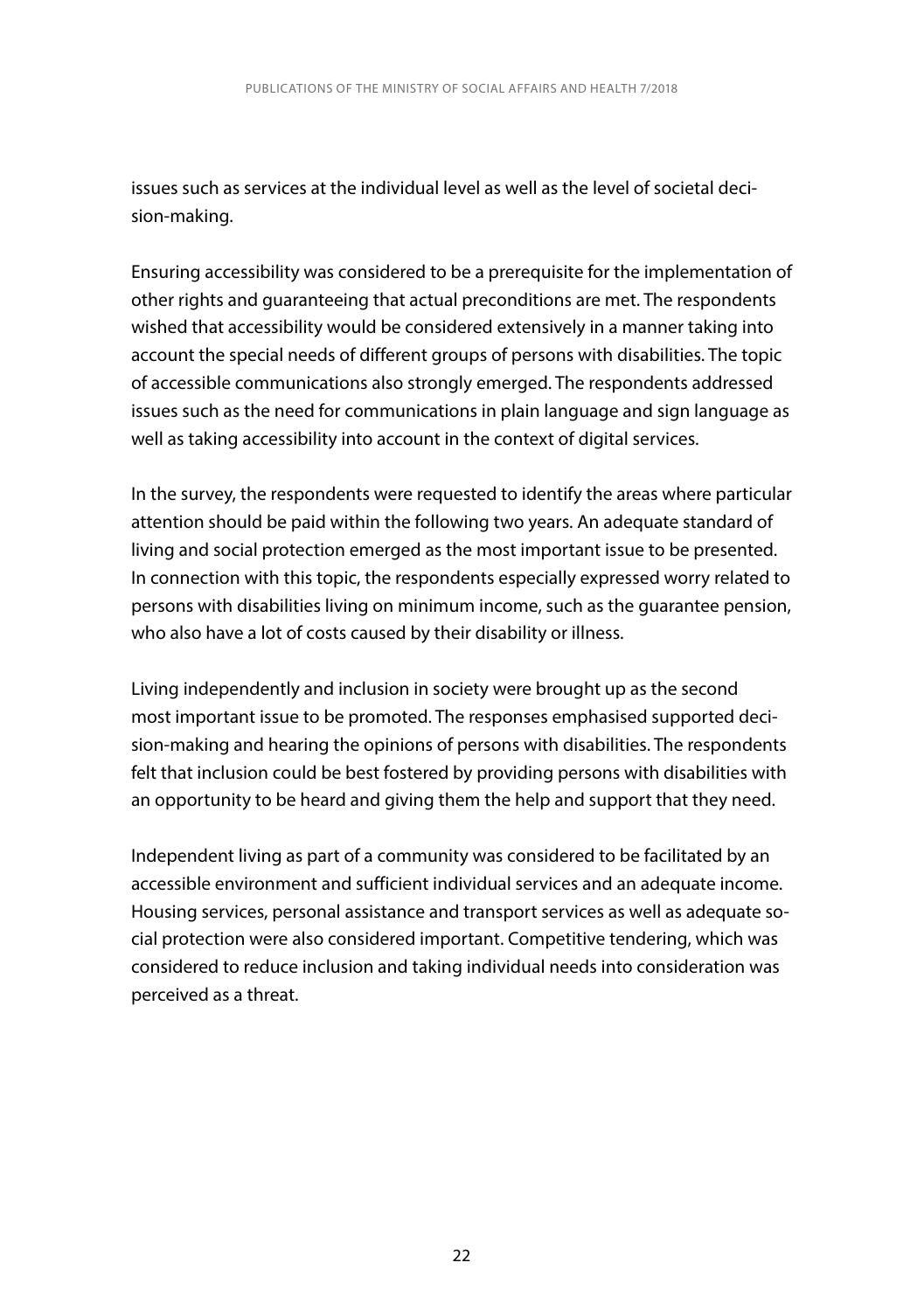issues such as services at the individual level as well as the level of societal decision-making.

Ensuring accessibility was considered to be a prerequisite for the implementation of other rights and guaranteeing that actual preconditions are met. The respondents wished that accessibility would be considered extensively in a manner taking into account the special needs of different groups of persons with disabilities. The topic of accessible communications also strongly emerged. The respondents addressed issues such as the need for communications in plain language and sign language as well as taking accessibility into account in the context of digital services.

In the survey, the respondents were requested to identify the areas where particular attention should be paid within the following two years. An adequate standard of living and social protection emerged as the most important issue to be presented. In connection with this topic, the respondents especially expressed worry related to persons with disabilities living on minimum income, such as the guarantee pension, who also have a lot of costs caused by their disability or illness.

Living independently and inclusion in society were brought up as the second most important issue to be promoted. The responses emphasised supported decision-making and hearing the opinions of persons with disabilities. The respondents felt that inclusion could be best fostered by providing persons with disabilities with an opportunity to be heard and giving them the help and support that they need.

Independent living as part of a community was considered to be facilitated by an accessible environment and sufficient individual services and an adequate income. Housing services, personal assistance and transport services as well as adequate social protection were also considered important. Competitive tendering, which was considered to reduce inclusion and taking individual needs into consideration was perceived as a threat.

22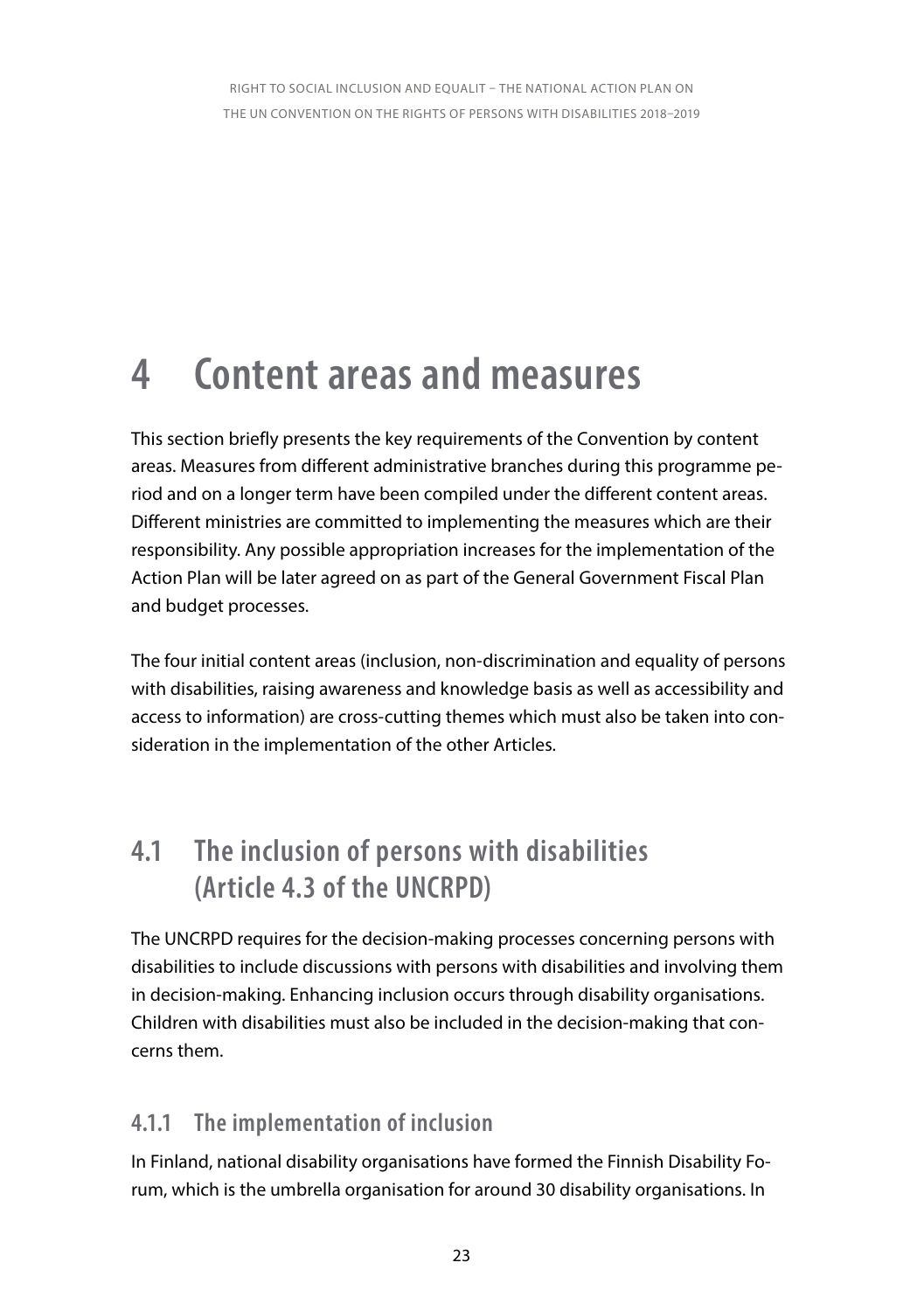# <span id="page-24-0"></span>**4 Content areas and measures**

This section briefly presents the key requirements of the Convention by content areas. Measures from different administrative branches during this programme period and on a longer term have been compiled under the different content areas. Different ministries are committed to implementing the measures which are their responsibility. Any possible appropriation increases for the implementation of the Action Plan will be later agreed on as part of the General Government Fiscal Plan and budget processes.

The four initial content areas (inclusion, non-discrimination and equality of persons with disabilities, raising awareness and knowledge basis as well as accessibility and access to information) are cross-cutting themes which must also be taken into consideration in the implementation of the other Articles.

# **4.1 The inclusion of persons with disabilities (Article 4.3 of the UNCRPD)**

The UNCRPD requires for the decision-making processes concerning persons with disabilities to include discussions with persons with disabilities and involving them in decision-making. Enhancing inclusion occurs through disability organisations. Children with disabilities must also be included in the decision-making that concerns them.

## **4.1.1 The implementation of inclusion**

In Finland, national disability organisations have formed the Finnish Disability Forum, which is the umbrella organisation for around 30 disability organisations. In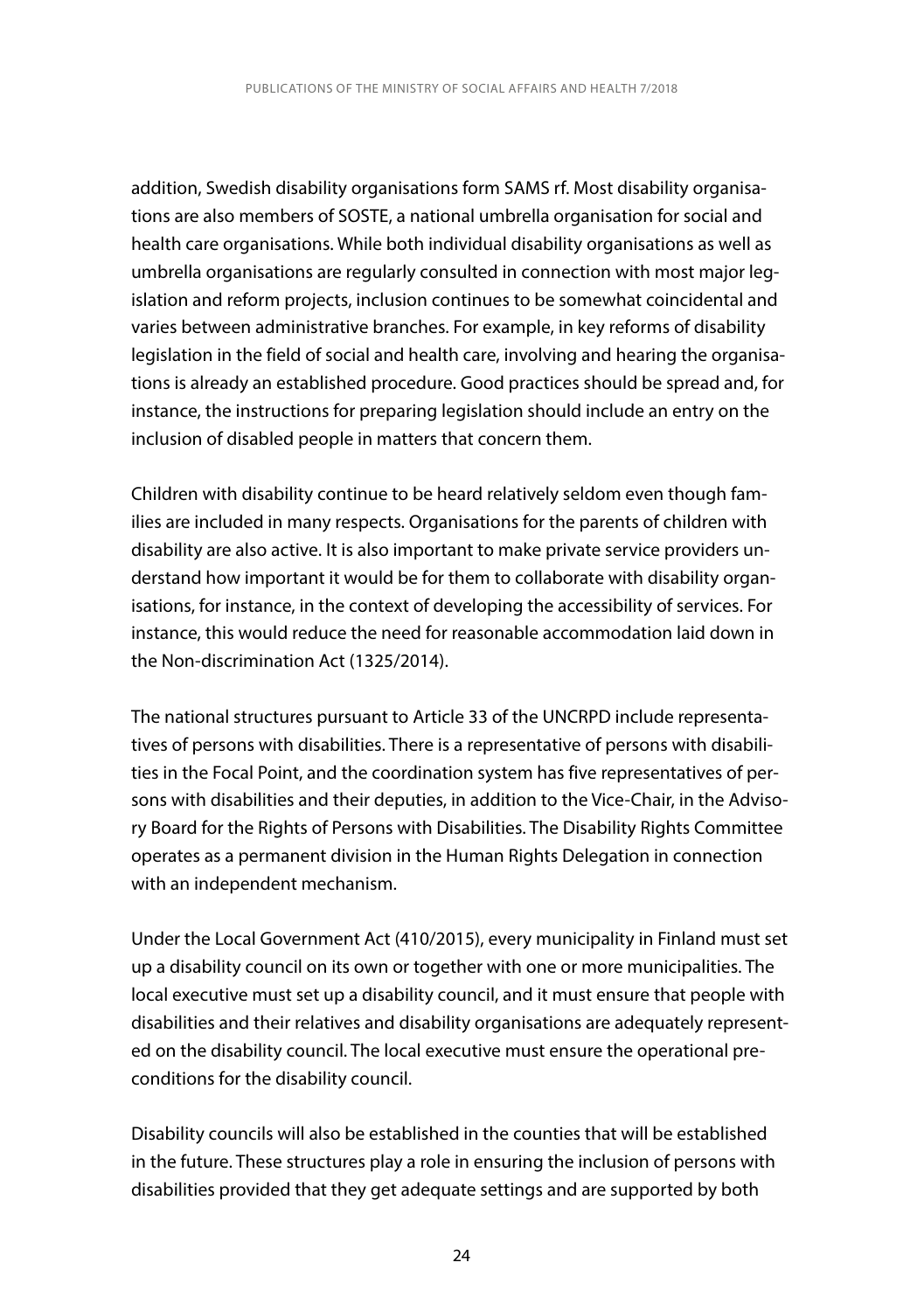addition, Swedish disability organisations form SAMS rf. Most disability organisations are also members of SOSTE, a national umbrella organisation for social and health care organisations. While both individual disability organisations as well as umbrella organisations are regularly consulted in connection with most major legislation and reform projects, inclusion continues to be somewhat coincidental and varies between administrative branches. For example, in key reforms of disability legislation in the field of social and health care, involving and hearing the organisations is already an established procedure. Good practices should be spread and, for instance, the instructions for preparing legislation should include an entry on the inclusion of disabled people in matters that concern them.

Children with disability continue to be heard relatively seldom even though families are included in many respects. Organisations for the parents of children with disability are also active. It is also important to make private service providers understand how important it would be for them to collaborate with disability organisations, for instance, in the context of developing the accessibility of services. For instance, this would reduce the need for reasonable accommodation laid down in the Non-discrimination Act (1325/2014).

The national structures pursuant to Article 33 of the UNCRPD include representatives of persons with disabilities. There is a representative of persons with disabilities in the Focal Point, and the coordination system has five representatives of persons with disabilities and their deputies, in addition to the Vice-Chair, in the Advisory Board for the Rights of Persons with Disabilities. The Disability Rights Committee operates as a permanent division in the Human Rights Delegation in connection with an independent mechanism.

Under the Local Government Act (410/2015), every municipality in Finland must set up a disability council on its own or together with one or more municipalities. The local executive must set up a disability council, and it must ensure that people with disabilities and their relatives and disability organisations are adequately represented on the disability council. The local executive must ensure the operational preconditions for the disability council.

Disability councils will also be established in the counties that will be established in the future. These structures play a role in ensuring the inclusion of persons with disabilities provided that they get adequate settings and are supported by both

24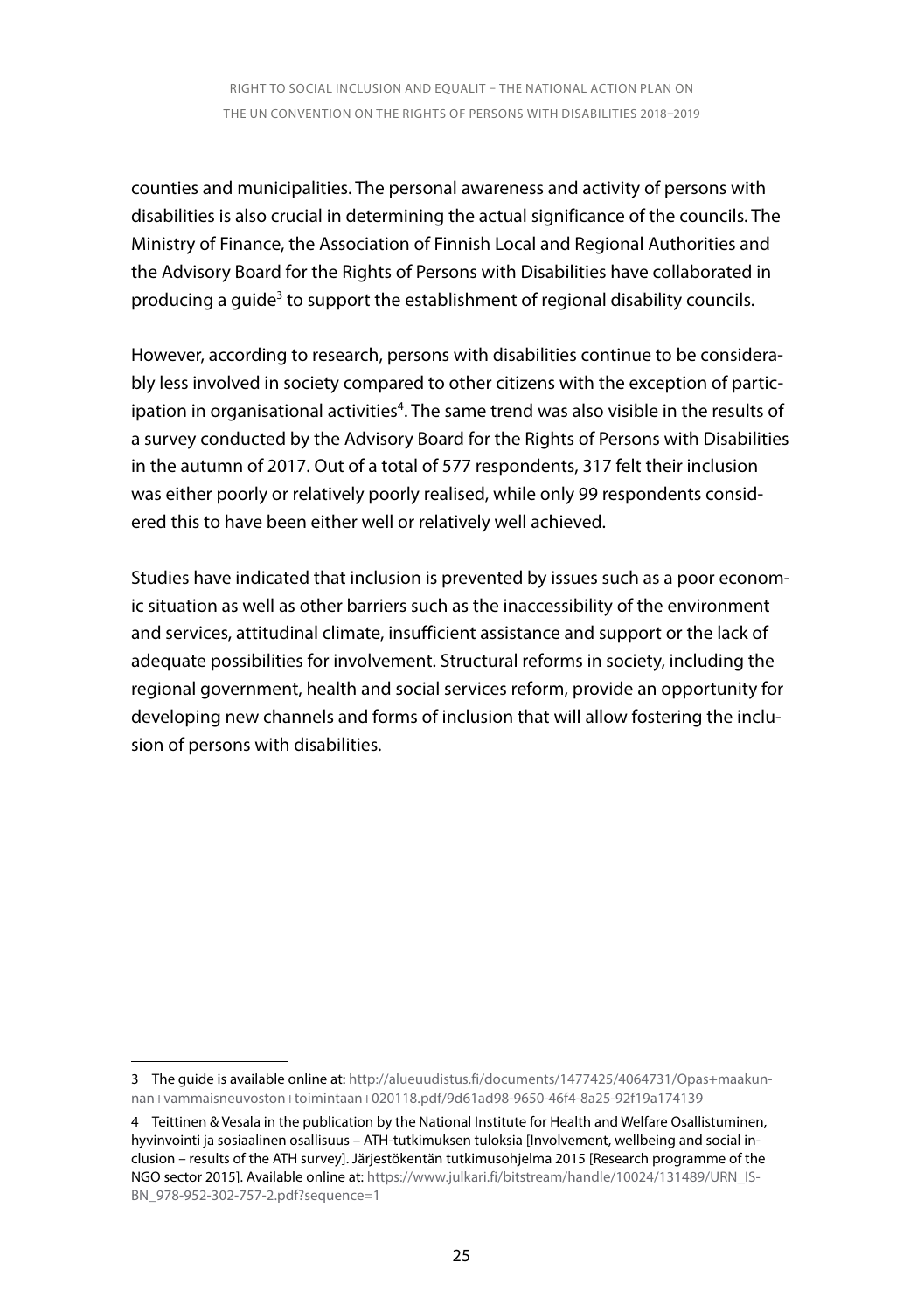counties and municipalities. The personal awareness and activity of persons with disabilities is also crucial in determining the actual significance of the councils. The Ministry of Finance, the Association of Finnish Local and Regional Authorities and the Advisory Board for the Rights of Persons with Disabilities have collaborated in producing a guide<sup>3</sup> to support the establishment of regional disability councils.

However, according to research, persons with disabilities continue to be considerably less involved in society compared to other citizens with the exception of participation in organisational activities<sup>4</sup>. The same trend was also visible in the results of a survey conducted by the Advisory Board for the Rights of Persons with Disabilities in the autumn of 2017. Out of a total of 577 respondents, 317 felt their inclusion was either poorly or relatively poorly realised, while only 99 respondents considered this to have been either well or relatively well achieved.

Studies have indicated that inclusion is prevented by issues such as a poor economic situation as well as other barriers such as the inaccessibility of the environment and services, attitudinal climate, insufficient assistance and support or the lack of adequate possibilities for involvement. Structural reforms in society, including the regional government, health and social services reform, provide an opportunity for developing new channels and forms of inclusion that will allow fostering the inclusion of persons with disabilities.

<sup>3</sup> The guide is available online at: http://alueuudistus.fi/documents/1477425/4064731/Opas+maakunnan+vammaisneuvoston+toimintaan+020118.pdf/9d61ad98-9650-46f4-8a25-92f19a174139

<sup>4</sup> Teittinen & Vesala in the publication by the National Institute for Health and Welfare Osallistuminen, hyvinvointi ja sosiaalinen osallisuus – ATH-tutkimuksen tuloksia [Involvement, wellbeing and social inclusion – results of the ATH survey]. Järjestökentän tutkimusohjelma 2015 [Research programme of the NGO sector 2015]. Available online at: https://www.julkari.fi/bitstream/handle/10024/131489/URN\_IS-BN\_978-952-302-757-2.pdf?sequence=1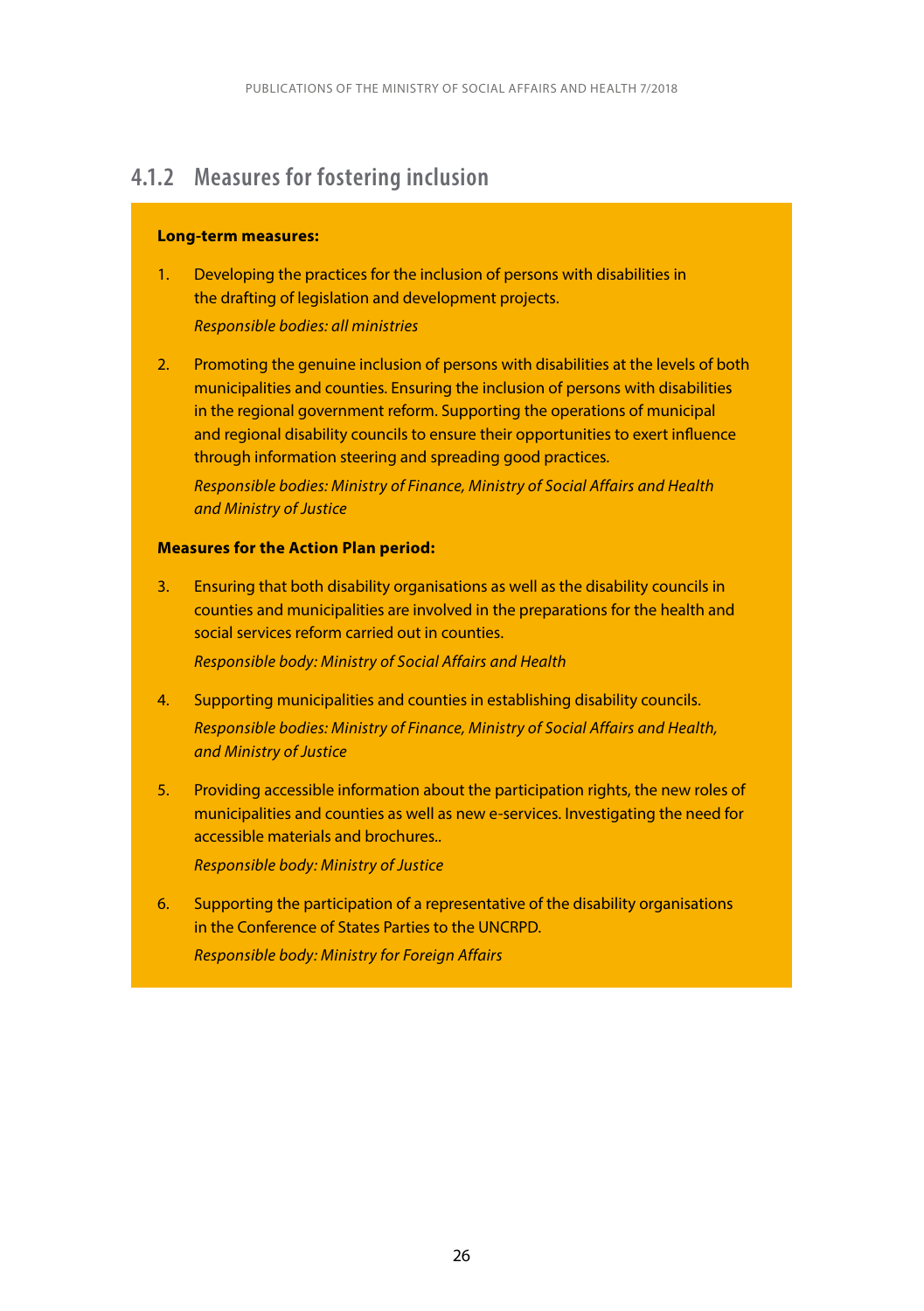### <span id="page-27-0"></span>**4.1.2 Measures for fostering inclusion**

#### **Long-term measures:**

- 1. Developing the practices for the inclusion of persons with disabilities in the drafting of legislation and development projects. *Responsible bodies: all ministries*
- 2. Promoting the genuine inclusion of persons with disabilities at the levels of both municipalities and counties. Ensuring the inclusion of persons with disabilities in the regional government reform. Supporting the operations of municipal and regional disability councils to ensure their opportunities to exert influence through information steering and spreading good practices. *Responsible bodies: Ministry of Finance, Ministry of Social Affairs and Health*

*and Ministry of Justice*

#### **Measures for the Action Plan period:**

3. Ensuring that both disability organisations as well as the disability councils in counties and municipalities are involved in the preparations for the health and social services reform carried out in counties.

*Responsible body: Ministry of Social Affairs and Health*

- 4. Supporting municipalities and counties in establishing disability councils. *Responsible bodies: Ministry of Finance, Ministry of Social Affairs and Health, and Ministry of Justice*
- 5. Providing accessible information about the participation rights, the new roles of municipalities and counties as well as new e-services. Investigating the need for accessible materials and brochures..

*Responsible body: Ministry of Justice*

6. Supporting the participation of a representative of the disability organisations in the Conference of States Parties to the UNCRPD.

*Responsible body: Ministry for Foreign Affairs*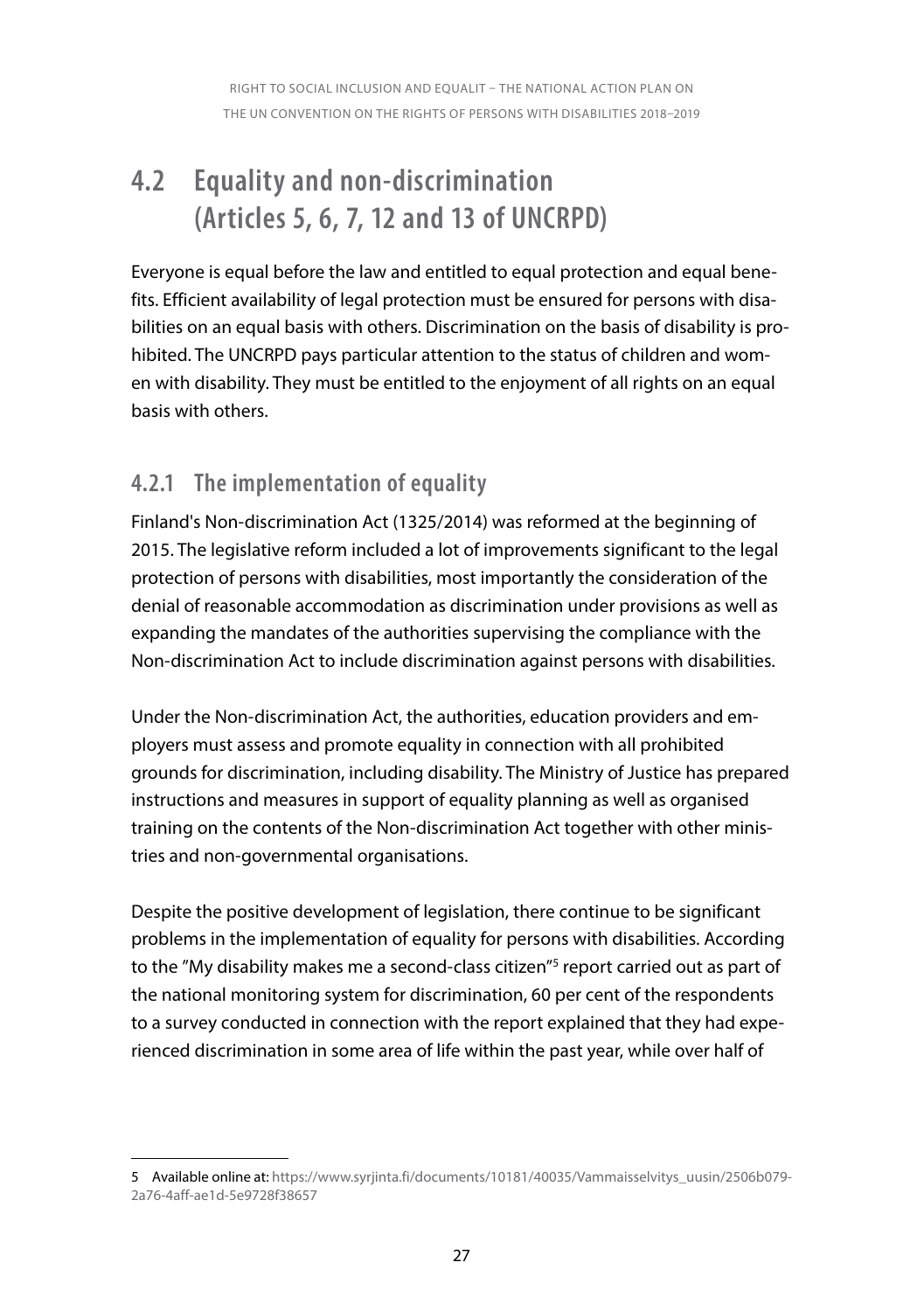# <span id="page-28-0"></span>**4.2 Equality and non-discrimination (Articles 5, 6, 7, 12 and 13 of UNCRPD)**

Everyone is equal before the law and entitled to equal protection and equal benefits. Efficient availability of legal protection must be ensured for persons with disabilities on an equal basis with others. Discrimination on the basis of disability is prohibited. The UNCRPD pays particular attention to the status of children and women with disability. They must be entitled to the enjoyment of all rights on an equal basis with others.

## **4.2.1 The implementation of equality**

Finland's Non-discrimination Act (1325/2014) was reformed at the beginning of 2015. The legislative reform included a lot of improvements significant to the legal protection of persons with disabilities, most importantly the consideration of the denial of reasonable accommodation as discrimination under provisions as well as expanding the mandates of the authorities supervising the compliance with the Non-discrimination Act to include discrimination against persons with disabilities.

Under the Non-discrimination Act, the authorities, education providers and employers must assess and promote equality in connection with all prohibited grounds for discrimination, including disability. The Ministry of Justice has prepared instructions and measures in support of equality planning as well as organised training on the contents of the Non-discrimination Act together with other ministries and non-governmental organisations.

Despite the positive development of legislation, there continue to be significant problems in the implementation of equality for persons with disabilities. According to the "My disability makes me a second-class citizen"<sup>5</sup> report carried out as part of the national monitoring system for discrimination, 60 per cent of the respondents to a survey conducted in connection with the report explained that they had experienced discrimination in some area of life within the past year, while over half of

<sup>5</sup> Available online at: https://www.syrjinta.fi/documents/10181/40035/Vammaisselvitys\_uusin/2506b079-2a76-4aff-ae1d-5e9728f38657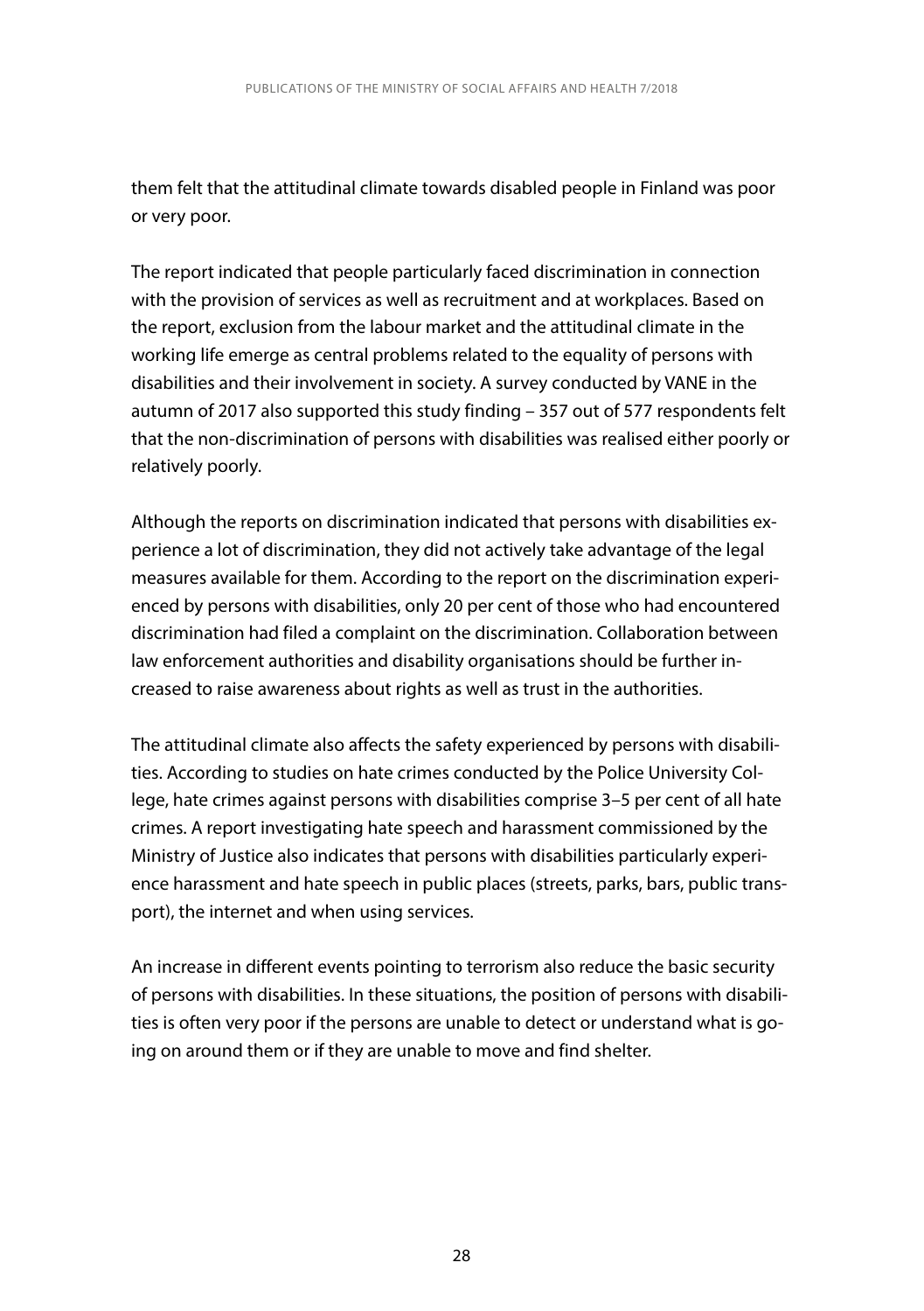them felt that the attitudinal climate towards disabled people in Finland was poor or very poor.

The report indicated that people particularly faced discrimination in connection with the provision of services as well as recruitment and at workplaces. Based on the report, exclusion from the labour market and the attitudinal climate in the working life emerge as central problems related to the equality of persons with disabilities and their involvement in society. A survey conducted by VANE in the autumn of 2017 also supported this study finding – 357 out of 577 respondents felt that the non-discrimination of persons with disabilities was realised either poorly or relatively poorly.

Although the reports on discrimination indicated that persons with disabilities experience a lot of discrimination, they did not actively take advantage of the legal measures available for them. According to the report on the discrimination experienced by persons with disabilities, only 20 per cent of those who had encountered discrimination had filed a complaint on the discrimination. Collaboration between law enforcement authorities and disability organisations should be further increased to raise awareness about rights as well as trust in the authorities.

The attitudinal climate also affects the safety experienced by persons with disabilities. According to studies on hate crimes conducted by the Police University College, hate crimes against persons with disabilities comprise 3–5 per cent of all hate crimes. A report investigating hate speech and harassment commissioned by the Ministry of Justice also indicates that persons with disabilities particularly experience harassment and hate speech in public places (streets, parks, bars, public transport), the internet and when using services.

An increase in different events pointing to terrorism also reduce the basic security of persons with disabilities. In these situations, the position of persons with disabilities is often very poor if the persons are unable to detect or understand what is going on around them or if they are unable to move and find shelter.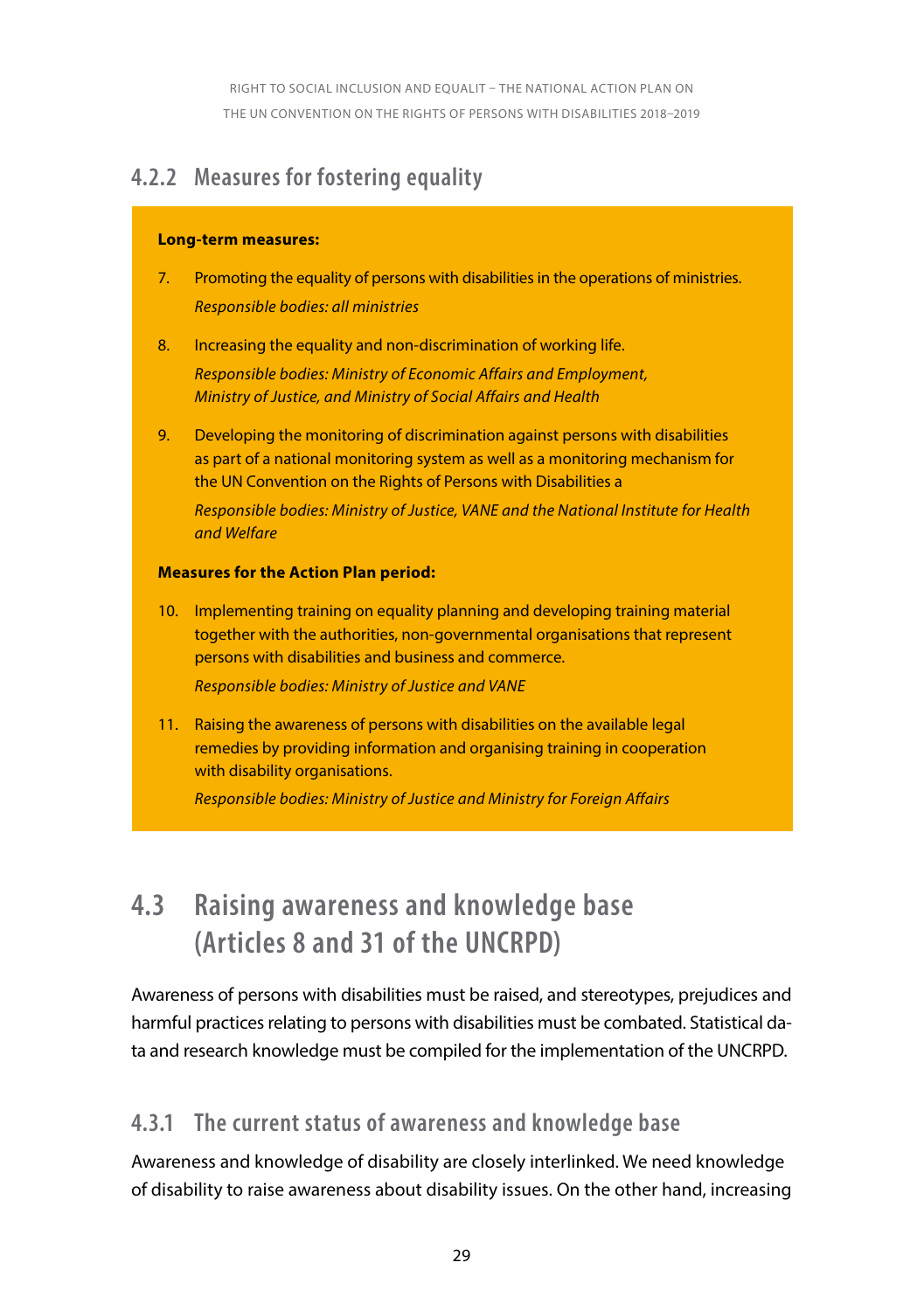## <span id="page-30-0"></span>**4.2.2 Measures for fostering equality**

### **Long-term measures:**

- 7. Promoting the equality of persons with disabilities in the operations of ministries. *Responsible bodies: all ministries*
- 8. Increasing the equality and non-discrimination of working life. *Responsible bodies: Ministry of Economic Affairs and Employment, Ministry of Justice, and Ministry of Social Affairs and Health*
- 9. Developing the monitoring of discrimination against persons with disabilities as part of a national monitoring system as well as a monitoring mechanism for the UN Convention on the Rights of Persons with Disabilities a *Responsible bodies: Ministry of Justice, VANE and the National Institute for Health and Welfare*

### **Measures for the Action Plan period:**

- 10. Implementing training on equality planning and developing training material together with the authorities, non-governmental organisations that represent persons with disabilities and business and commerce. *Responsible bodies: Ministry of Justice and VANE*
- 11. Raising the awareness of persons with disabilities on the available legal remedies by providing information and organising training in cooperation with disability organisations.

*Responsible bodies: Ministry of Justice and Ministry for Foreign Affairs*

# **4.3 Raising awareness and knowledge base (Articles 8 and 31 of the UNCRPD)**

Awareness of persons with disabilities must be raised, and stereotypes, prejudices and harmful practices relating to persons with disabilities must be combated. Statistical data and research knowledge must be compiled for the implementation of the UNCRPD.

### **4.3.1 The current status of awareness and knowledge base**

Awareness and knowledge of disability are closely interlinked. We need knowledge of disability to raise awareness about disability issues. On the other hand, increasing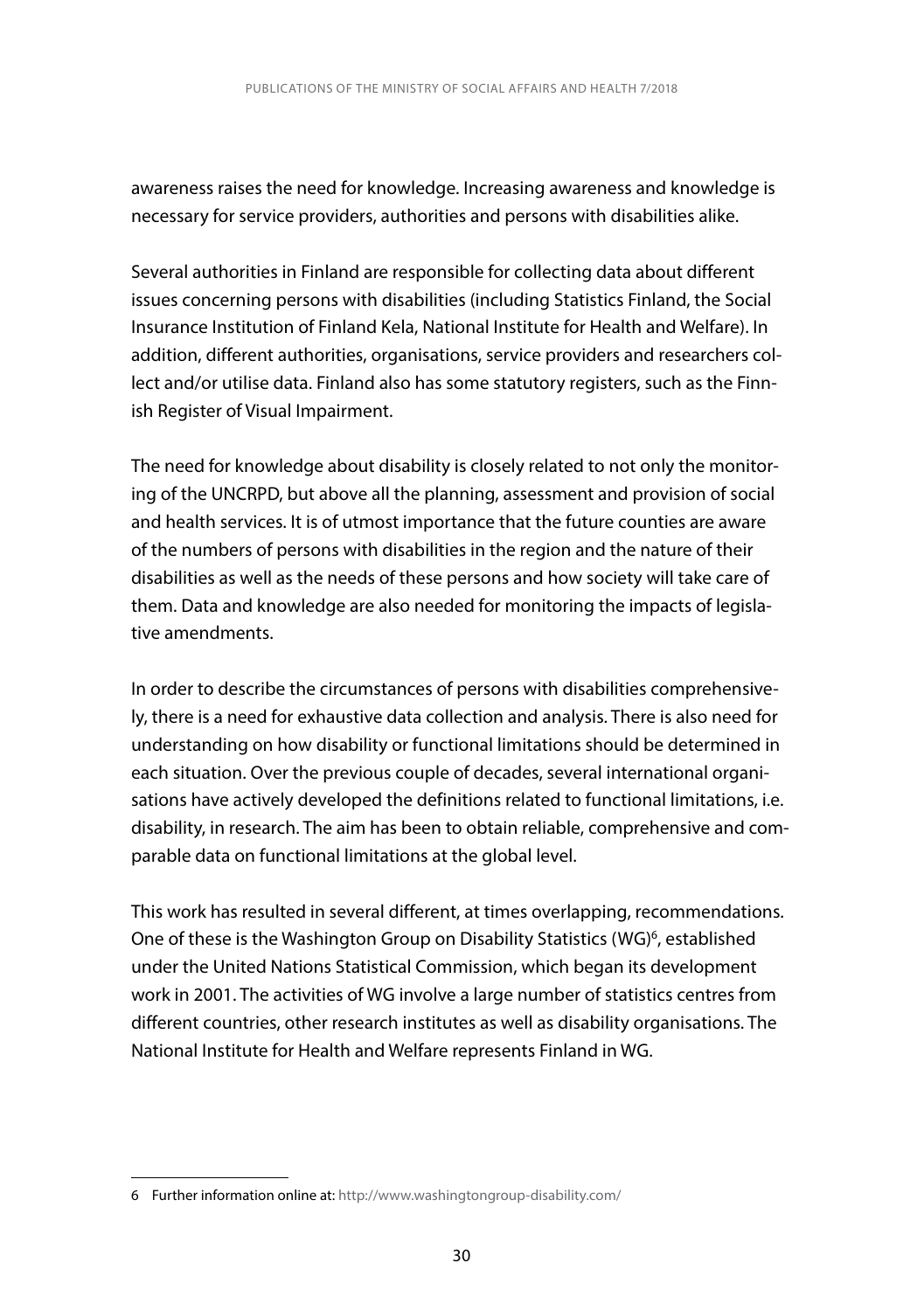awareness raises the need for knowledge. Increasing awareness and knowledge is necessary for service providers, authorities and persons with disabilities alike.

Several authorities in Finland are responsible for collecting data about different issues concerning persons with disabilities (including Statistics Finland, the Social Insurance Institution of Finland Kela, National Institute for Health and Welfare). In addition, different authorities, organisations, service providers and researchers collect and/or utilise data. Finland also has some statutory registers, such as the Finnish Register of Visual Impairment.

The need for knowledge about disability is closely related to not only the monitoring of the UNCRPD, but above all the planning, assessment and provision of social and health services. It is of utmost importance that the future counties are aware of the numbers of persons with disabilities in the region and the nature of their disabilities as well as the needs of these persons and how society will take care of them. Data and knowledge are also needed for monitoring the impacts of legislative amendments.

In order to describe the circumstances of persons with disabilities comprehensively, there is a need for exhaustive data collection and analysis. There is also need for understanding on how disability or functional limitations should be determined in each situation. Over the previous couple of decades, several international organisations have actively developed the definitions related to functional limitations, i.e. disability, in research. The aim has been to obtain reliable, comprehensive and comparable data on functional limitations at the global level.

This work has resulted in several different, at times overlapping, recommendations. One of these is the Washington Group on Disability Statistics (WG)<sup>6</sup>, established under the United Nations Statistical Commission, which began its development work in 2001. The activities of WG involve a large number of statistics centres from different countries, other research institutes as well as disability organisations. The National Institute for Health and Welfare represents Finland in WG.

<sup>6</sup> Further information online at: http://www.washingtongroup-disability.com/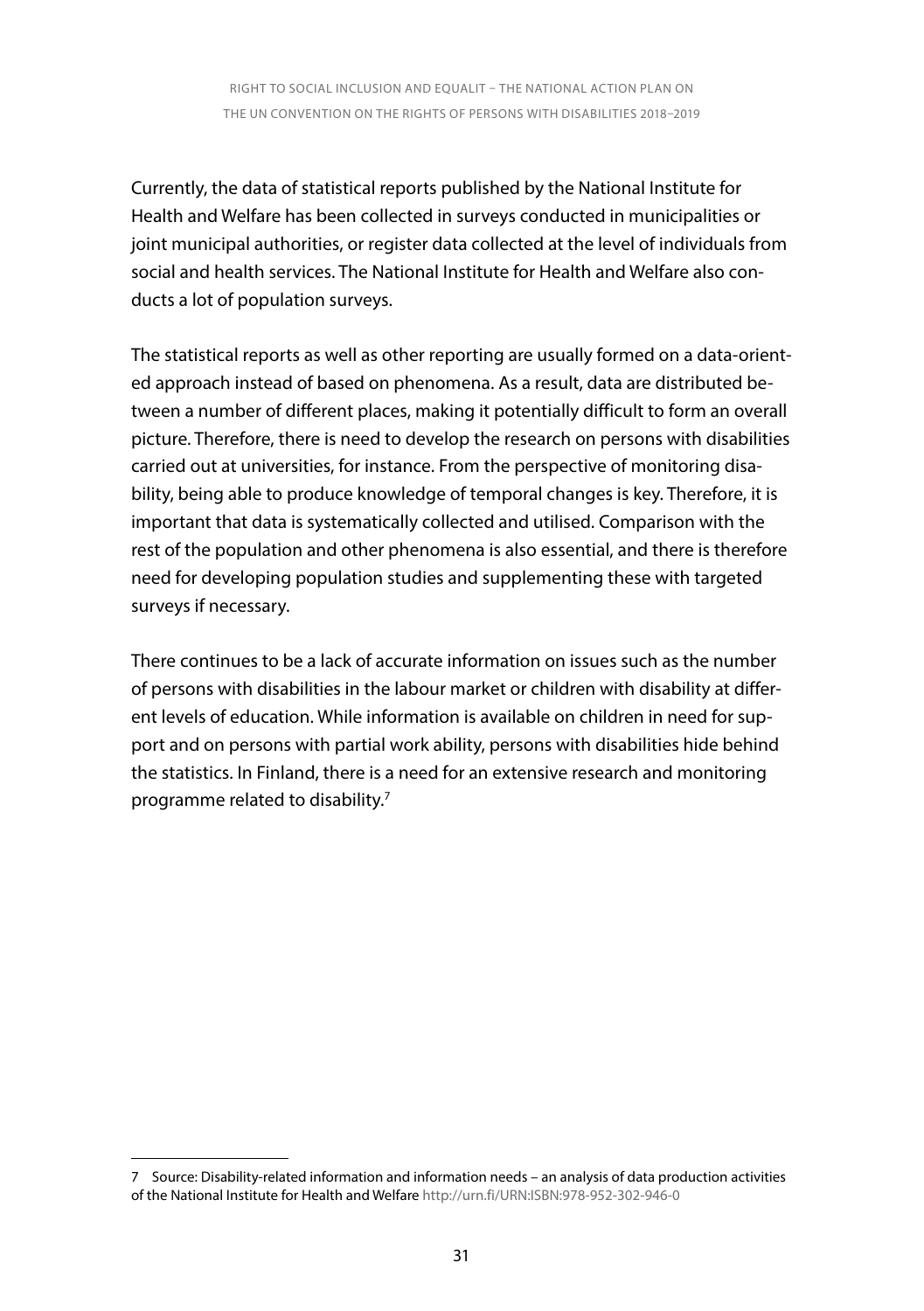Currently, the data of statistical reports published by the National Institute for Health and Welfare has been collected in surveys conducted in municipalities or joint municipal authorities, or register data collected at the level of individuals from social and health services. The National Institute for Health and Welfare also conducts a lot of population surveys.

The statistical reports as well as other reporting are usually formed on a data-oriented approach instead of based on phenomena. As a result, data are distributed between a number of different places, making it potentially difficult to form an overall picture. Therefore, there is need to develop the research on persons with disabilities carried out at universities, for instance. From the perspective of monitoring disability, being able to produce knowledge of temporal changes is key. Therefore, it is important that data is systematically collected and utilised. Comparison with the rest of the population and other phenomena is also essential, and there is therefore need for developing population studies and supplementing these with targeted surveys if necessary.

There continues to be a lack of accurate information on issues such as the number of persons with disabilities in the labour market or children with disability at different levels of education. While information is available on children in need for support and on persons with partial work ability, persons with disabilities hide behind the statistics. In Finland, there is a need for an extensive research and monitoring programme related to disability.7

<sup>7</sup> Source: Disability-related information and information needs – an analysis of data production activities of the National Institute for Health and Welfare http://urn.fi/URN:ISBN:978-952-302-946-0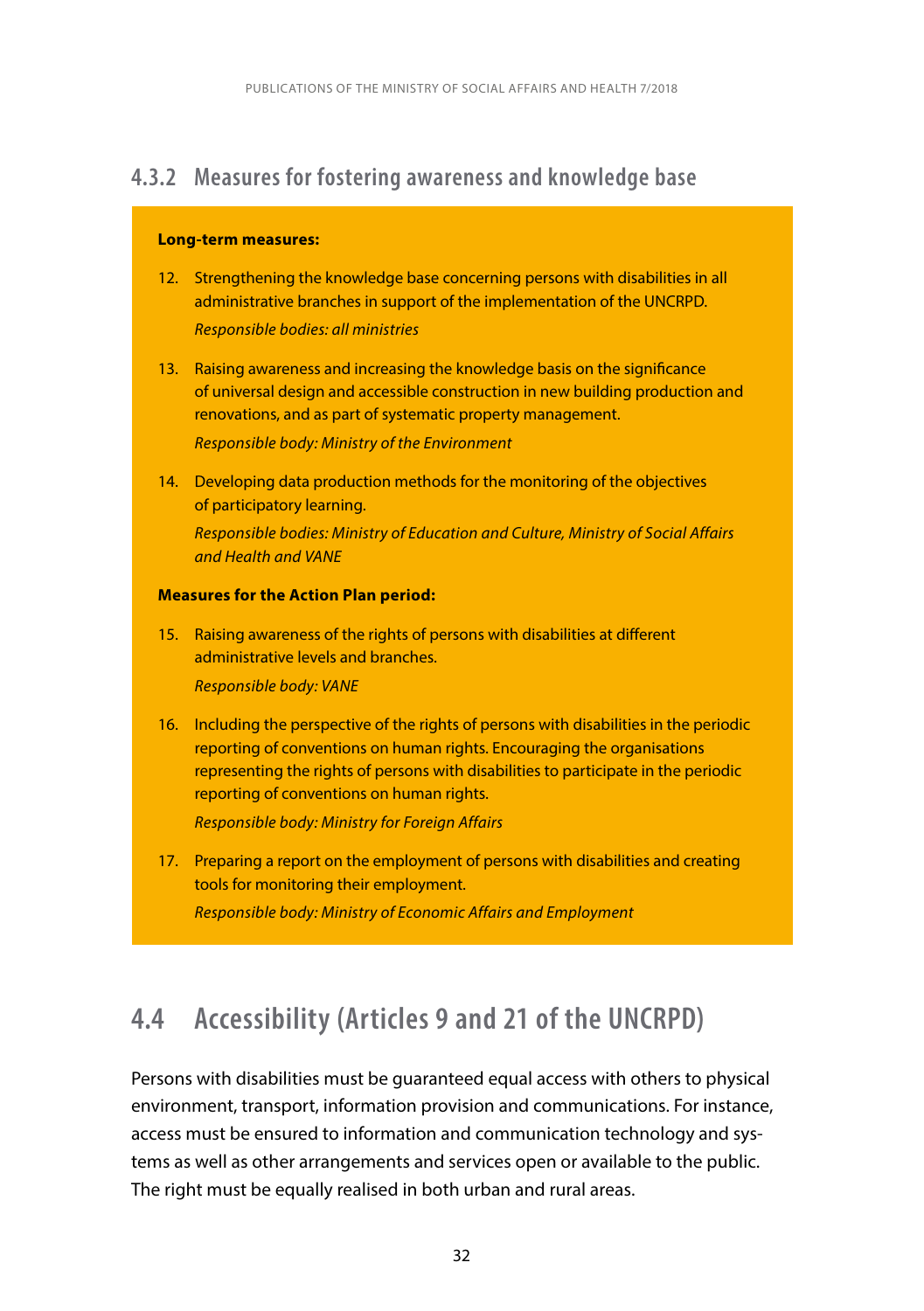### <span id="page-33-0"></span>**4.3.2 Measures for fostering awareness and knowledge base**

#### **Long-term measures:**

- 12. Strengthening the knowledge base concerning persons with disabilities in all administrative branches in support of the implementation of the UNCRPD. *Responsible bodies: all ministries*
- 13. Raising awareness and increasing the knowledge basis on the significance of universal design and accessible construction in new building production and renovations, and as part of systematic property management. *Responsible body: Ministry of the Environment*
- 14. Developing data production methods for the monitoring of the objectives of participatory learning.

*Responsible bodies: Ministry of Education and Culture, Ministry of Social Affairs and Health and VANE*

#### **Measures for the Action Plan period:**

- 15. Raising awareness of the rights of persons with disabilities at different administrative levels and branches. *Responsible body: VANE*
- 16. Including the perspective of the rights of persons with disabilities in the periodic reporting of conventions on human rights. Encouraging the organisations representing the rights of persons with disabilities to participate in the periodic reporting of conventions on human rights.

*Responsible body: Ministry for Foreign Affairs*

17. Preparing a report on the employment of persons with disabilities and creating tools for monitoring their employment. *Responsible body: Ministry of Economic Affairs and Employment*

## **4.4 Accessibility (Articles 9 and 21 of the UNCRPD)**

Persons with disabilities must be guaranteed equal access with others to physical environment, transport, information provision and communications. For instance, access must be ensured to information and communication technology and systems as well as other arrangements and services open or available to the public. The right must be equally realised in both urban and rural areas.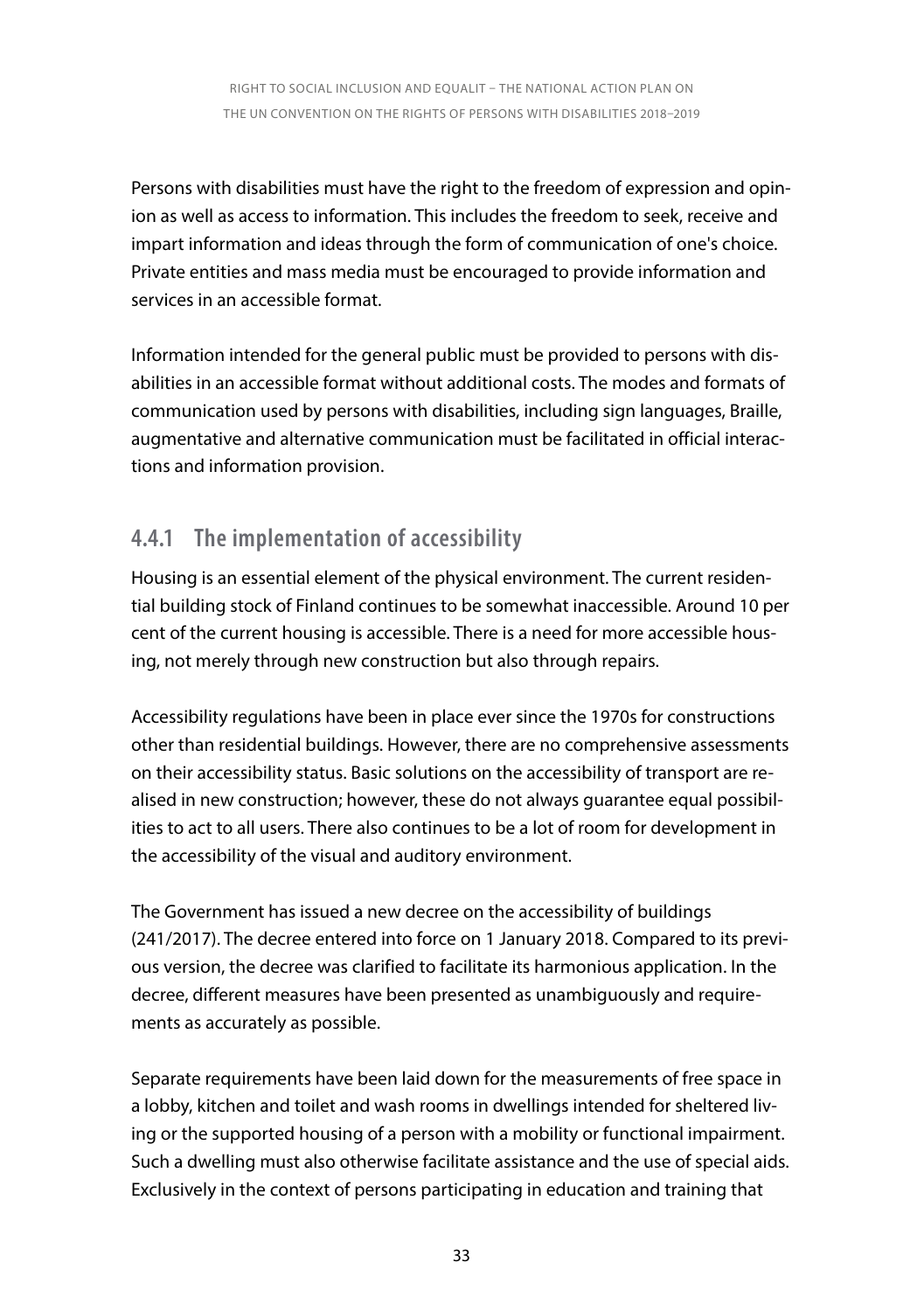<span id="page-34-0"></span>Persons with disabilities must have the right to the freedom of expression and opinion as well as access to information. This includes the freedom to seek, receive and impart information and ideas through the form of communication of one's choice. Private entities and mass media must be encouraged to provide information and services in an accessible format.

Information intended for the general public must be provided to persons with disabilities in an accessible format without additional costs. The modes and formats of communication used by persons with disabilities, including sign languages, Braille, augmentative and alternative communication must be facilitated in official interactions and information provision.

## **4.4.1 The implementation of accessibility**

Housing is an essential element of the physical environment. The current residential building stock of Finland continues to be somewhat inaccessible. Around 10 per cent of the current housing is accessible. There is a need for more accessible housing, not merely through new construction but also through repairs.

Accessibility regulations have been in place ever since the 1970s for constructions other than residential buildings. However, there are no comprehensive assessments on their accessibility status. Basic solutions on the accessibility of transport are realised in new construction; however, these do not always guarantee equal possibilities to act to all users. There also continues to be a lot of room for development in the accessibility of the visual and auditory environment.

The Government has issued a new decree on the accessibility of buildings (241/2017). The decree entered into force on 1 January 2018. Compared to its previous version, the decree was clarified to facilitate its harmonious application. In the decree, different measures have been presented as unambiguously and requirements as accurately as possible.

Separate requirements have been laid down for the measurements of free space in a lobby, kitchen and toilet and wash rooms in dwellings intended for sheltered living or the supported housing of a person with a mobility or functional impairment. Such a dwelling must also otherwise facilitate assistance and the use of special aids. Exclusively in the context of persons participating in education and training that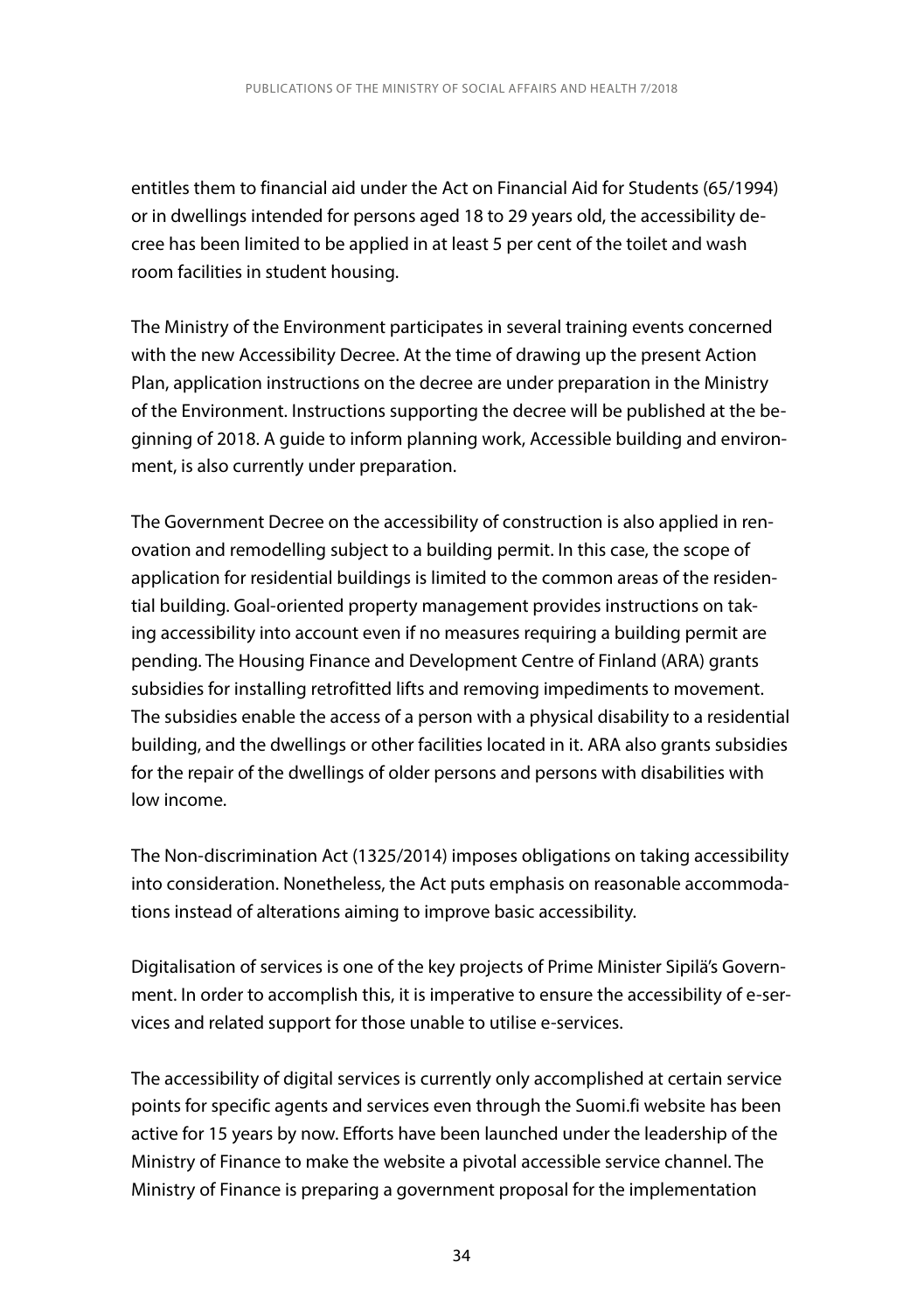entitles them to financial aid under the Act on Financial Aid for Students (65/1994) or in dwellings intended for persons aged 18 to 29 years old, the accessibility decree has been limited to be applied in at least 5 per cent of the toilet and wash room facilities in student housing.

The Ministry of the Environment participates in several training events concerned with the new Accessibility Decree. At the time of drawing up the present Action Plan, application instructions on the decree are under preparation in the Ministry of the Environment. Instructions supporting the decree will be published at the beginning of 2018. A guide to inform planning work, Accessible building and environment, is also currently under preparation.

The Government Decree on the accessibility of construction is also applied in renovation and remodelling subject to a building permit. In this case, the scope of application for residential buildings is limited to the common areas of the residential building. Goal-oriented property management provides instructions on taking accessibility into account even if no measures requiring a building permit are pending. The Housing Finance and Development Centre of Finland (ARA) grants subsidies for installing retrofitted lifts and removing impediments to movement. The subsidies enable the access of a person with a physical disability to a residential building, and the dwellings or other facilities located in it. ARA also grants subsidies for the repair of the dwellings of older persons and persons with disabilities with low income.

The Non-discrimination Act (1325/2014) imposes obligations on taking accessibility into consideration. Nonetheless, the Act puts emphasis on reasonable accommodations instead of alterations aiming to improve basic accessibility.

Digitalisation of services is one of the key projects of Prime Minister Sipilä's Government. In order to accomplish this, it is imperative to ensure the accessibility of e-services and related support for those unable to utilise e-services.

The accessibility of digital services is currently only accomplished at certain service points for specific agents and services even through the Suomi.fi website has been active for 15 years by now. Efforts have been launched under the leadership of the Ministry of Finance to make the website a pivotal accessible service channel. The Ministry of Finance is preparing a government proposal for the implementation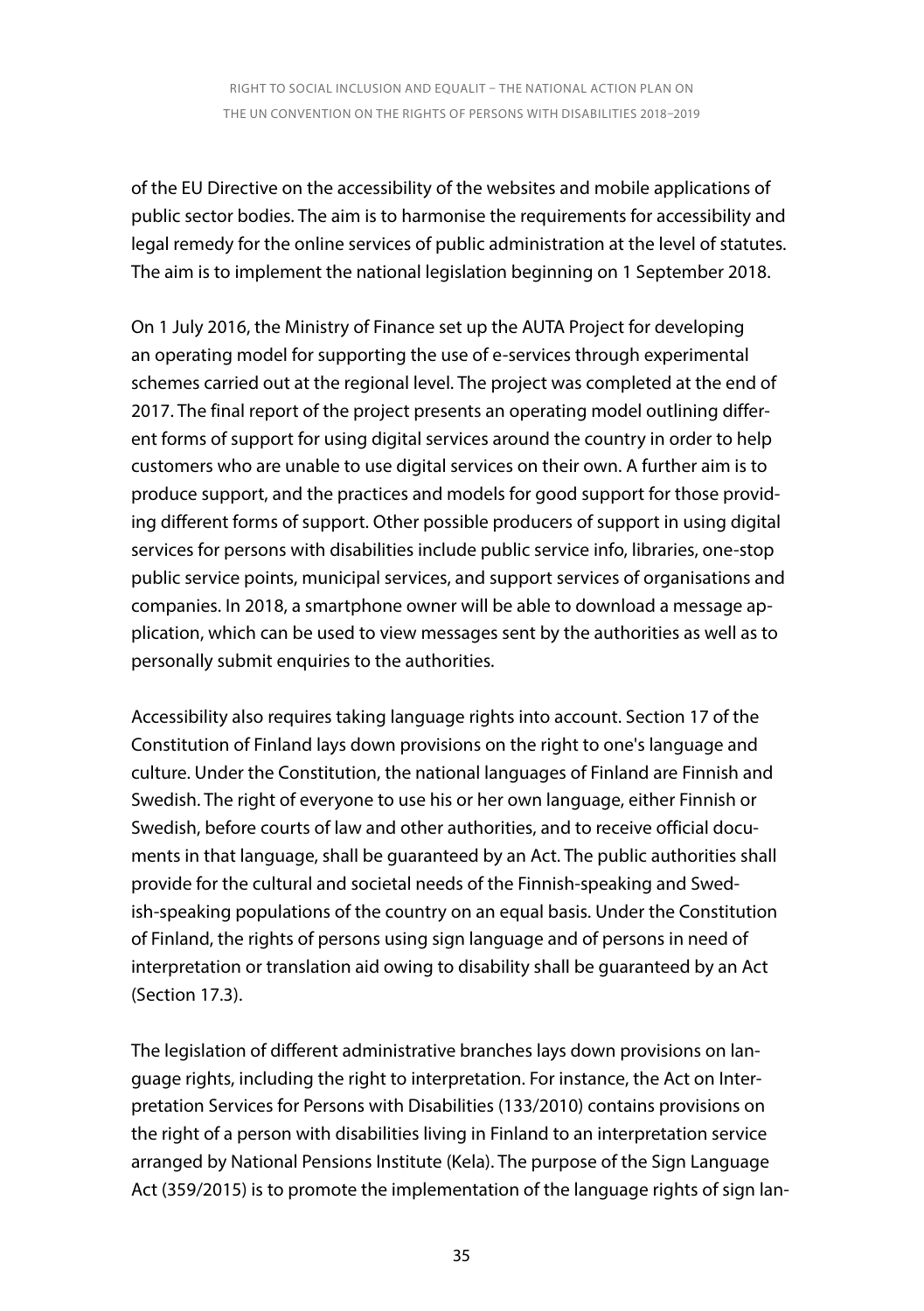RIGHT TO SOCIAL INCLUSION AND EQUALIT – THE NATIONAL ACTION PLAN ON THE UN CONVENTION ON THE RIGHTS OF PERSONS WITH DISABILITIES 2018–2019

of the EU Directive on the accessibility of the websites and mobile applications of public sector bodies. The aim is to harmonise the requirements for accessibility and legal remedy for the online services of public administration at the level of statutes. The aim is to implement the national legislation beginning on 1 September 2018.

On 1 July 2016, the Ministry of Finance set up the AUTA Project for developing an operating model for supporting the use of e-services through experimental schemes carried out at the regional level. The project was completed at the end of 2017. The final report of the project presents an operating model outlining different forms of support for using digital services around the country in order to help customers who are unable to use digital services on their own. A further aim is to produce support, and the practices and models for good support for those providing different forms of support. Other possible producers of support in using digital services for persons with disabilities include public service info, libraries, one-stop public service points, municipal services, and support services of organisations and companies. In 2018, a smartphone owner will be able to download a message application, which can be used to view messages sent by the authorities as well as to personally submit enquiries to the authorities.

Accessibility also requires taking language rights into account. Section 17 of the Constitution of Finland lays down provisions on the right to one's language and culture. Under the Constitution, the national languages of Finland are Finnish and Swedish. The right of everyone to use his or her own language, either Finnish or Swedish, before courts of law and other authorities, and to receive official documents in that language, shall be guaranteed by an Act. The public authorities shall provide for the cultural and societal needs of the Finnish-speaking and Swedish-speaking populations of the country on an equal basis. Under the Constitution of Finland, the rights of persons using sign language and of persons in need of interpretation or translation aid owing to disability shall be guaranteed by an Act (Section 17.3).

The legislation of different administrative branches lays down provisions on language rights, including the right to interpretation. For instance, the Act on Interpretation Services for Persons with Disabilities (133/2010) contains provisions on the right of a person with disabilities living in Finland to an interpretation service arranged by National Pensions Institute (Kela). The purpose of the Sign Language Act (359/2015) is to promote the implementation of the language rights of sign lan-

35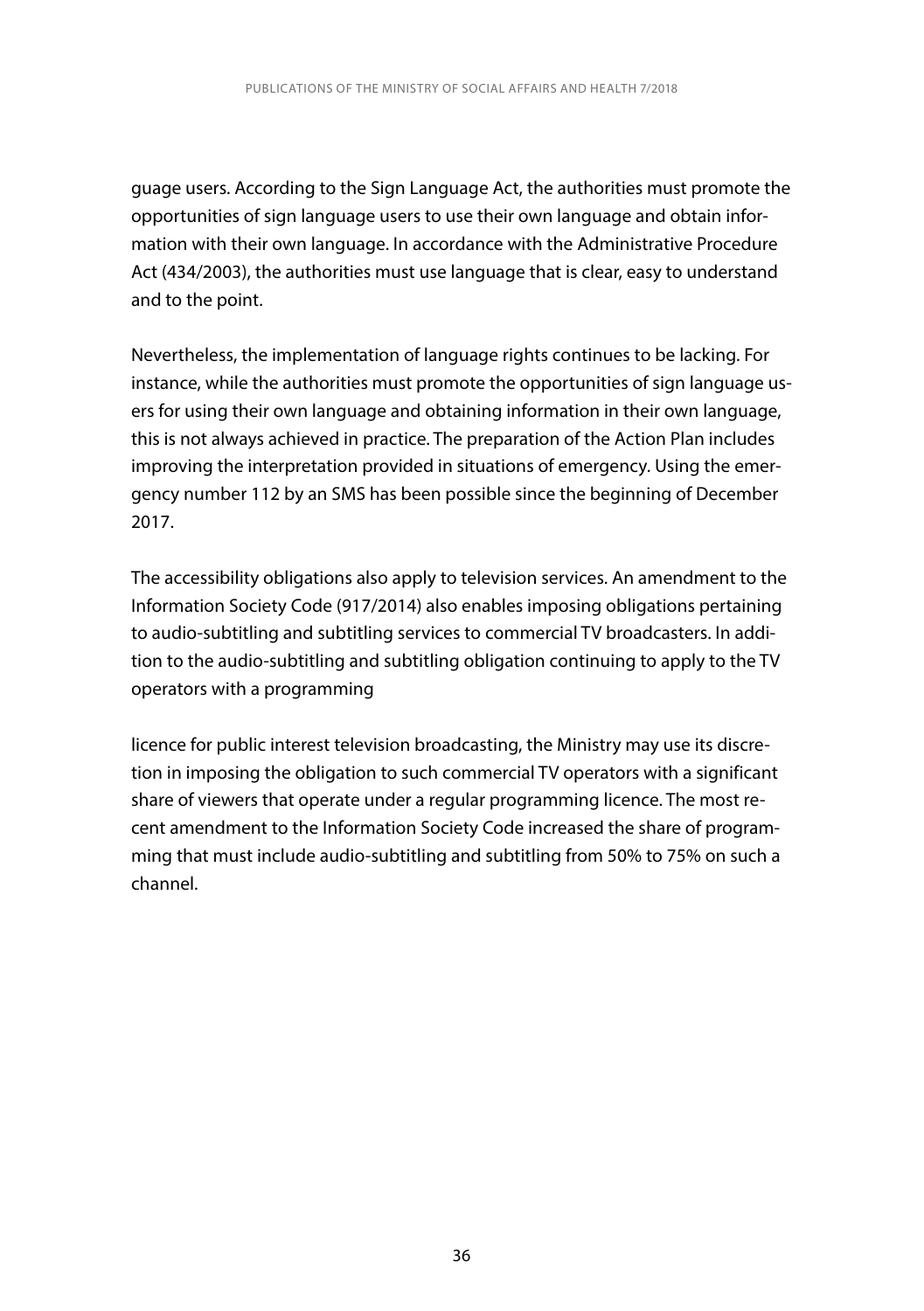guage users. According to the Sign Language Act, the authorities must promote the opportunities of sign language users to use their own language and obtain information with their own language. In accordance with the Administrative Procedure Act (434/2003), the authorities must use language that is clear, easy to understand and to the point.

Nevertheless, the implementation of language rights continues to be lacking. For instance, while the authorities must promote the opportunities of sign language users for using their own language and obtaining information in their own language, this is not always achieved in practice. The preparation of the Action Plan includes improving the interpretation provided in situations of emergency. Using the emergency number 112 by an SMS has been possible since the beginning of December 2017.

The accessibility obligations also apply to television services. An amendment to the Information Society Code (917/2014) also enables imposing obligations pertaining to audio-subtitling and subtitling services to commercial TV broadcasters. In addition to the audio-subtitling and subtitling obligation continuing to apply to the TV operators with a programming

licence for public interest television broadcasting, the Ministry may use its discretion in imposing the obligation to such commercial TV operators with a significant share of viewers that operate under a regular programming licence. The most recent amendment to the Information Society Code increased the share of programming that must include audio-subtitling and subtitling from 50% to 75% on such a channel.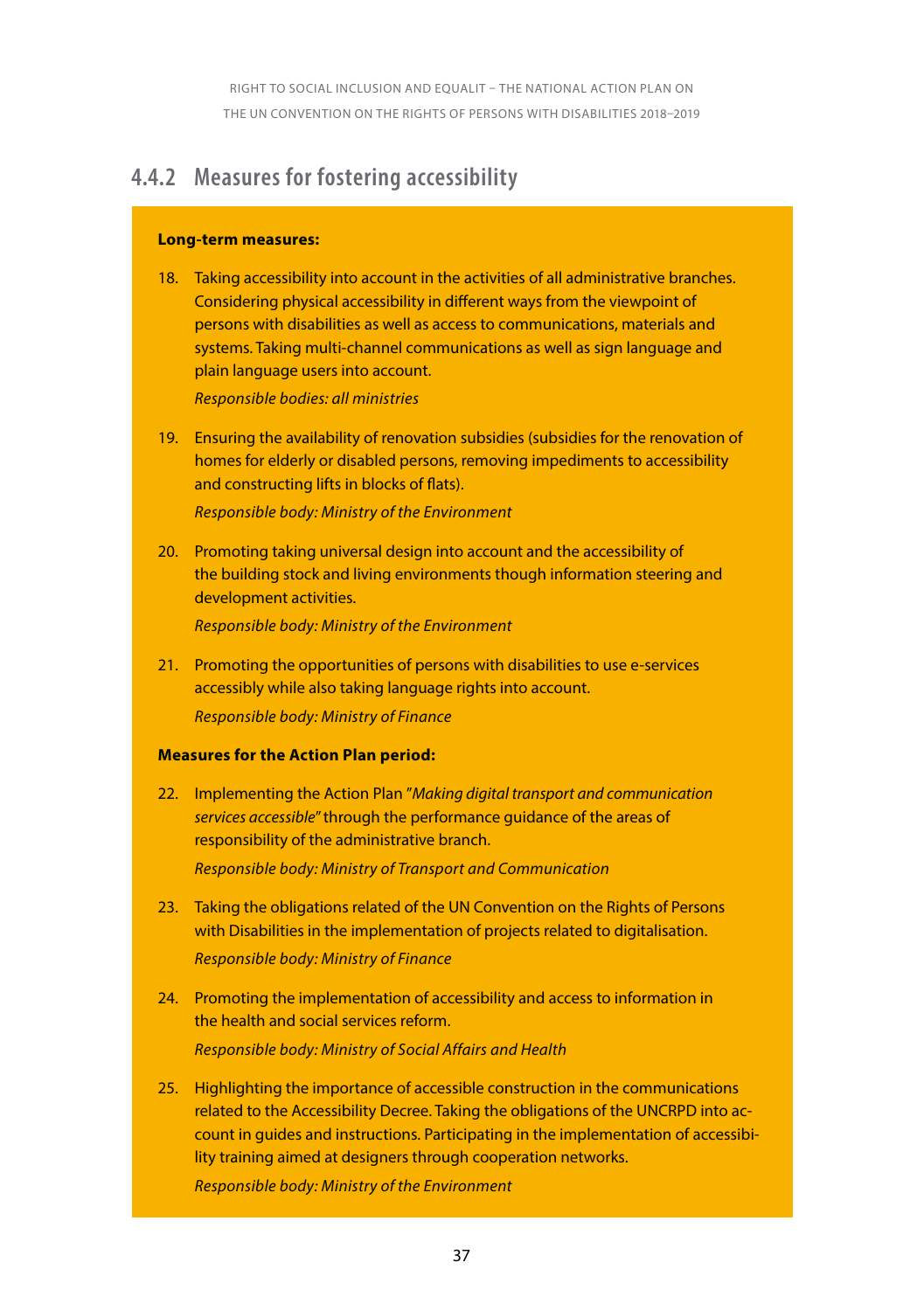## **4.4.2 Measures for fostering accessibility**

#### **Long-term measures:**

18. Taking accessibility into account in the activities of all administrative branches. Considering physical accessibility in different ways from the viewpoint of persons with disabilities as well as access to communications, materials and systems. Taking multi-channel communications as well as sign language and plain language users into account.

*Responsible bodies: all ministries*

- 19. Ensuring the availability of renovation subsidies (subsidies for the renovation of homes for elderly or disabled persons, removing impediments to accessibility and constructing lifts in blocks of flats). *Responsible body: Ministry of the Environment*
- 20. Promoting taking universal design into account and the accessibility of the building stock and living environments though information steering and development activities. *Responsible body: Ministry of the Environment*
- 21. Promoting the opportunities of persons with disabilities to use e-services accessibly while also taking language rights into account. *Responsible body: Ministry of Finance*

#### **Measures for the Action Plan period:**

- 22. Implementing the Action Plan "*Making digital transport and communication services accessible*" through the performance guidance of the areas of responsibility of the administrative branch. *Responsible body: Ministry of Transport and Communication*
- 23. Taking the obligations related of the UN Convention on the Rights of Persons with Disabilities in the implementation of projects related to digitalisation. *Responsible body: Ministry of Finance*
- 24. Promoting the implementation of accessibility and access to information in the health and social services reform. *Responsible body: Ministry of Social Affairs and Health*
- 25. Highlighting the importance of accessible construction in the communications related to the Accessibility Decree. Taking the obligations of the UNCRPD into account in guides and instructions. Participating in the implementation of accessibility training aimed at designers through cooperation networks.

*Responsible body: Ministry of the Environment*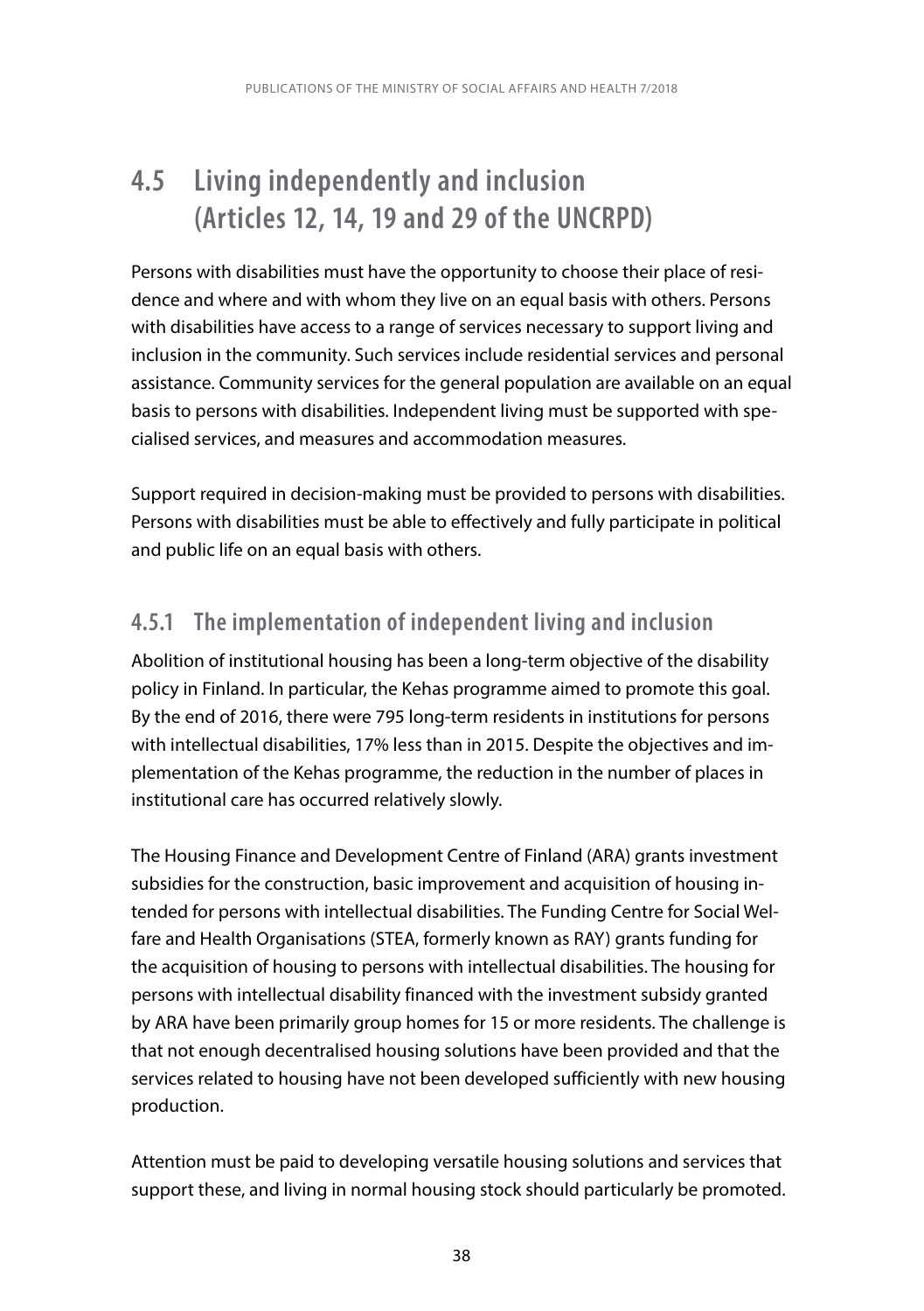# **4.5 Living independently and inclusion (Articles 12, 14, 19 and 29 of the UNCRPD)**

Persons with disabilities must have the opportunity to choose their place of residence and where and with whom they live on an equal basis with others. Persons with disabilities have access to a range of services necessary to support living and inclusion in the community. Such services include residential services and personal assistance. Community services for the general population are available on an equal basis to persons with disabilities. Independent living must be supported with specialised services, and measures and accommodation measures.

Support required in decision-making must be provided to persons with disabilities. Persons with disabilities must be able to effectively and fully participate in political and public life on an equal basis with others.

## **4.5.1 The implementation of independent living and inclusion**

Abolition of institutional housing has been a long-term objective of the disability policy in Finland. In particular, the Kehas programme aimed to promote this goal. By the end of 2016, there were 795 long-term residents in institutions for persons with intellectual disabilities, 17% less than in 2015. Despite the objectives and implementation of the Kehas programme, the reduction in the number of places in institutional care has occurred relatively slowly.

The Housing Finance and Development Centre of Finland (ARA) grants investment subsidies for the construction, basic improvement and acquisition of housing intended for persons with intellectual disabilities. The Funding Centre for Social Welfare and Health Organisations (STEA, formerly known as RAY) grants funding for the acquisition of housing to persons with intellectual disabilities. The housing for persons with intellectual disability financed with the investment subsidy granted by ARA have been primarily group homes for 15 or more residents. The challenge is that not enough decentralised housing solutions have been provided and that the services related to housing have not been developed sufficiently with new housing production.

Attention must be paid to developing versatile housing solutions and services that support these, and living in normal housing stock should particularly be promoted.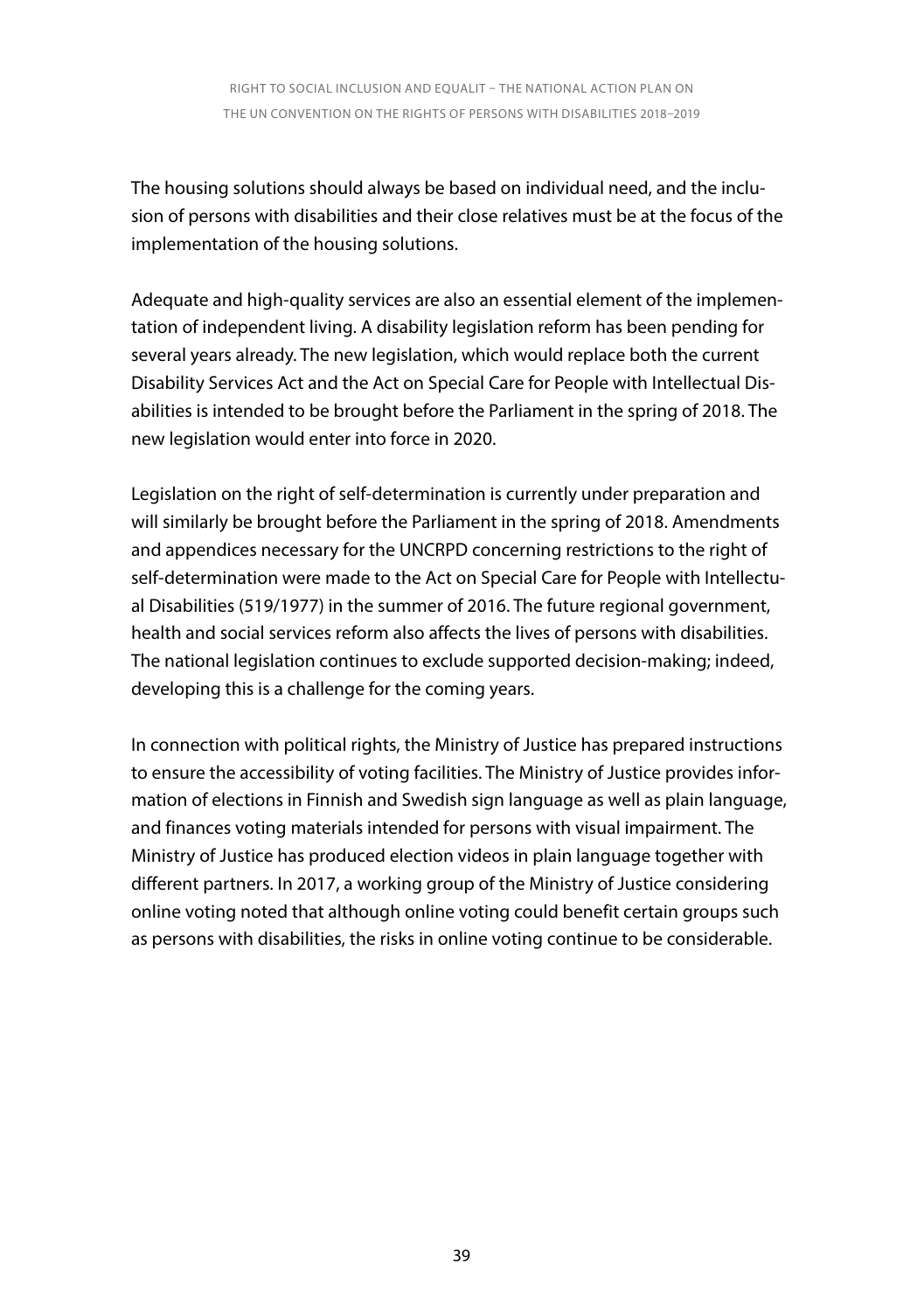RIGHT TO SOCIAL INCLUSION AND EQUALIT – THE NATIONAL ACTION PLAN ON THE UN CONVENTION ON THE RIGHTS OF PERSONS WITH DISABILITIES 2018–2019

The housing solutions should always be based on individual need, and the inclusion of persons with disabilities and their close relatives must be at the focus of the implementation of the housing solutions.

Adequate and high-quality services are also an essential element of the implementation of independent living. A disability legislation reform has been pending for several years already. The new legislation, which would replace both the current Disability Services Act and the Act on Special Care for People with Intellectual Disabilities is intended to be brought before the Parliament in the spring of 2018. The new legislation would enter into force in 2020.

Legislation on the right of self-determination is currently under preparation and will similarly be brought before the Parliament in the spring of 2018. Amendments and appendices necessary for the UNCRPD concerning restrictions to the right of self-determination were made to the Act on Special Care for People with Intellectual Disabilities (519/1977) in the summer of 2016. The future regional government, health and social services reform also affects the lives of persons with disabilities. The national legislation continues to exclude supported decision-making; indeed, developing this is a challenge for the coming years.

In connection with political rights, the Ministry of Justice has prepared instructions to ensure the accessibility of voting facilities. The Ministry of Justice provides information of elections in Finnish and Swedish sign language as well as plain language, and finances voting materials intended for persons with visual impairment. The Ministry of Justice has produced election videos in plain language together with different partners. In 2017, a working group of the Ministry of Justice considering online voting noted that although online voting could benefit certain groups such as persons with disabilities, the risks in online voting continue to be considerable.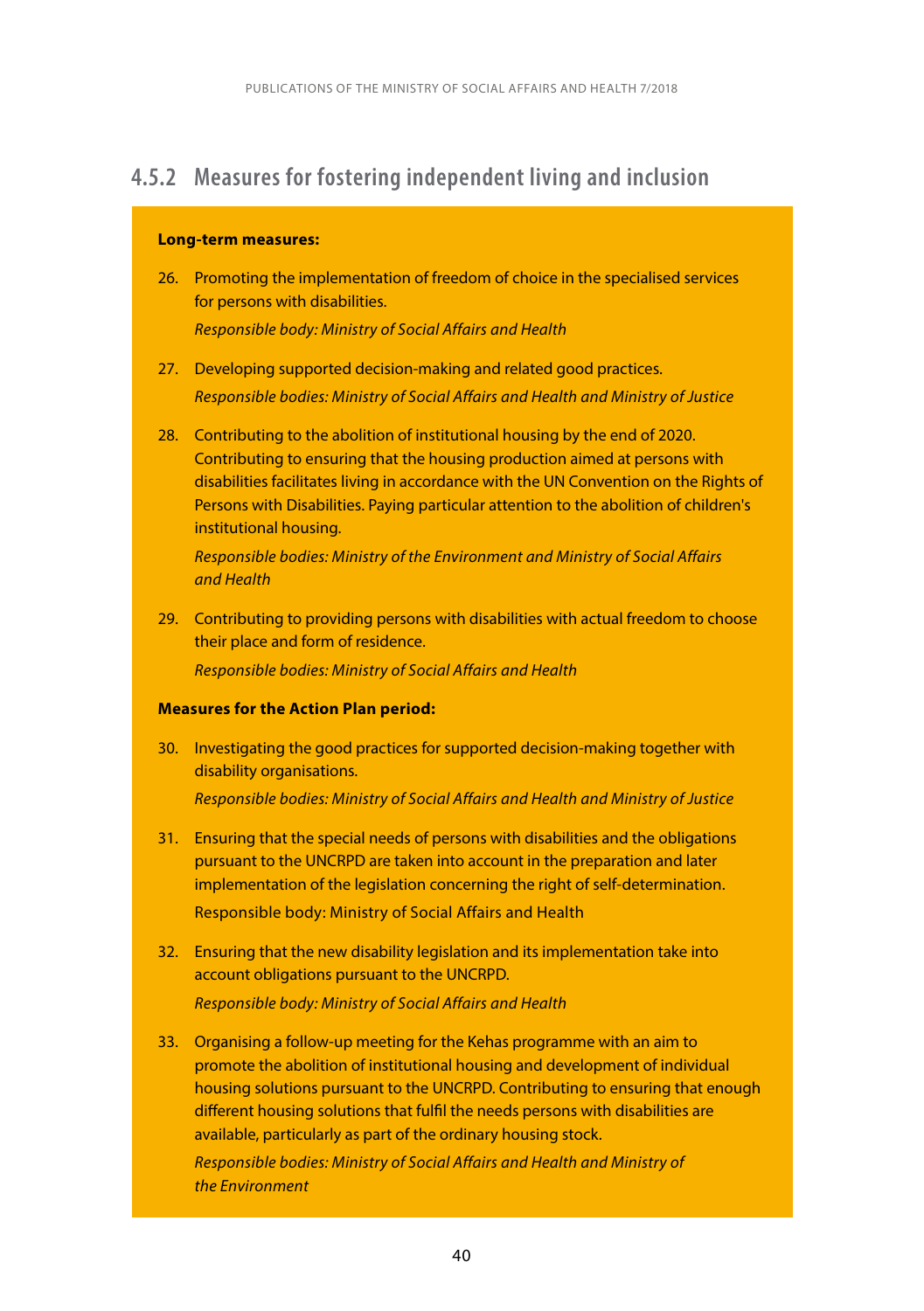## **4.5.2 Measures for fostering independent living and inclusion**

#### **Long-term measures:**

26. Promoting the implementation of freedom of choice in the specialised services for persons with disabilities.

*Responsible body: Ministry of Social Affairs and Health*

- 27. Developing supported decision-making and related good practices. *Responsible bodies: Ministry of Social Affairs and Health and Ministry of Justice*
- 28. Contributing to the abolition of institutional housing by the end of 2020. Contributing to ensuring that the housing production aimed at persons with disabilities facilitates living in accordance with the UN Convention on the Rights of Persons with Disabilities. Paying particular attention to the abolition of children's institutional housing.

*Responsible bodies: Ministry of the Environment and Ministry of Social Affairs and Health*

29. Contributing to providing persons with disabilities with actual freedom to choose their place and form of residence. *Responsible bodies: Ministry of Social Affairs and Health*

#### **Measures for the Action Plan period:**

- 30. Investigating the good practices for supported decision-making together with disability organisations. *Responsible bodies: Ministry of Social Affairs and Health and Ministry of Justice*
- 31. Ensuring that the special needs of persons with disabilities and the obligations pursuant to the UNCRPD are taken into account in the preparation and later implementation of the legislation concerning the right of self-determination. Responsible body: Ministry of Social Affairs and Health
- 32. Ensuring that the new disability legislation and its implementation take into account obligations pursuant to the UNCRPD. *Responsible body: Ministry of Social Affairs and Health*
- 33. Organising a follow-up meeting for the Kehas programme with an aim to promote the abolition of institutional housing and development of individual housing solutions pursuant to the UNCRPD. Contributing to ensuring that enough different housing solutions that fulfil the needs persons with disabilities are available, particularly as part of the ordinary housing stock. *Responsible bodies: Ministry of Social Affairs and Health and Ministry of the Environment*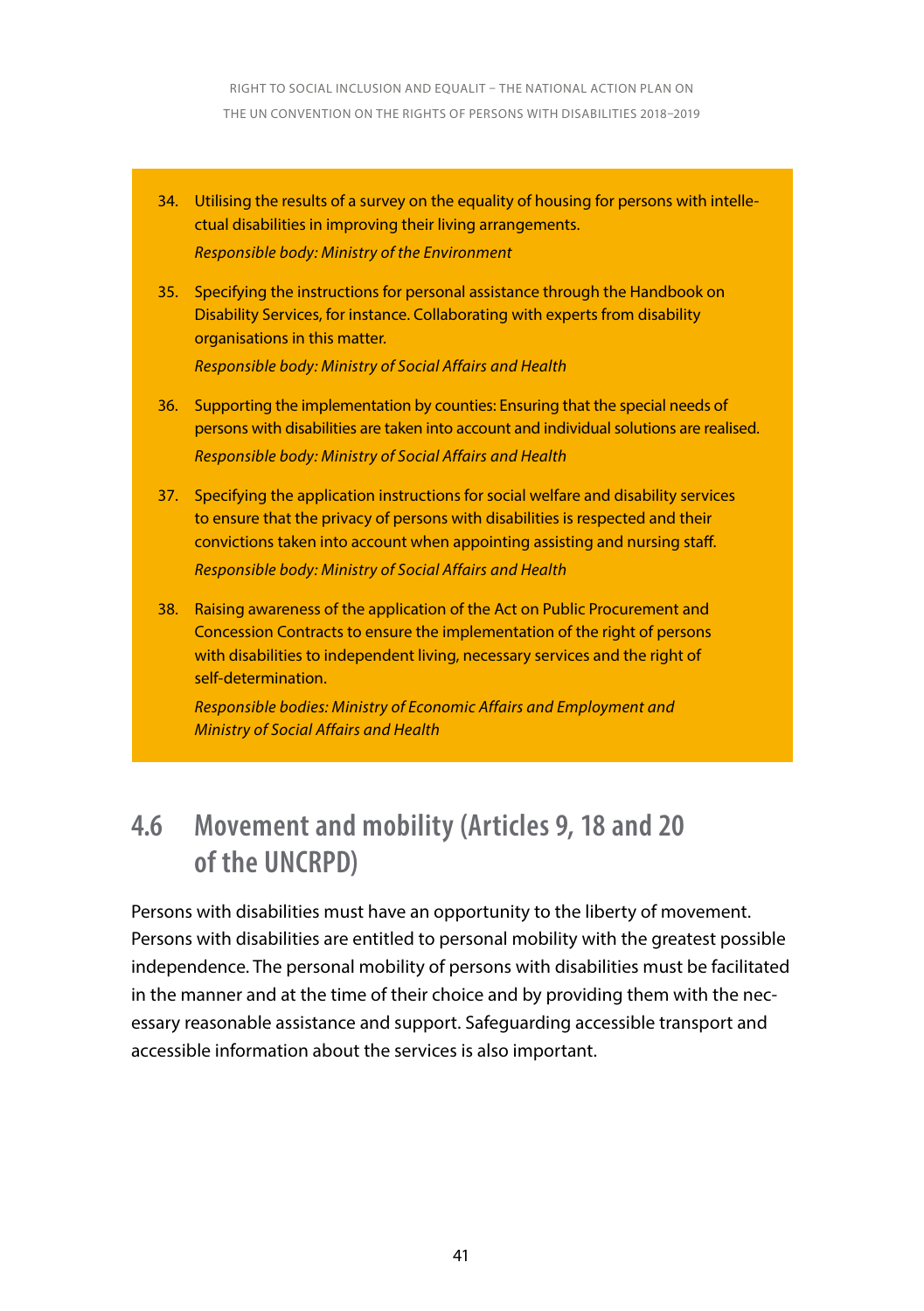- 34. Utilising the results of a survey on the equality of housing for persons with intellectual disabilities in improving their living arrangements. *Responsible body: Ministry of the Environment*
- 35. Specifying the instructions for personal assistance through the Handbook on Disability Services, for instance. Collaborating with experts from disability organisations in this matter. *Responsible body: Ministry of Social Affairs and Health*
- 36. Supporting the implementation by counties: Ensuring that the special needs of persons with disabilities are taken into account and individual solutions are realised. *Responsible body: Ministry of Social Affairs and Health*
- 37. Specifying the application instructions for social welfare and disability services to ensure that the privacy of persons with disabilities is respected and their convictions taken into account when appointing assisting and nursing staff. *Responsible body: Ministry of Social Affairs and Health*
- 38. Raising awareness of the application of the Act on Public Procurement and Concession Contracts to ensure the implementation of the right of persons with disabilities to independent living, necessary services and the right of self-determination.

*Responsible bodies: Ministry of Economic Affairs and Employment and Ministry of Social Affairs and Health*

# **4.6 Movement and mobility (Articles 9, 18 and 20 of the UNCRPD)**

Persons with disabilities must have an opportunity to the liberty of movement. Persons with disabilities are entitled to personal mobility with the greatest possible independence. The personal mobility of persons with disabilities must be facilitated in the manner and at the time of their choice and by providing them with the necessary reasonable assistance and support. Safeguarding accessible transport and accessible information about the services is also important.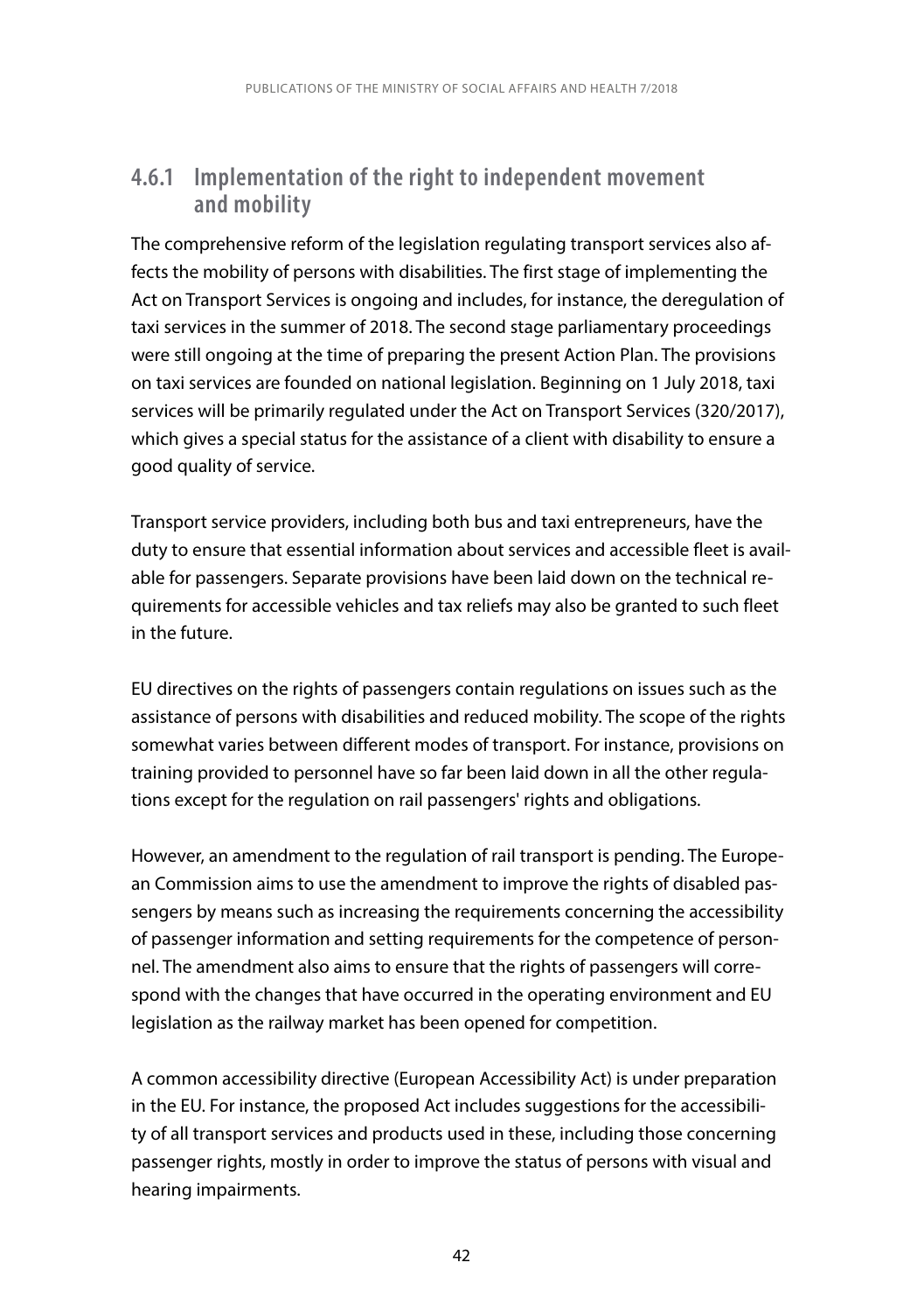## **4.6.1 Implementation of the right to independent movement and mobility**

The comprehensive reform of the legislation regulating transport services also affects the mobility of persons with disabilities. The first stage of implementing the Act on Transport Services is ongoing and includes, for instance, the deregulation of taxi services in the summer of 2018. The second stage parliamentary proceedings were still ongoing at the time of preparing the present Action Plan. The provisions on taxi services are founded on national legislation. Beginning on 1 July 2018, taxi services will be primarily regulated under the Act on Transport Services (320/2017), which gives a special status for the assistance of a client with disability to ensure a good quality of service.

Transport service providers, including both bus and taxi entrepreneurs, have the duty to ensure that essential information about services and accessible fleet is available for passengers. Separate provisions have been laid down on the technical requirements for accessible vehicles and tax reliefs may also be granted to such fleet in the future.

EU directives on the rights of passengers contain regulations on issues such as the assistance of persons with disabilities and reduced mobility. The scope of the rights somewhat varies between different modes of transport. For instance, provisions on training provided to personnel have so far been laid down in all the other regulations except for the regulation on rail passengers' rights and obligations.

However, an amendment to the regulation of rail transport is pending. The European Commission aims to use the amendment to improve the rights of disabled passengers by means such as increasing the requirements concerning the accessibility of passenger information and setting requirements for the competence of personnel. The amendment also aims to ensure that the rights of passengers will correspond with the changes that have occurred in the operating environment and EU legislation as the railway market has been opened for competition.

A common accessibility directive (European Accessibility Act) is under preparation in the EU. For instance, the proposed Act includes suggestions for the accessibility of all transport services and products used in these, including those concerning passenger rights, mostly in order to improve the status of persons with visual and hearing impairments.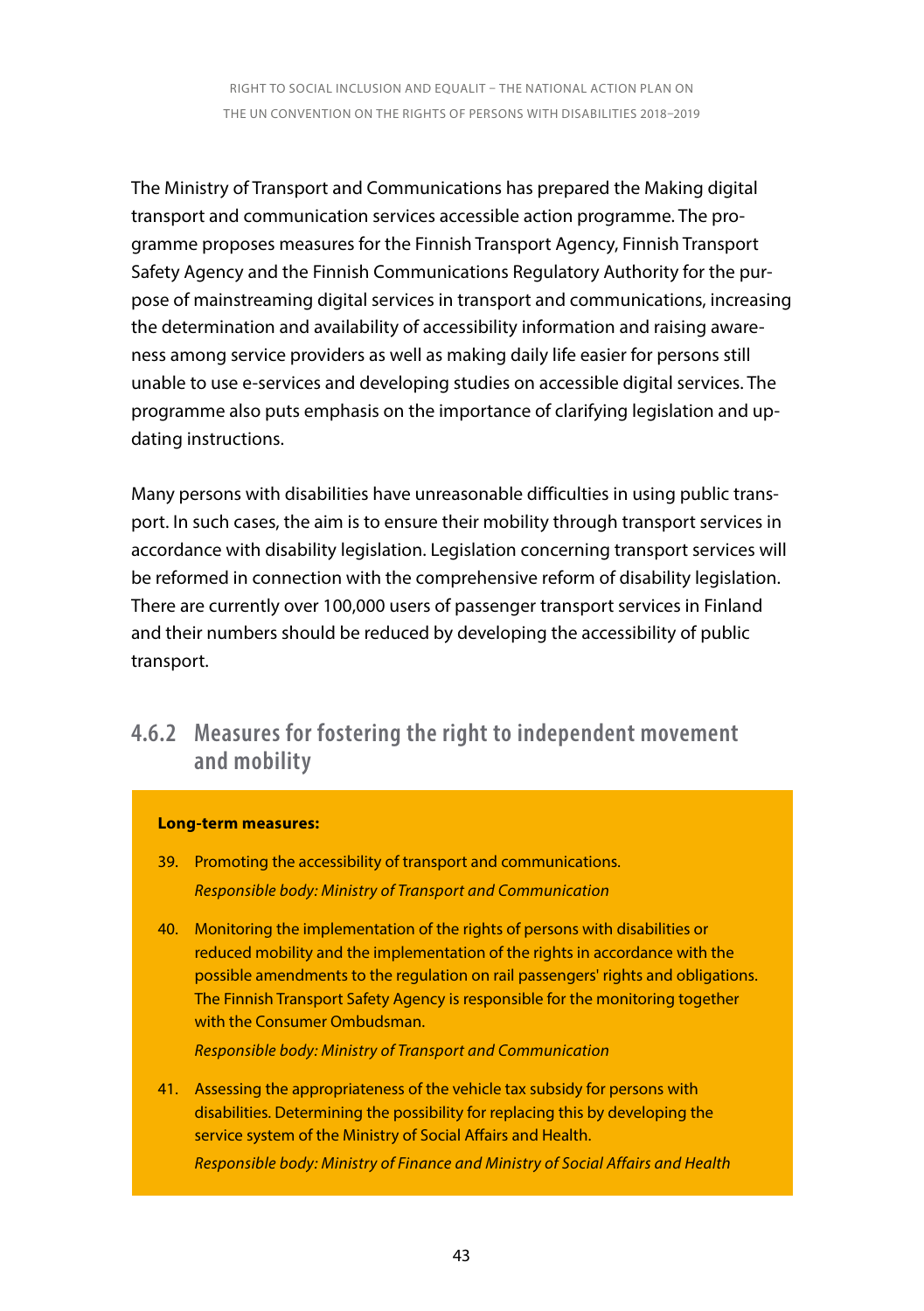The Ministry of Transport and Communications has prepared the Making digital transport and communication services accessible action programme. The programme proposes measures for the Finnish Transport Agency, Finnish Transport Safety Agency and the Finnish Communications Regulatory Authority for the purpose of mainstreaming digital services in transport and communications, increasing the determination and availability of accessibility information and raising awareness among service providers as well as making daily life easier for persons still unable to use e-services and developing studies on accessible digital services. The programme also puts emphasis on the importance of clarifying legislation and updating instructions.

Many persons with disabilities have unreasonable difficulties in using public transport. In such cases, the aim is to ensure their mobility through transport services in accordance with disability legislation. Legislation concerning transport services will be reformed in connection with the comprehensive reform of disability legislation. There are currently over 100,000 users of passenger transport services in Finland and their numbers should be reduced by developing the accessibility of public transport.

## **4.6.2 Measures for fostering the right to independent movement and mobility**

#### **Long-term measures:**

- 39. Promoting the accessibility of transport and communications. *Responsible body: Ministry of Transport and Communication*
- 40. Monitoring the implementation of the rights of persons with disabilities or reduced mobility and the implementation of the rights in accordance with the possible amendments to the regulation on rail passengers' rights and obligations. The Finnish Transport Safety Agency is responsible for the monitoring together with the Consumer Ombudsman. *Responsible body: Ministry of Transport and Communication*
- 41. Assessing the appropriateness of the vehicle tax subsidy for persons with disabilities. Determining the possibility for replacing this by developing the service system of the Ministry of Social Affairs and Health. *Responsible body: Ministry of Finance and Ministry of Social Affairs and Health*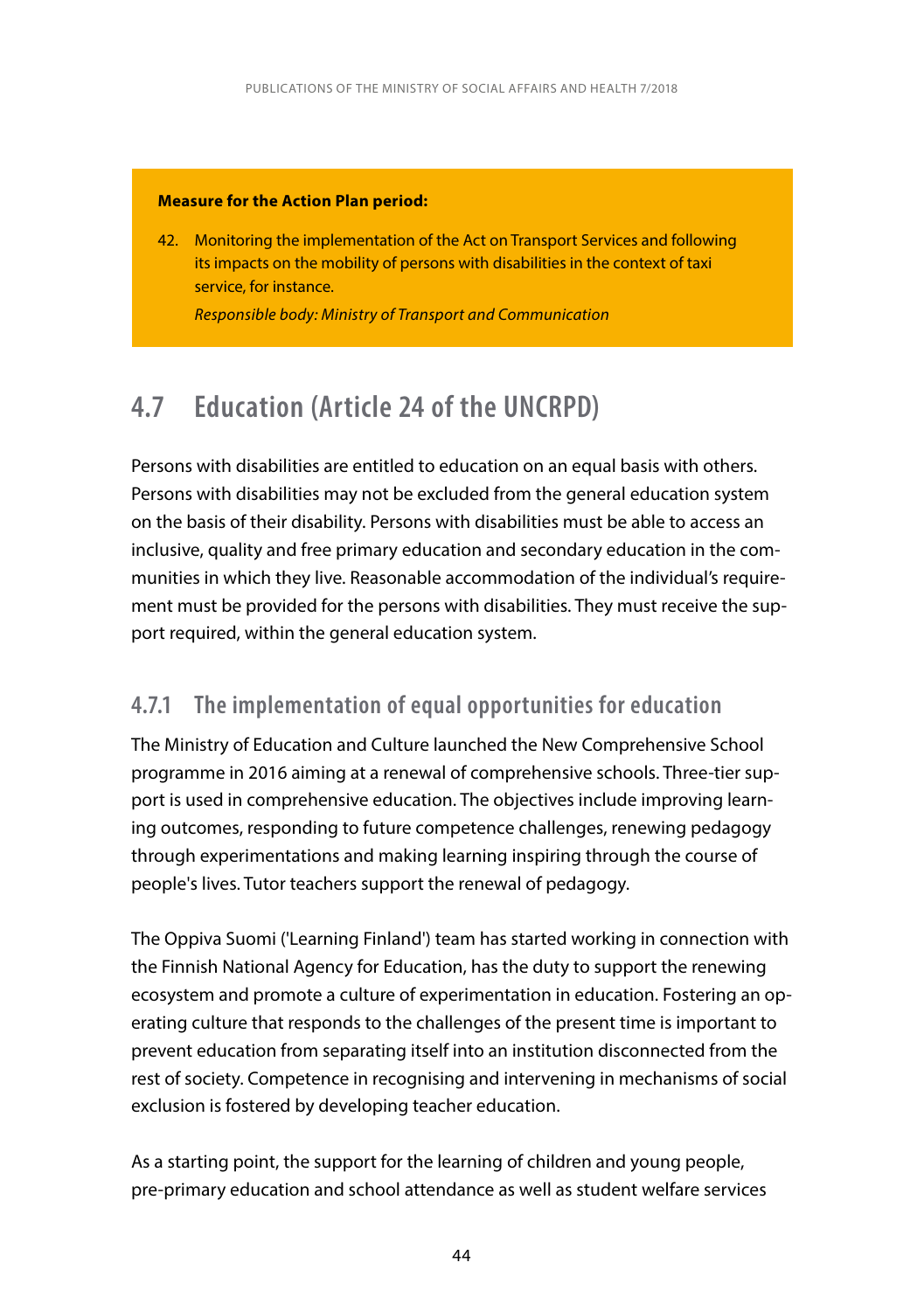#### **Measure for the Action Plan period:**

42. Monitoring the implementation of the Act on Transport Services and following its impacts on the mobility of persons with disabilities in the context of taxi service, for instance.

*Responsible body: Ministry of Transport and Communication*

## **4.7 Education (Article 24 of the UNCRPD)**

Persons with disabilities are entitled to education on an equal basis with others. Persons with disabilities may not be excluded from the general education system on the basis of their disability. Persons with disabilities must be able to access an inclusive, quality and free primary education and secondary education in the communities in which they live. Reasonable accommodation of the individual's requirement must be provided for the persons with disabilities. They must receive the support required, within the general education system.

## **4.7.1 The implementation of equal opportunities for education**

The Ministry of Education and Culture launched the New Comprehensive School programme in 2016 aiming at a renewal of comprehensive schools. Three-tier support is used in comprehensive education. The objectives include improving learning outcomes, responding to future competence challenges, renewing pedagogy through experimentations and making learning inspiring through the course of people's lives. Tutor teachers support the renewal of pedagogy.

The Oppiva Suomi ('Learning Finland') team has started working in connection with the Finnish National Agency for Education, has the duty to support the renewing ecosystem and promote a culture of experimentation in education. Fostering an operating culture that responds to the challenges of the present time is important to prevent education from separating itself into an institution disconnected from the rest of society. Competence in recognising and intervening in mechanisms of social exclusion is fostered by developing teacher education.

As a starting point, the support for the learning of children and young people, pre-primary education and school attendance as well as student welfare services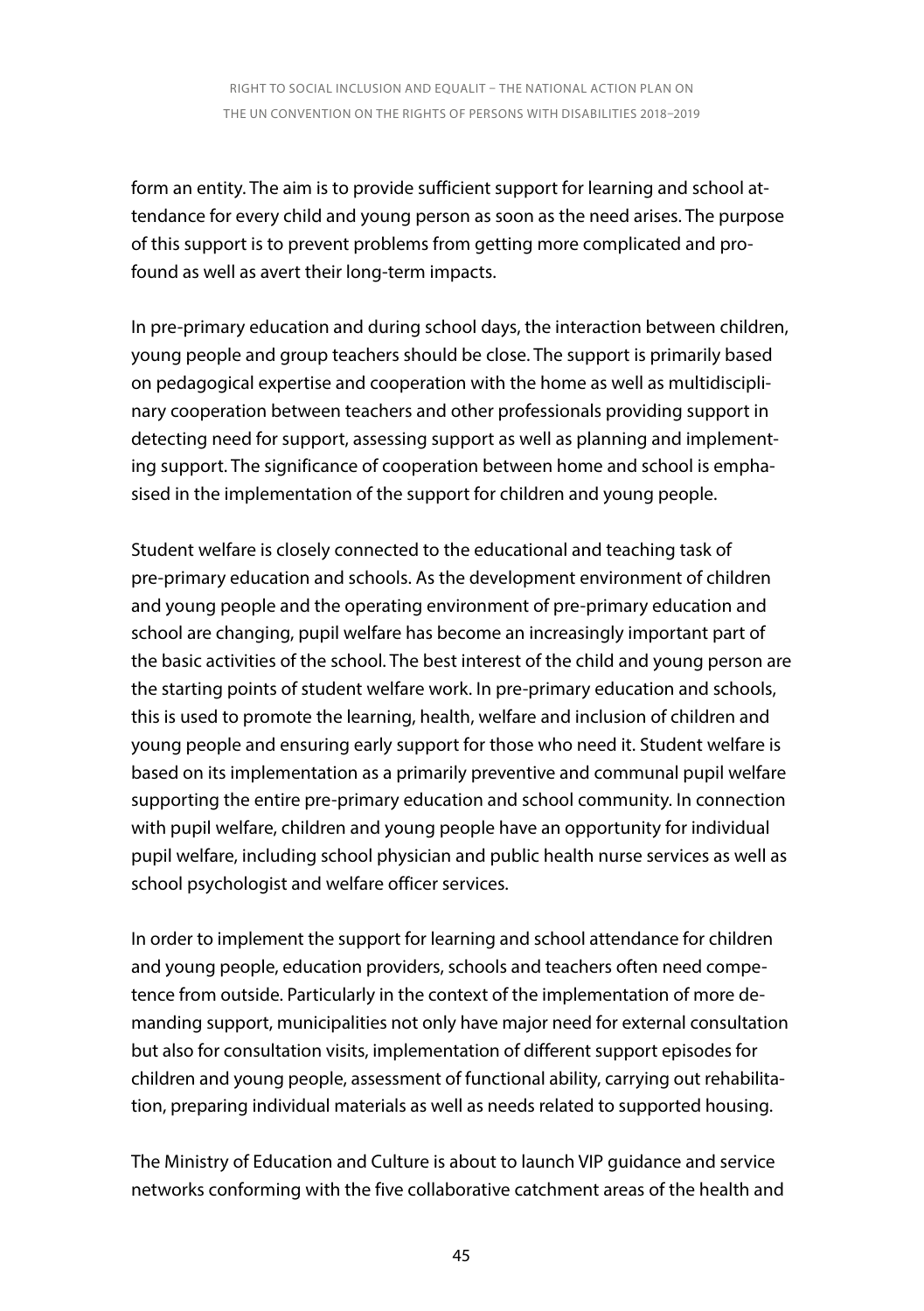RIGHT TO SOCIAL INCLUSION AND EQUALIT – THE NATIONAL ACTION PLAN ON THE UN CONVENTION ON THE RIGHTS OF PERSONS WITH DISABILITIES 2018–2019

form an entity. The aim is to provide sufficient support for learning and school attendance for every child and young person as soon as the need arises. The purpose of this support is to prevent problems from getting more complicated and profound as well as avert their long-term impacts.

In pre-primary education and during school days, the interaction between children, young people and group teachers should be close. The support is primarily based on pedagogical expertise and cooperation with the home as well as multidisciplinary cooperation between teachers and other professionals providing support in detecting need for support, assessing support as well as planning and implementing support. The significance of cooperation between home and school is emphasised in the implementation of the support for children and young people.

Student welfare is closely connected to the educational and teaching task of pre-primary education and schools. As the development environment of children and young people and the operating environment of pre-primary education and school are changing, pupil welfare has become an increasingly important part of the basic activities of the school. The best interest of the child and young person are the starting points of student welfare work. In pre-primary education and schools, this is used to promote the learning, health, welfare and inclusion of children and young people and ensuring early support for those who need it. Student welfare is based on its implementation as a primarily preventive and communal pupil welfare supporting the entire pre-primary education and school community. In connection with pupil welfare, children and young people have an opportunity for individual pupil welfare, including school physician and public health nurse services as well as school psychologist and welfare officer services.

In order to implement the support for learning and school attendance for children and young people, education providers, schools and teachers often need competence from outside. Particularly in the context of the implementation of more demanding support, municipalities not only have major need for external consultation but also for consultation visits, implementation of different support episodes for children and young people, assessment of functional ability, carrying out rehabilitation, preparing individual materials as well as needs related to supported housing.

The Ministry of Education and Culture is about to launch VIP guidance and service networks conforming with the five collaborative catchment areas of the health and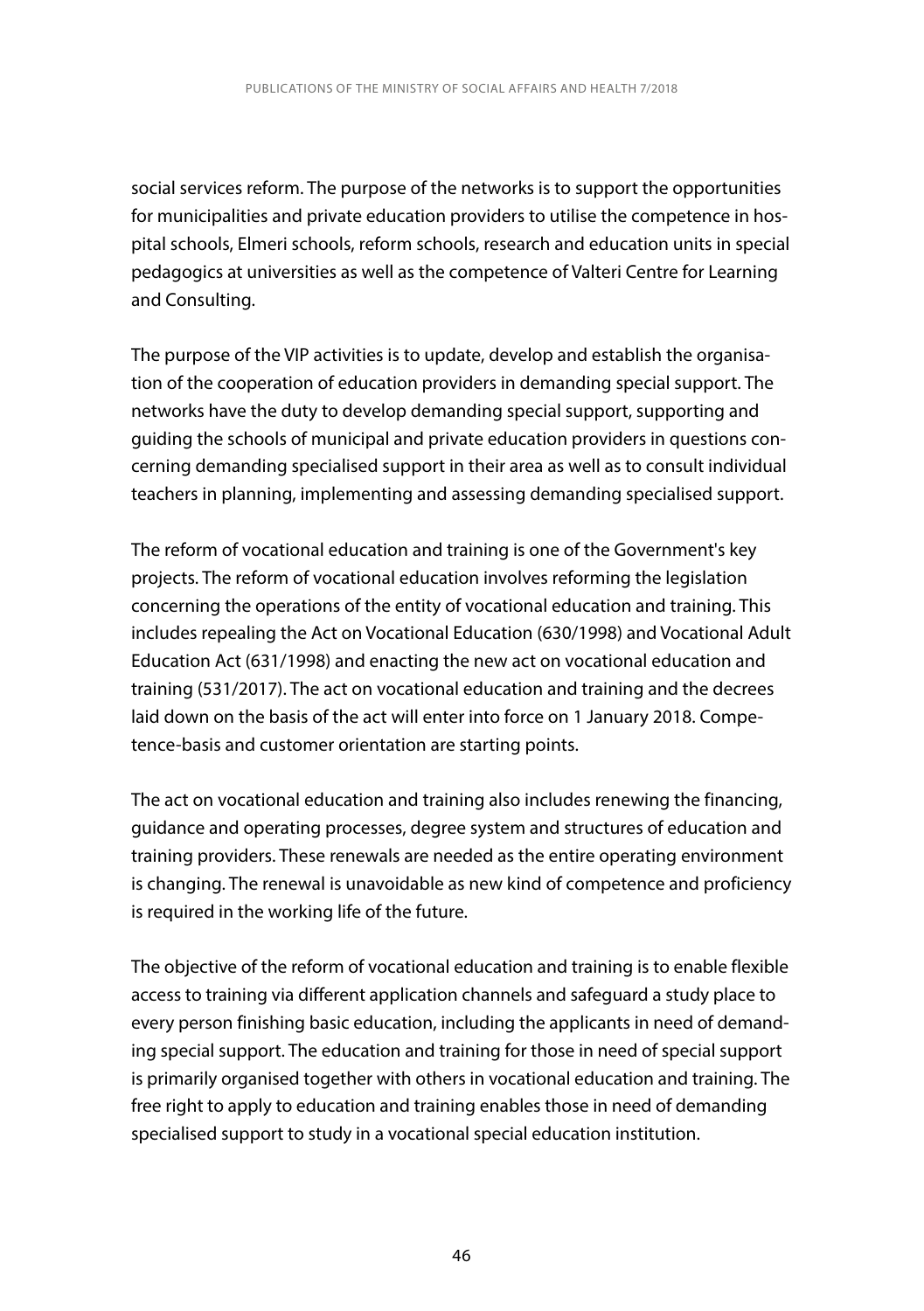social services reform. The purpose of the networks is to support the opportunities for municipalities and private education providers to utilise the competence in hospital schools, Elmeri schools, reform schools, research and education units in special pedagogics at universities as well as the competence of Valteri Centre for Learning and Consulting.

The purpose of the VIP activities is to update, develop and establish the organisation of the cooperation of education providers in demanding special support. The networks have the duty to develop demanding special support, supporting and guiding the schools of municipal and private education providers in questions concerning demanding specialised support in their area as well as to consult individual teachers in planning, implementing and assessing demanding specialised support.

The reform of vocational education and training is one of the Government's key projects. The reform of vocational education involves reforming the legislation concerning the operations of the entity of vocational education and training. This includes repealing the Act on Vocational Education (630/1998) and Vocational Adult Education Act (631/1998) and enacting the new act on vocational education and training (531/2017). The act on vocational education and training and the decrees laid down on the basis of the act will enter into force on 1 January 2018. Competence-basis and customer orientation are starting points.

The act on vocational education and training also includes renewing the financing, guidance and operating processes, degree system and structures of education and training providers. These renewals are needed as the entire operating environment is changing. The renewal is unavoidable as new kind of competence and proficiency is required in the working life of the future.

The objective of the reform of vocational education and training is to enable flexible access to training via different application channels and safeguard a study place to every person finishing basic education, including the applicants in need of demanding special support. The education and training for those in need of special support is primarily organised together with others in vocational education and training. The free right to apply to education and training enables those in need of demanding specialised support to study in a vocational special education institution.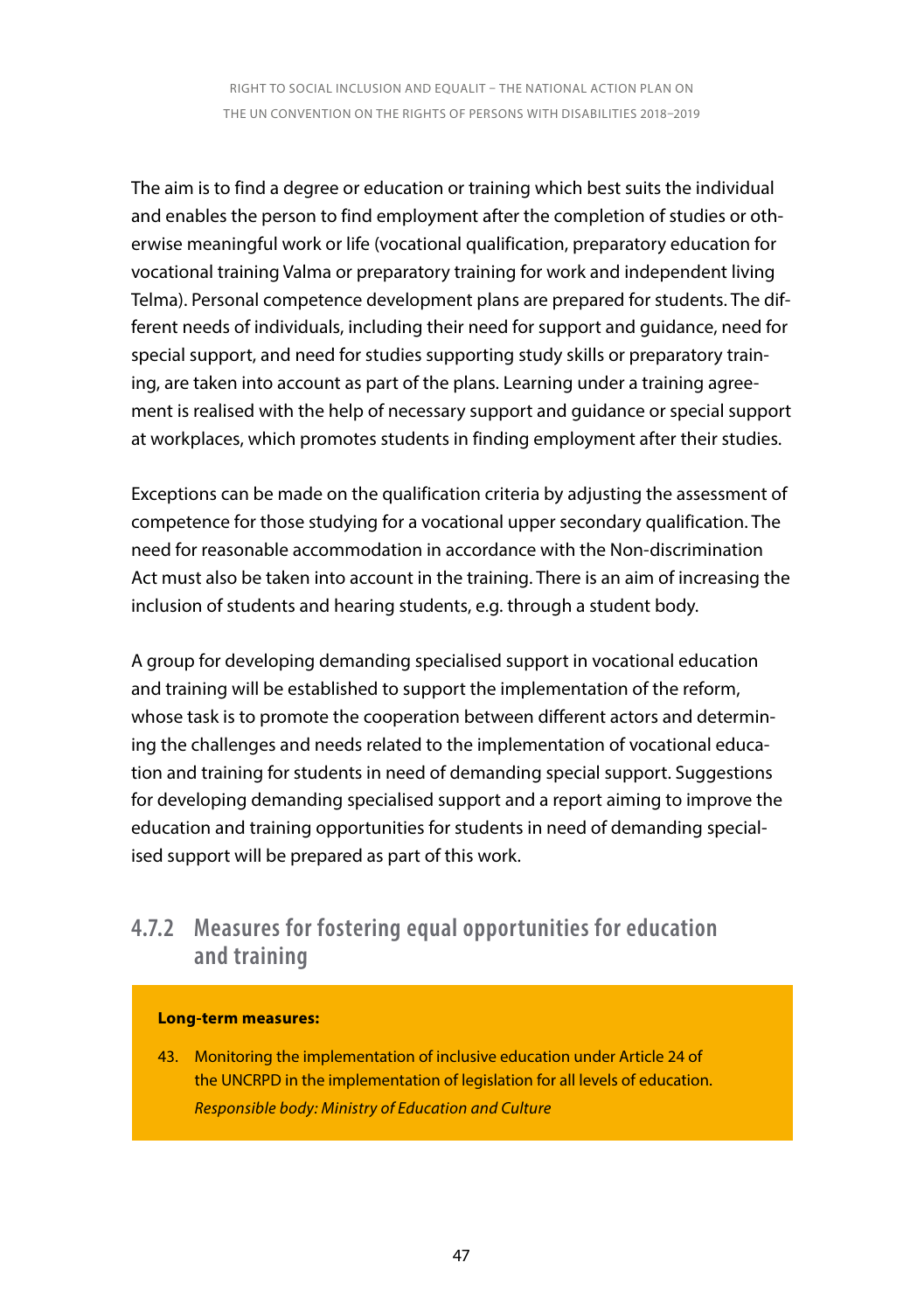RIGHT TO SOCIAL INCLUSION AND EQUALIT – THE NATIONAL ACTION PLAN ON THE UN CONVENTION ON THE RIGHTS OF PERSONS WITH DISABILITIES 2018–2019

The aim is to find a degree or education or training which best suits the individual and enables the person to find employment after the completion of studies or otherwise meaningful work or life (vocational qualification, preparatory education for vocational training Valma or preparatory training for work and independent living Telma). Personal competence development plans are prepared for students. The different needs of individuals, including their need for support and guidance, need for special support, and need for studies supporting study skills or preparatory training, are taken into account as part of the plans. Learning under a training agreement is realised with the help of necessary support and guidance or special support at workplaces, which promotes students in finding employment after their studies.

Exceptions can be made on the qualification criteria by adjusting the assessment of competence for those studying for a vocational upper secondary qualification. The need for reasonable accommodation in accordance with the Non-discrimination Act must also be taken into account in the training. There is an aim of increasing the inclusion of students and hearing students, e.g. through a student body.

A group for developing demanding specialised support in vocational education and training will be established to support the implementation of the reform, whose task is to promote the cooperation between different actors and determining the challenges and needs related to the implementation of vocational education and training for students in need of demanding special support. Suggestions for developing demanding specialised support and a report aiming to improve the education and training opportunities for students in need of demanding specialised support will be prepared as part of this work.

## **4.7.2 Measures for fostering equal opportunities for education and training**

#### **Long-term measures:**

43. Monitoring the implementation of inclusive education under Article 24 of the UNCRPD in the implementation of legislation for all levels of education. *Responsible body: Ministry of Education and Culture*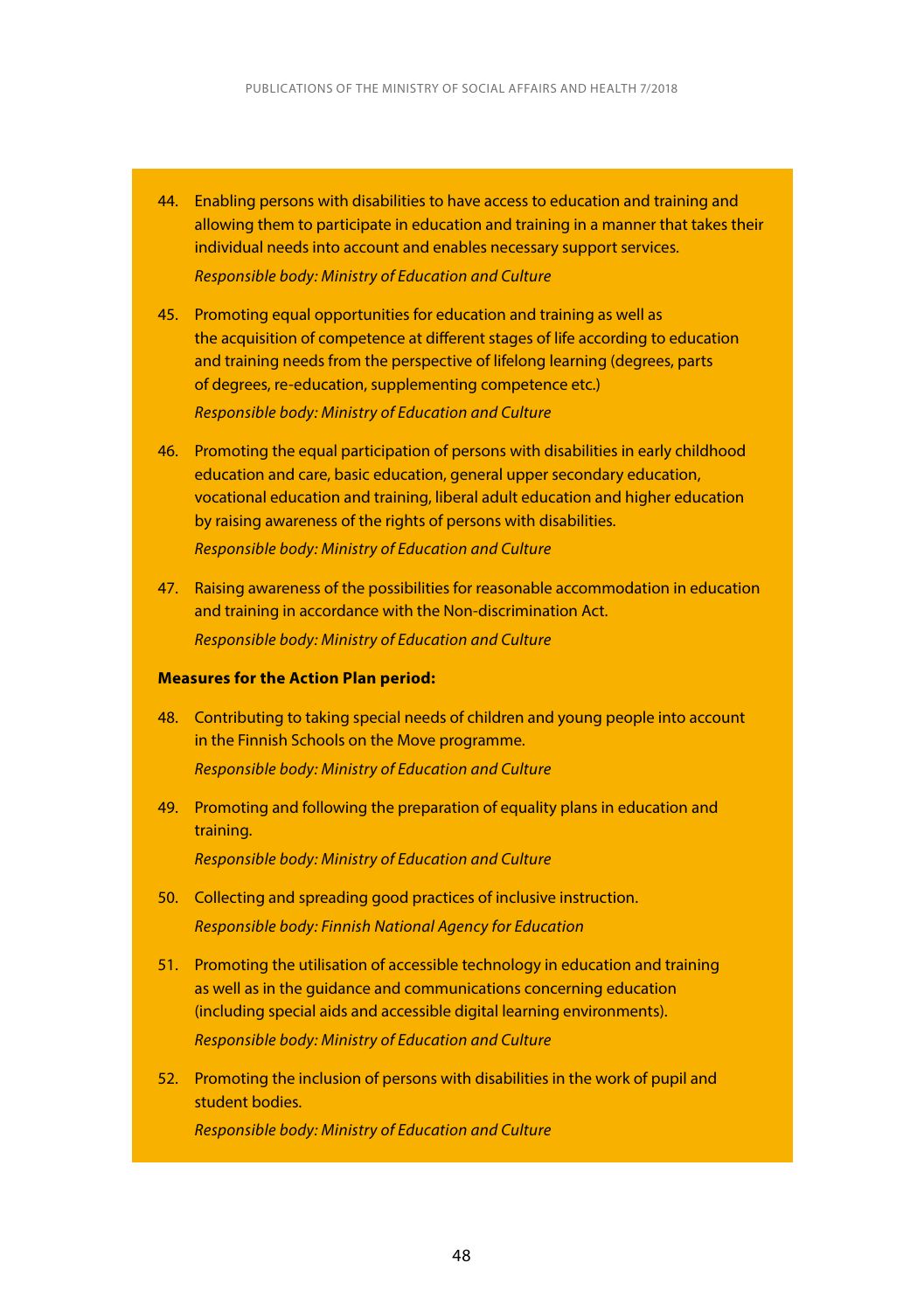- 44. Enabling persons with disabilities to have access to education and training and allowing them to participate in education and training in a manner that takes their individual needs into account and enables necessary support services. *Responsible body: Ministry of Education and Culture*
- 45. Promoting equal opportunities for education and training as well as the acquisition of competence at different stages of life according to education and training needs from the perspective of lifelong learning (degrees, parts of degrees, re-education, supplementing competence etc.) *Responsible body: Ministry of Education and Culture*
- 46. Promoting the equal participation of persons with disabilities in early childhood education and care, basic education, general upper secondary education, vocational education and training, liberal adult education and higher education by raising awareness of the rights of persons with disabilities.

*Responsible body: Ministry of Education and Culture*

47. Raising awareness of the possibilities for reasonable accommodation in education and training in accordance with the Non-discrimination Act. *Responsible body: Ministry of Education and Culture*

#### **Measures for the Action Plan period:**

- 48. Contributing to taking special needs of children and young people into account in the Finnish Schools on the Move programme. *Responsible body: Ministry of Education and Culture*
- 49. Promoting and following the preparation of equality plans in education and training. *Responsible body: Ministry of Education and Culture*
- 50. Collecting and spreading good practices of inclusive instruction. *Responsible body: Finnish National Agency for Education*
- 51. Promoting the utilisation of accessible technology in education and training as well as in the guidance and communications concerning education (including special aids and accessible digital learning environments). *Responsible body: Ministry of Education and Culture*
- 52. Promoting the inclusion of persons with disabilities in the work of pupil and student bodies.

*Responsible body: Ministry of Education and Culture*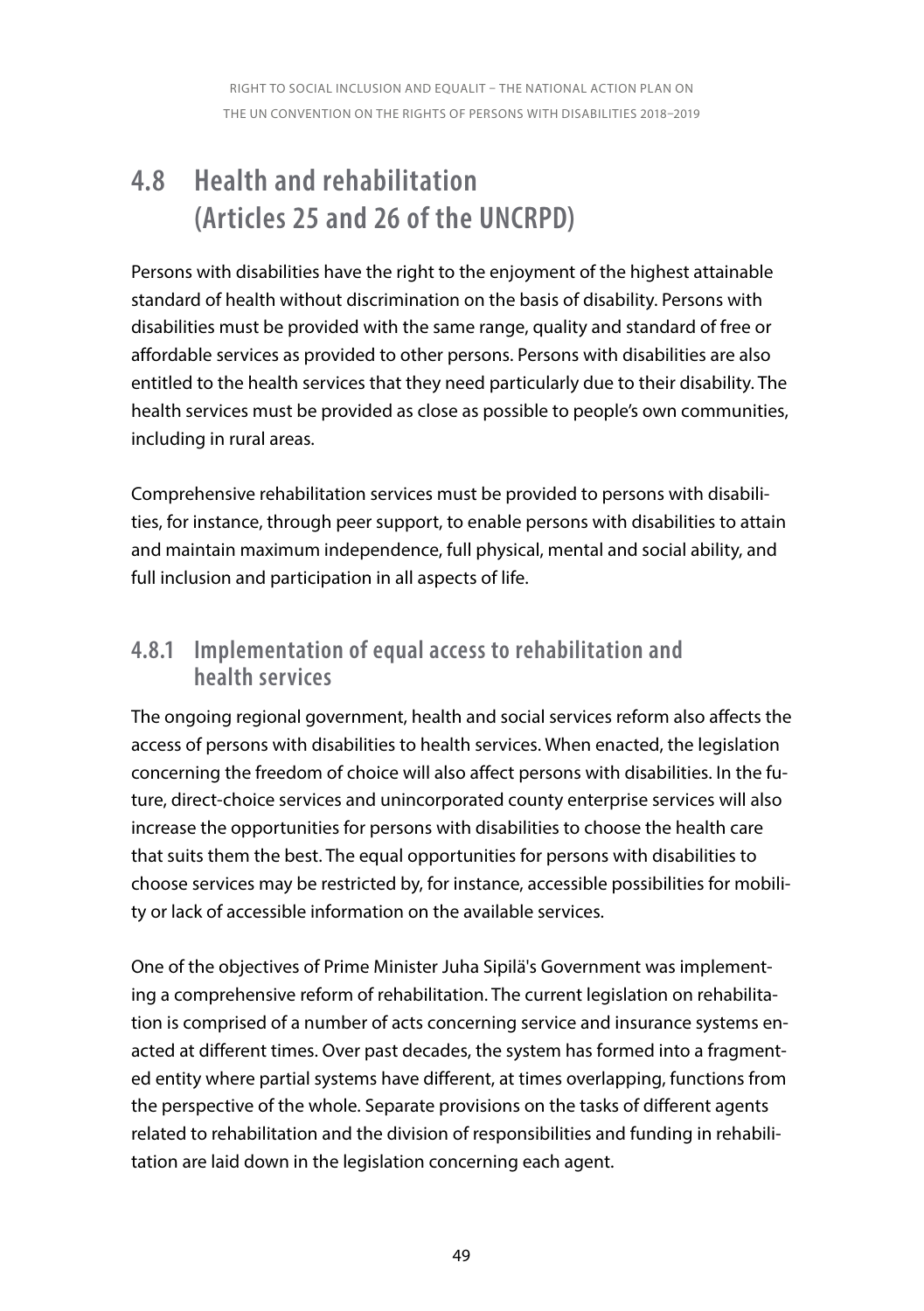RIGHT TO SOCIAL INCLUSION AND EQUALIT – THE NATIONAL ACTION PLAN ON THE UN CONVENTION ON THE RIGHTS OF PERSONS WITH DISABILITIES 2018–2019

# **4.8 Health and rehabilitation (Articles 25 and 26 of the UNCRPD)**

Persons with disabilities have the right to the enjoyment of the highest attainable standard of health without discrimination on the basis of disability. Persons with disabilities must be provided with the same range, quality and standard of free or affordable services as provided to other persons. Persons with disabilities are also entitled to the health services that they need particularly due to their disability. The health services must be provided as close as possible to people's own communities, including in rural areas.

Comprehensive rehabilitation services must be provided to persons with disabilities, for instance, through peer support, to enable persons with disabilities to attain and maintain maximum independence, full physical, mental and social ability, and full inclusion and participation in all aspects of life.

## **4.8.1 Implementation of equal access to rehabilitation and health services**

The ongoing regional government, health and social services reform also affects the access of persons with disabilities to health services. When enacted, the legislation concerning the freedom of choice will also affect persons with disabilities. In the future, direct-choice services and unincorporated county enterprise services will also increase the opportunities for persons with disabilities to choose the health care that suits them the best. The equal opportunities for persons with disabilities to choose services may be restricted by, for instance, accessible possibilities for mobility or lack of accessible information on the available services.

One of the objectives of Prime Minister Juha Sipilä's Government was implementing a comprehensive reform of rehabilitation. The current legislation on rehabilitation is comprised of a number of acts concerning service and insurance systems enacted at different times. Over past decades, the system has formed into a fragmented entity where partial systems have different, at times overlapping, functions from the perspective of the whole. Separate provisions on the tasks of different agents related to rehabilitation and the division of responsibilities and funding in rehabilitation are laid down in the legislation concerning each agent.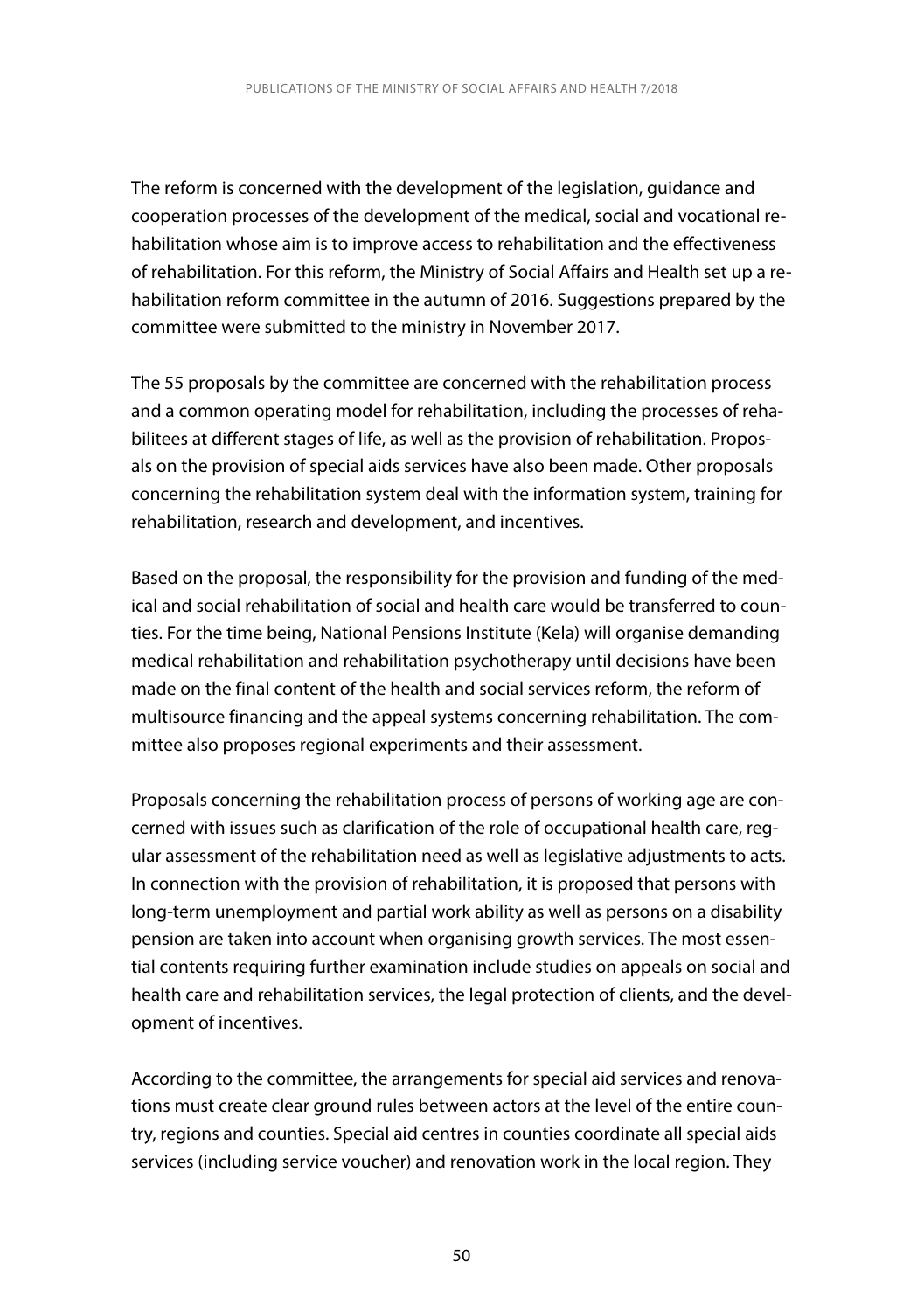The reform is concerned with the development of the legislation, guidance and cooperation processes of the development of the medical, social and vocational rehabilitation whose aim is to improve access to rehabilitation and the effectiveness of rehabilitation. For this reform, the Ministry of Social Affairs and Health set up a rehabilitation reform committee in the autumn of 2016. Suggestions prepared by the committee were submitted to the ministry in November 2017.

The 55 proposals by the committee are concerned with the rehabilitation process and a common operating model for rehabilitation, including the processes of rehabilitees at different stages of life, as well as the provision of rehabilitation. Proposals on the provision of special aids services have also been made. Other proposals concerning the rehabilitation system deal with the information system, training for rehabilitation, research and development, and incentives.

Based on the proposal, the responsibility for the provision and funding of the medical and social rehabilitation of social and health care would be transferred to counties. For the time being, National Pensions Institute (Kela) will organise demanding medical rehabilitation and rehabilitation psychotherapy until decisions have been made on the final content of the health and social services reform, the reform of multisource financing and the appeal systems concerning rehabilitation. The committee also proposes regional experiments and their assessment.

Proposals concerning the rehabilitation process of persons of working age are concerned with issues such as clarification of the role of occupational health care, regular assessment of the rehabilitation need as well as legislative adjustments to acts. In connection with the provision of rehabilitation, it is proposed that persons with long-term unemployment and partial work ability as well as persons on a disability pension are taken into account when organising growth services. The most essential contents requiring further examination include studies on appeals on social and health care and rehabilitation services, the legal protection of clients, and the development of incentives.

According to the committee, the arrangements for special aid services and renovations must create clear ground rules between actors at the level of the entire country, regions and counties. Special aid centres in counties coordinate all special aids services (including service voucher) and renovation work in the local region. They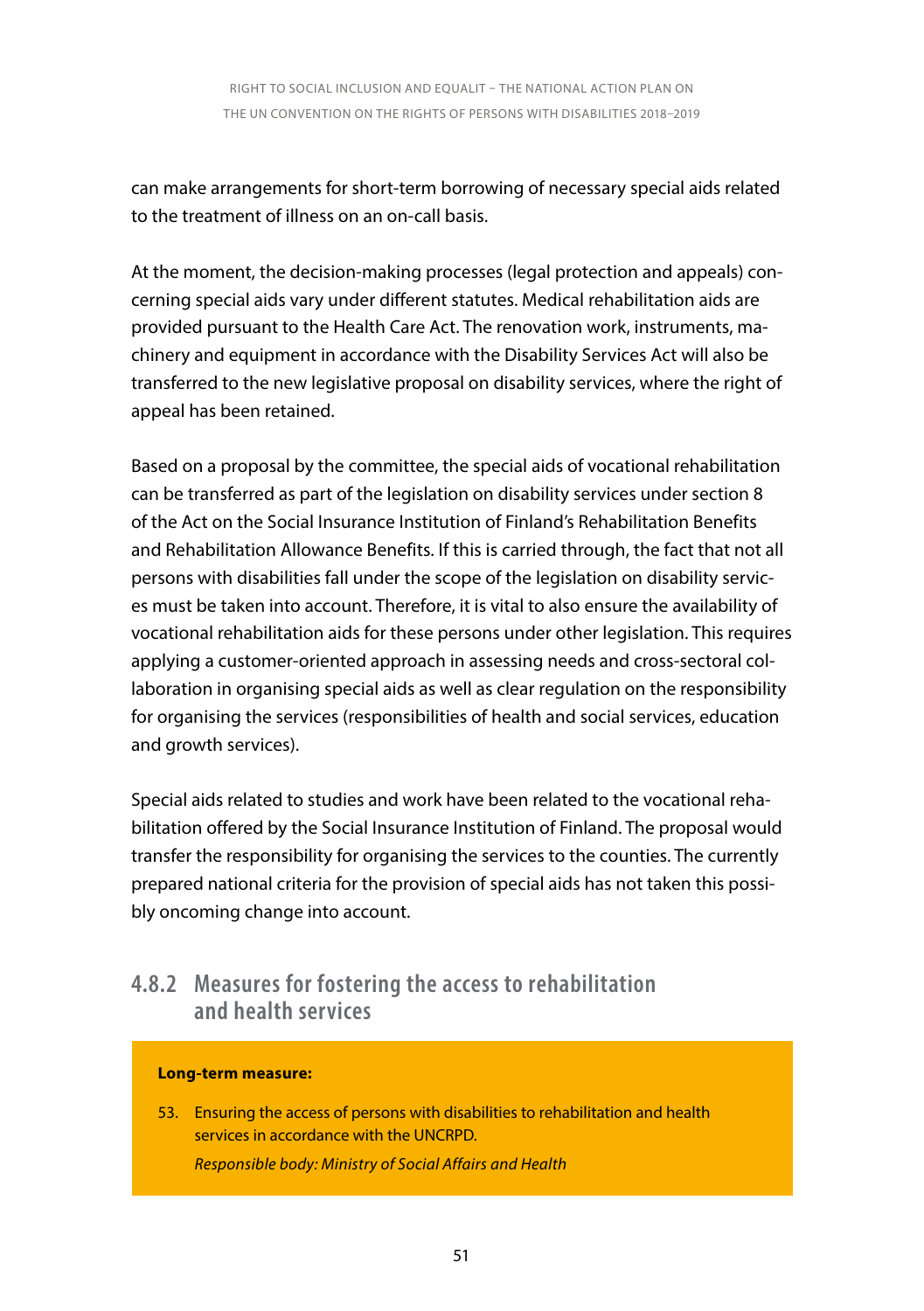RIGHT TO SOCIAL INCLUSION AND EQUALIT – THE NATIONAL ACTION PLAN ON THE UN CONVENTION ON THE RIGHTS OF PERSONS WITH DISABILITIES 2018–2019

can make arrangements for short-term borrowing of necessary special aids related to the treatment of illness on an on-call basis.

At the moment, the decision-making processes (legal protection and appeals) concerning special aids vary under different statutes. Medical rehabilitation aids are provided pursuant to the Health Care Act. The renovation work, instruments, machinery and equipment in accordance with the Disability Services Act will also be transferred to the new legislative proposal on disability services, where the right of appeal has been retained.

Based on a proposal by the committee, the special aids of vocational rehabilitation can be transferred as part of the legislation on disability services under section 8 of the Act on the Social Insurance Institution of Finland's Rehabilitation Benefits and Rehabilitation Allowance Benefits. If this is carried through, the fact that not all persons with disabilities fall under the scope of the legislation on disability services must be taken into account. Therefore, it is vital to also ensure the availability of vocational rehabilitation aids for these persons under other legislation. This requires applying a customer-oriented approach in assessing needs and cross-sectoral collaboration in organising special aids as well as clear regulation on the responsibility for organising the services (responsibilities of health and social services, education and growth services).

Special aids related to studies and work have been related to the vocational rehabilitation offered by the Social Insurance Institution of Finland. The proposal would transfer the responsibility for organising the services to the counties. The currently prepared national criteria for the provision of special aids has not taken this possibly oncoming change into account.

## **4.8.2 Measures for fostering the access to rehabilitation and health services**

#### **Long-term measure:**

53. Ensuring the access of persons with disabilities to rehabilitation and health services in accordance with the UNCRPD. *Responsible body: Ministry of Social Affairs and Health*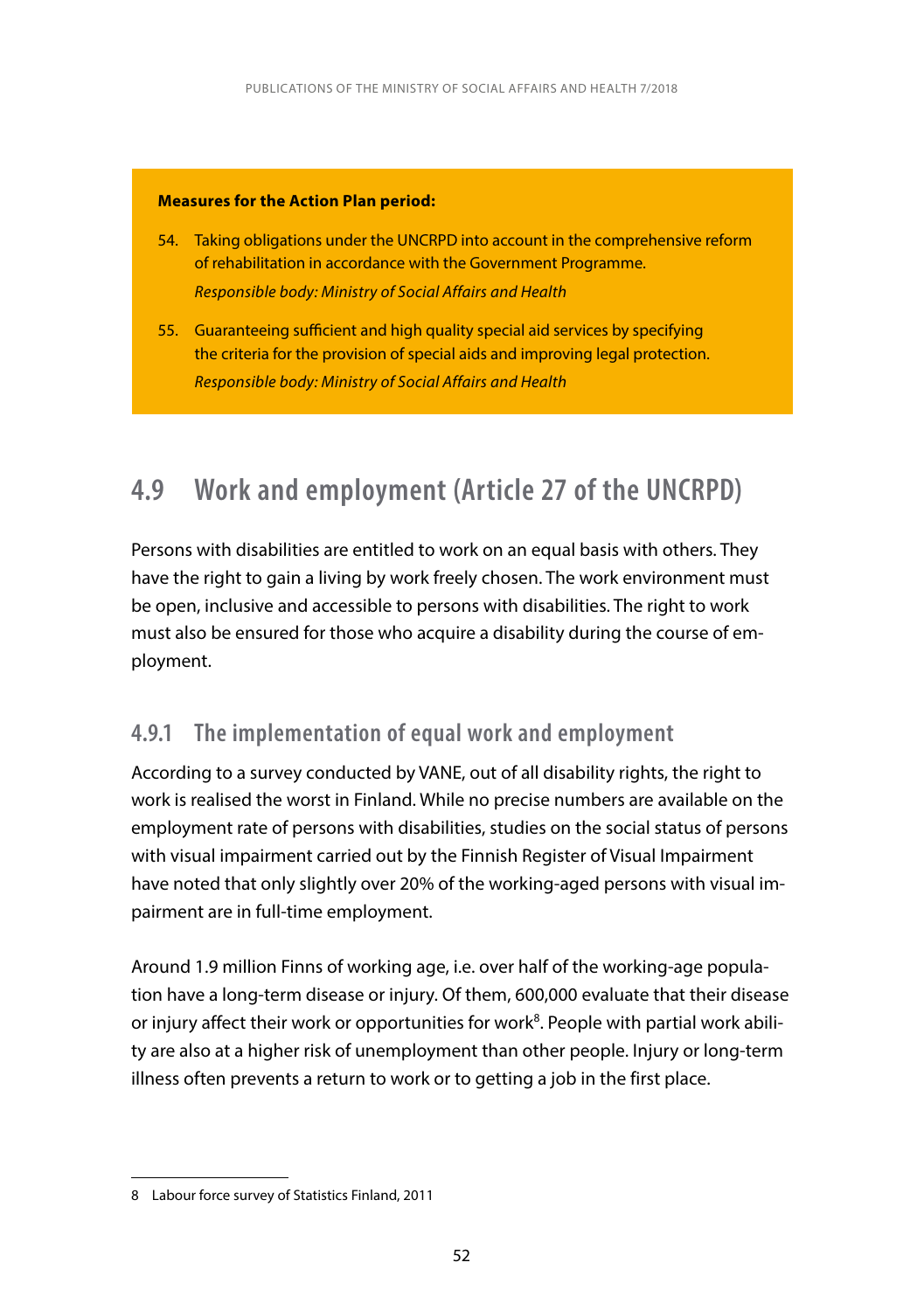#### **Measures for the Action Plan period:**

- 54. Taking obligations under the UNCRPD into account in the comprehensive reform of rehabilitation in accordance with the Government Programme. *Responsible body: Ministry of Social Affairs and Health*
- 55. Guaranteeing sufficient and high quality special aid services by specifying the criteria for the provision of special aids and improving legal protection. *Responsible body: Ministry of Social Affairs and Health*

# **4.9 Work and employment (Article 27 of the UNCRPD)**

Persons with disabilities are entitled to work on an equal basis with others. They have the right to gain a living by work freely chosen. The work environment must be open, inclusive and accessible to persons with disabilities. The right to work must also be ensured for those who acquire a disability during the course of employment.

## **4.9.1 The implementation of equal work and employment**

According to a survey conducted by VANE, out of all disability rights, the right to work is realised the worst in Finland. While no precise numbers are available on the employment rate of persons with disabilities, studies on the social status of persons with visual impairment carried out by the Finnish Register of Visual Impairment have noted that only slightly over 20% of the working-aged persons with visual impairment are in full-time employment.

Around 1.9 million Finns of working age, i.e. over half of the working-age population have a long-term disease or injury. Of them, 600,000 evaluate that their disease or injury affect their work or opportunities for work<sup>8</sup>. People with partial work ability are also at a higher risk of unemployment than other people. Injury or long-term illness often prevents a return to work or to getting a job in the first place.

<sup>8</sup> Labour force survey of Statistics Finland, 2011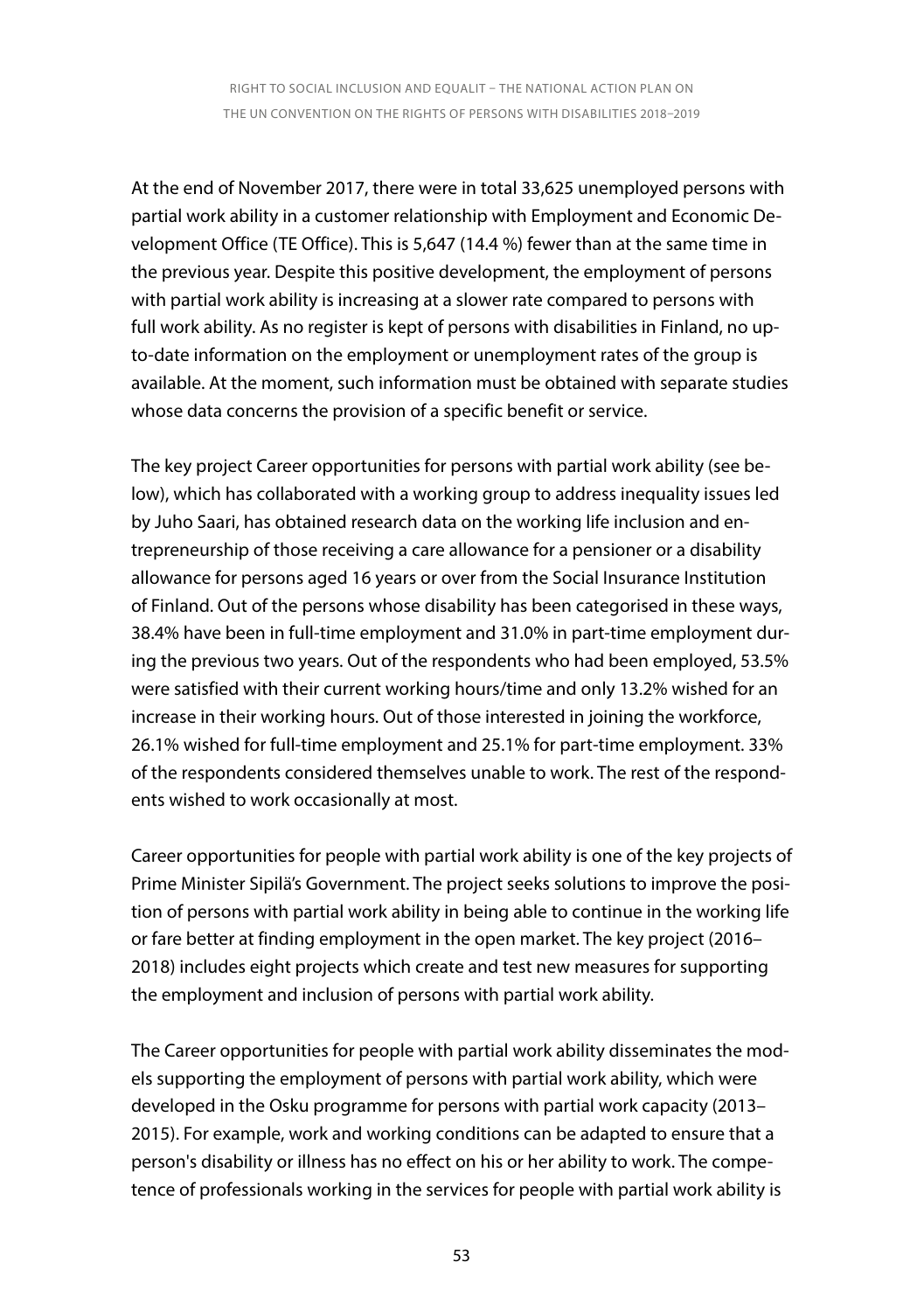At the end of November 2017, there were in total 33,625 unemployed persons with partial work ability in a customer relationship with Employment and Economic Development Office (TE Office). This is 5,647 (14.4 %) fewer than at the same time in the previous year. Despite this positive development, the employment of persons with partial work ability is increasing at a slower rate compared to persons with full work ability. As no register is kept of persons with disabilities in Finland, no upto-date information on the employment or unemployment rates of the group is available. At the moment, such information must be obtained with separate studies whose data concerns the provision of a specific benefit or service.

The key project Career opportunities for persons with partial work ability (see below), which has collaborated with a working group to address inequality issues led by Juho Saari, has obtained research data on the working life inclusion and entrepreneurship of those receiving a care allowance for a pensioner or a disability allowance for persons aged 16 years or over from the Social Insurance Institution of Finland. Out of the persons whose disability has been categorised in these ways, 38.4% have been in full-time employment and 31.0% in part-time employment during the previous two years. Out of the respondents who had been employed, 53.5% were satisfied with their current working hours/time and only 13.2% wished for an increase in their working hours. Out of those interested in joining the workforce, 26.1% wished for full-time employment and 25.1% for part-time employment. 33% of the respondents considered themselves unable to work. The rest of the respondents wished to work occasionally at most.

Career opportunities for people with partial work ability is one of the key projects of Prime Minister Sipilä's Government. The project seeks solutions to improve the position of persons with partial work ability in being able to continue in the working life or fare better at finding employment in the open market. The key project (2016– 2018) includes eight projects which create and test new measures for supporting the employment and inclusion of persons with partial work ability.

The Career opportunities for people with partial work ability disseminates the models supporting the employment of persons with partial work ability, which were developed in the Osku programme for persons with partial work capacity (2013– 2015). For example, work and working conditions can be adapted to ensure that a person's disability or illness has no effect on his or her ability to work. The competence of professionals working in the services for people with partial work ability is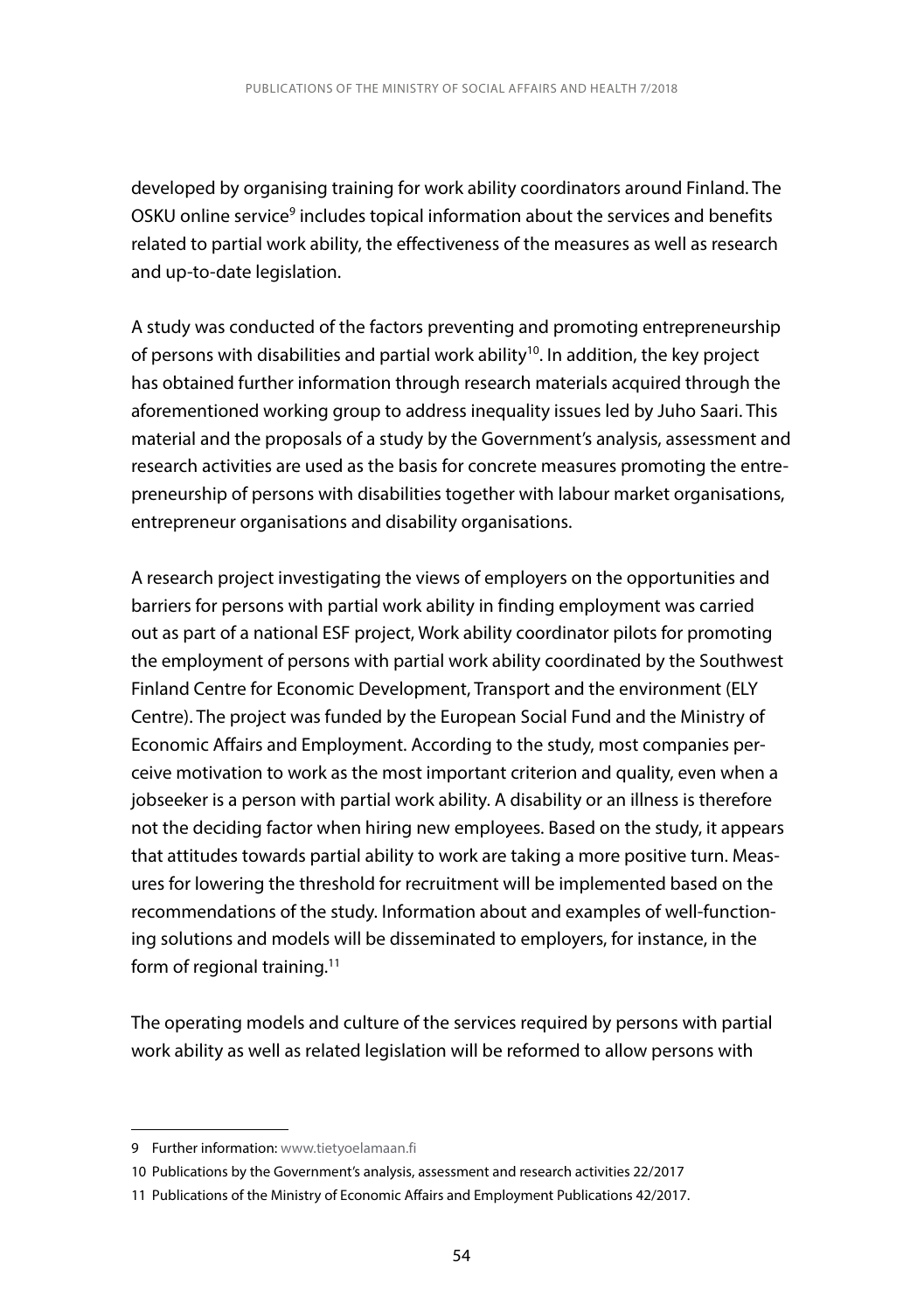developed by organising training for work ability coordinators around Finland. The OSKU online service<sup>9</sup> includes topical information about the services and benefits related to partial work ability, the effectiveness of the measures as well as research and up-to-date legislation.

A study was conducted of the factors preventing and promoting entrepreneurship of persons with disabilities and partial work ability<sup>10</sup>. In addition, the key project has obtained further information through research materials acquired through the aforementioned working group to address inequality issues led by Juho Saari. This material and the proposals of a study by the Government's analysis, assessment and research activities are used as the basis for concrete measures promoting the entrepreneurship of persons with disabilities together with labour market organisations, entrepreneur organisations and disability organisations.

A research project investigating the views of employers on the opportunities and barriers for persons with partial work ability in finding employment was carried out as part of a national ESF project, Work ability coordinator pilots for promoting the employment of persons with partial work ability coordinated by the Southwest Finland Centre for Economic Development, Transport and the environment (ELY Centre). The project was funded by the European Social Fund and the Ministry of Economic Affairs and Employment. According to the study, most companies perceive motivation to work as the most important criterion and quality, even when a jobseeker is a person with partial work ability. A disability or an illness is therefore not the deciding factor when hiring new employees. Based on the study, it appears that attitudes towards partial ability to work are taking a more positive turn. Measures for lowering the threshold for recruitment will be implemented based on the recommendations of the study. Information about and examples of well-functioning solutions and models will be disseminated to employers, for instance, in the form of regional training.<sup>11</sup>

The operating models and culture of the services required by persons with partial work ability as well as related legislation will be reformed to allow persons with

<sup>9</sup> Further information: www.tietyoelamaan.fi

<sup>10</sup> Publications by the Government's analysis, assessment and research activities 22/2017

<sup>11</sup> Publications of the Ministry of Economic Affairs and Employment Publications 42/2017.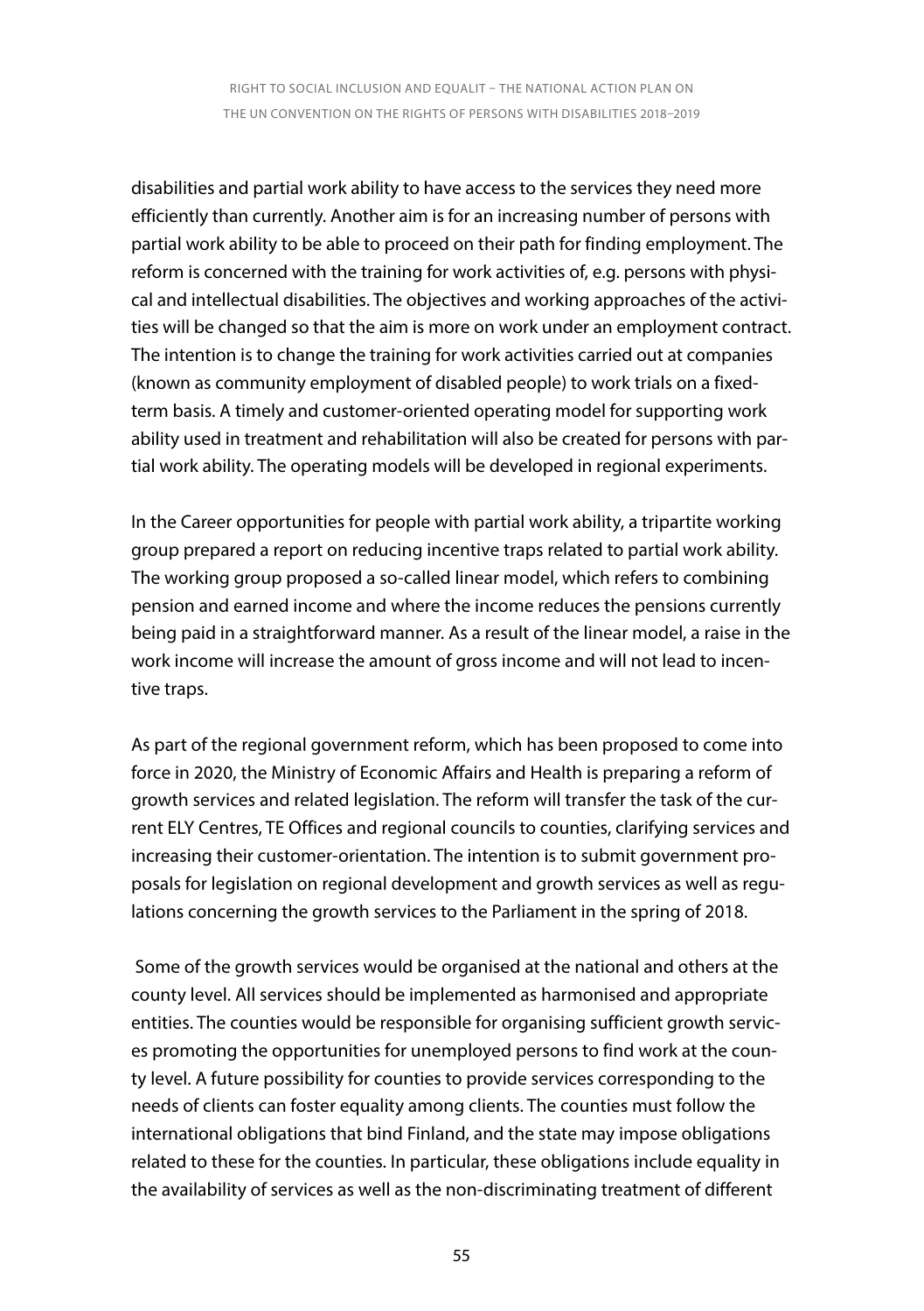disabilities and partial work ability to have access to the services they need more efficiently than currently. Another aim is for an increasing number of persons with partial work ability to be able to proceed on their path for finding employment. The reform is concerned with the training for work activities of, e.g. persons with physical and intellectual disabilities. The objectives and working approaches of the activities will be changed so that the aim is more on work under an employment contract. The intention is to change the training for work activities carried out at companies (known as community employment of disabled people) to work trials on a fixedterm basis. A timely and customer-oriented operating model for supporting work ability used in treatment and rehabilitation will also be created for persons with partial work ability. The operating models will be developed in regional experiments.

In the Career opportunities for people with partial work ability, a tripartite working group prepared a report on reducing incentive traps related to partial work ability. The working group proposed a so-called linear model, which refers to combining pension and earned income and where the income reduces the pensions currently being paid in a straightforward manner. As a result of the linear model, a raise in the work income will increase the amount of gross income and will not lead to incentive traps.

As part of the regional government reform, which has been proposed to come into force in 2020, the Ministry of Economic Affairs and Health is preparing a reform of growth services and related legislation. The reform will transfer the task of the current ELY Centres, TE Offices and regional councils to counties, clarifying services and increasing their customer-orientation. The intention is to submit government proposals for legislation on regional development and growth services as well as regulations concerning the growth services to the Parliament in the spring of 2018.

 Some of the growth services would be organised at the national and others at the county level. All services should be implemented as harmonised and appropriate entities. The counties would be responsible for organising sufficient growth services promoting the opportunities for unemployed persons to find work at the county level. A future possibility for counties to provide services corresponding to the needs of clients can foster equality among clients. The counties must follow the international obligations that bind Finland, and the state may impose obligations related to these for the counties. In particular, these obligations include equality in the availability of services as well as the non-discriminating treatment of different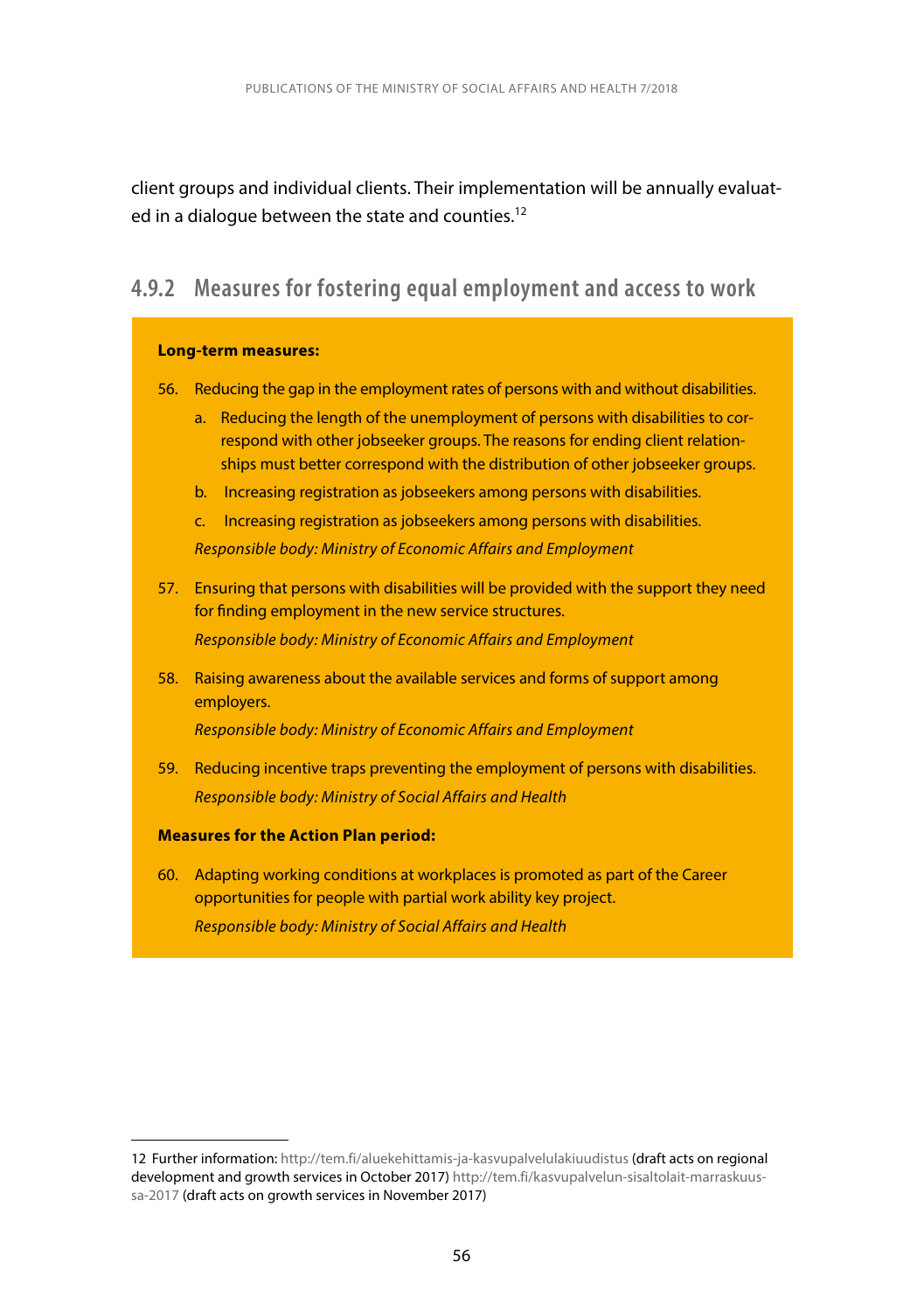client groups and individual clients. Their implementation will be annually evaluated in a dialogue between the state and counties.<sup>12</sup>

## **4.9.2 Measures for fostering equal employment and access to work**

#### **Long-term measures:**

- 56. Reducing the gap in the employment rates of persons with and without disabilities.
	- a. Reducing the length of the unemployment of persons with disabilities to correspond with other jobseeker groups. The reasons for ending client relationships must better correspond with the distribution of other jobseeker groups.
	- b. Increasing registration as jobseekers among persons with disabilities.
	- c. Increasing registration as jobseekers among persons with disabilities. *Responsible body: Ministry of Economic Affairs and Employment*
- 57. Ensuring that persons with disabilities will be provided with the support they need for finding employment in the new service structures. *Responsible body: Ministry of Economic Affairs and Employment*
- 58. Raising awareness about the available services and forms of support among employers. *Responsible body: Ministry of Economic Affairs and Employment*
- 59. Reducing incentive traps preventing the employment of persons with disabilities. *Responsible body: Ministry of Social Affairs and Health*

#### **Measures for the Action Plan period:**

60. Adapting working conditions at workplaces is promoted as part of the Career opportunities for people with partial work ability key project. *Responsible body: Ministry of Social Affairs and Health*

<sup>12</sup> Further information: http://tem.fi/aluekehittamis-ja-kasvupalvelulakiuudistus (draft acts on regional development and growth services in October 2017) http://tem.fi/kasvupalvelun-sisaltolait-marraskuussa-2017 (draft acts on growth services in November 2017)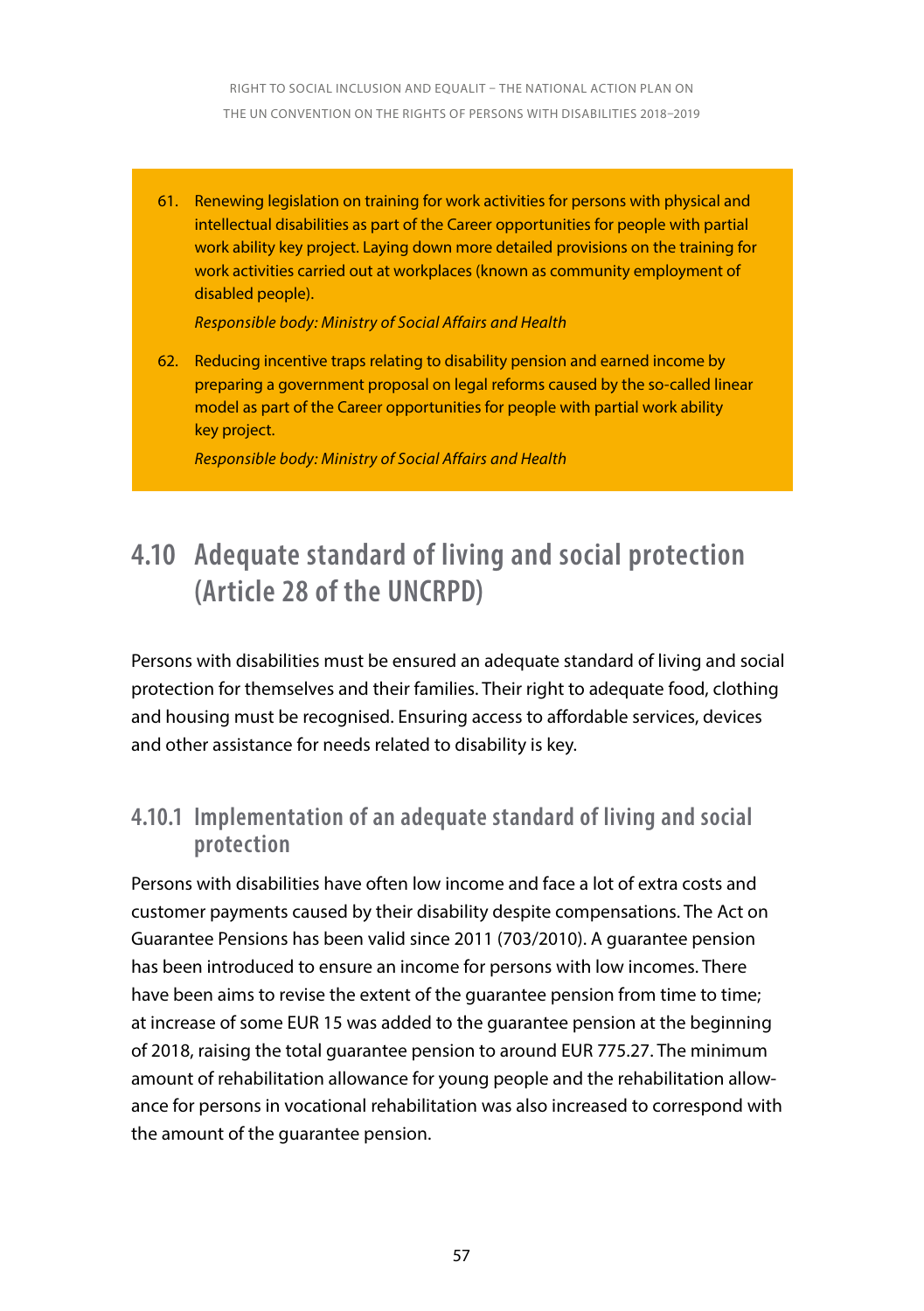61. Renewing legislation on training for work activities for persons with physical and intellectual disabilities as part of the Career opportunities for people with partial work ability key project. Laying down more detailed provisions on the training for work activities carried out at workplaces (known as community employment of disabled people).

*Responsible body: Ministry of Social Affairs and Health*

62. Reducing incentive traps relating to disability pension and earned income by preparing a government proposal on legal reforms caused by the so-called linear model as part of the Career opportunities for people with partial work ability key project.

*Responsible body: Ministry of Social Affairs and Health*

# **4.10 Adequate standard of living and social protection (Article 28 of the UNCRPD)**

Persons with disabilities must be ensured an adequate standard of living and social protection for themselves and their families. Their right to adequate food, clothing and housing must be recognised. Ensuring access to affordable services, devices and other assistance for needs related to disability is key.

## **4.10.1 Implementation of an adequate standard of living and social protection**

Persons with disabilities have often low income and face a lot of extra costs and customer payments caused by their disability despite compensations. The Act on Guarantee Pensions has been valid since 2011 (703/2010). A guarantee pension has been introduced to ensure an income for persons with low incomes. There have been aims to revise the extent of the quarantee pension from time to time; at increase of some EUR 15 was added to the guarantee pension at the beginning of 2018, raising the total guarantee pension to around EUR 775.27. The minimum amount of rehabilitation allowance for young people and the rehabilitation allowance for persons in vocational rehabilitation was also increased to correspond with the amount of the guarantee pension.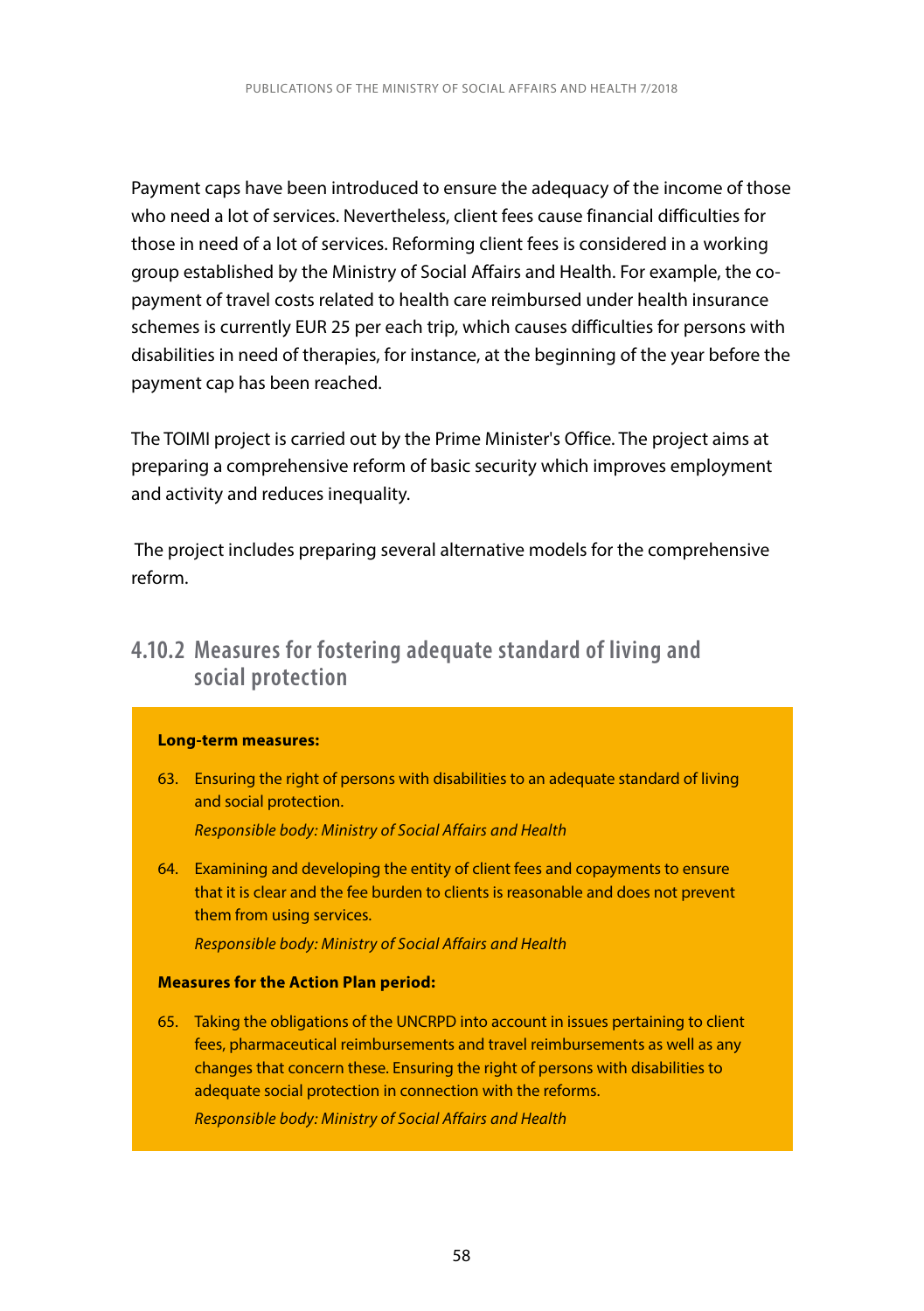Payment caps have been introduced to ensure the adequacy of the income of those who need a lot of services. Nevertheless, client fees cause financial difficulties for those in need of a lot of services. Reforming client fees is considered in a working group established by the Ministry of Social Affairs and Health. For example, the copayment of travel costs related to health care reimbursed under health insurance schemes is currently EUR 25 per each trip, which causes difficulties for persons with disabilities in need of therapies, for instance, at the beginning of the year before the payment cap has been reached.

The TOIMI project is carried out by the Prime Minister's Office. The project aims at preparing a comprehensive reform of basic security which improves employment and activity and reduces inequality.

 The project includes preparing several alternative models for the comprehensive reform.

## **4.10.2 Measures for fostering adequate standard of living and social protection**

#### **Long-term measures:**

63. Ensuring the right of persons with disabilities to an adequate standard of living and social protection.

*Responsible body: Ministry of Social Affairs and Health*

64. Examining and developing the entity of client fees and copayments to ensure that it is clear and the fee burden to clients is reasonable and does not prevent them from using services.

*Responsible body: Ministry of Social Affairs and Health*

#### **Measures for the Action Plan period:**

65. Taking the obligations of the UNCRPD into account in issues pertaining to client fees, pharmaceutical reimbursements and travel reimbursements as well as any changes that concern these. Ensuring the right of persons with disabilities to adequate social protection in connection with the reforms.

*Responsible body: Ministry of Social Affairs and Health*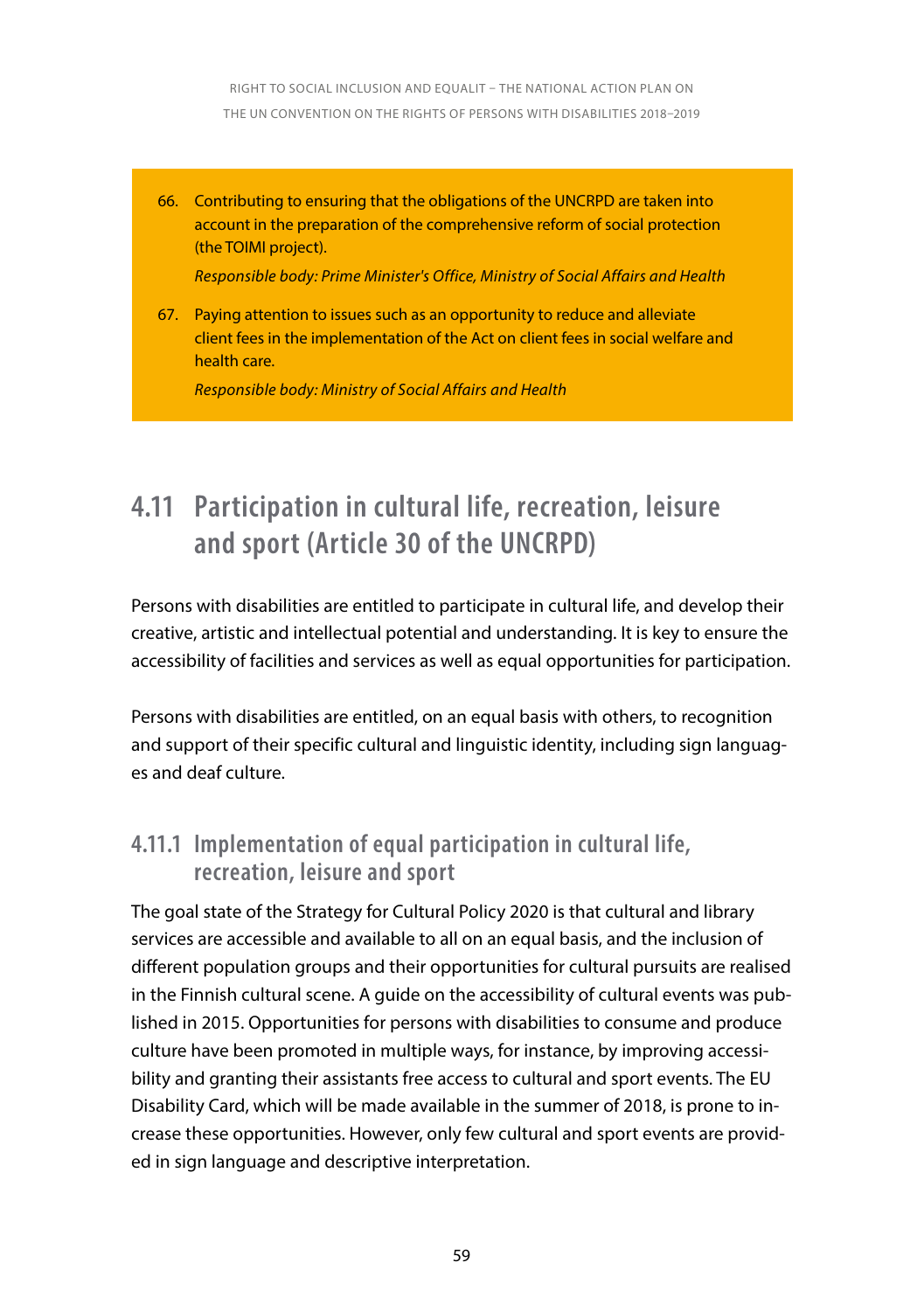66. Contributing to ensuring that the obligations of the UNCRPD are taken into account in the preparation of the comprehensive reform of social protection (the TOIMI project).

*Responsible body: Prime Minister's Office, Ministry of Social Affairs and Health*

67. Paying attention to issues such as an opportunity to reduce and alleviate client fees in the implementation of the Act on client fees in social welfare and health care.

*Responsible body: Ministry of Social Affairs and Health*

# **4.11 Participation in cultural life, recreation, leisure and sport (Article 30 of the UNCRPD)**

Persons with disabilities are entitled to participate in cultural life, and develop their creative, artistic and intellectual potential and understanding. It is key to ensure the accessibility of facilities and services as well as equal opportunities for participation.

Persons with disabilities are entitled, on an equal basis with others, to recognition and support of their specific cultural and linguistic identity, including sign languages and deaf culture.

## **4.11.1 Implementation of equal participation in cultural life, recreation, leisure and sport**

The goal state of the Strategy for Cultural Policy 2020 is that cultural and library services are accessible and available to all on an equal basis, and the inclusion of different population groups and their opportunities for cultural pursuits are realised in the Finnish cultural scene. A guide on the accessibility of cultural events was published in 2015. Opportunities for persons with disabilities to consume and produce culture have been promoted in multiple ways, for instance, by improving accessibility and granting their assistants free access to cultural and sport events. The EU Disability Card, which will be made available in the summer of 2018, is prone to increase these opportunities. However, only few cultural and sport events are provided in sign language and descriptive interpretation.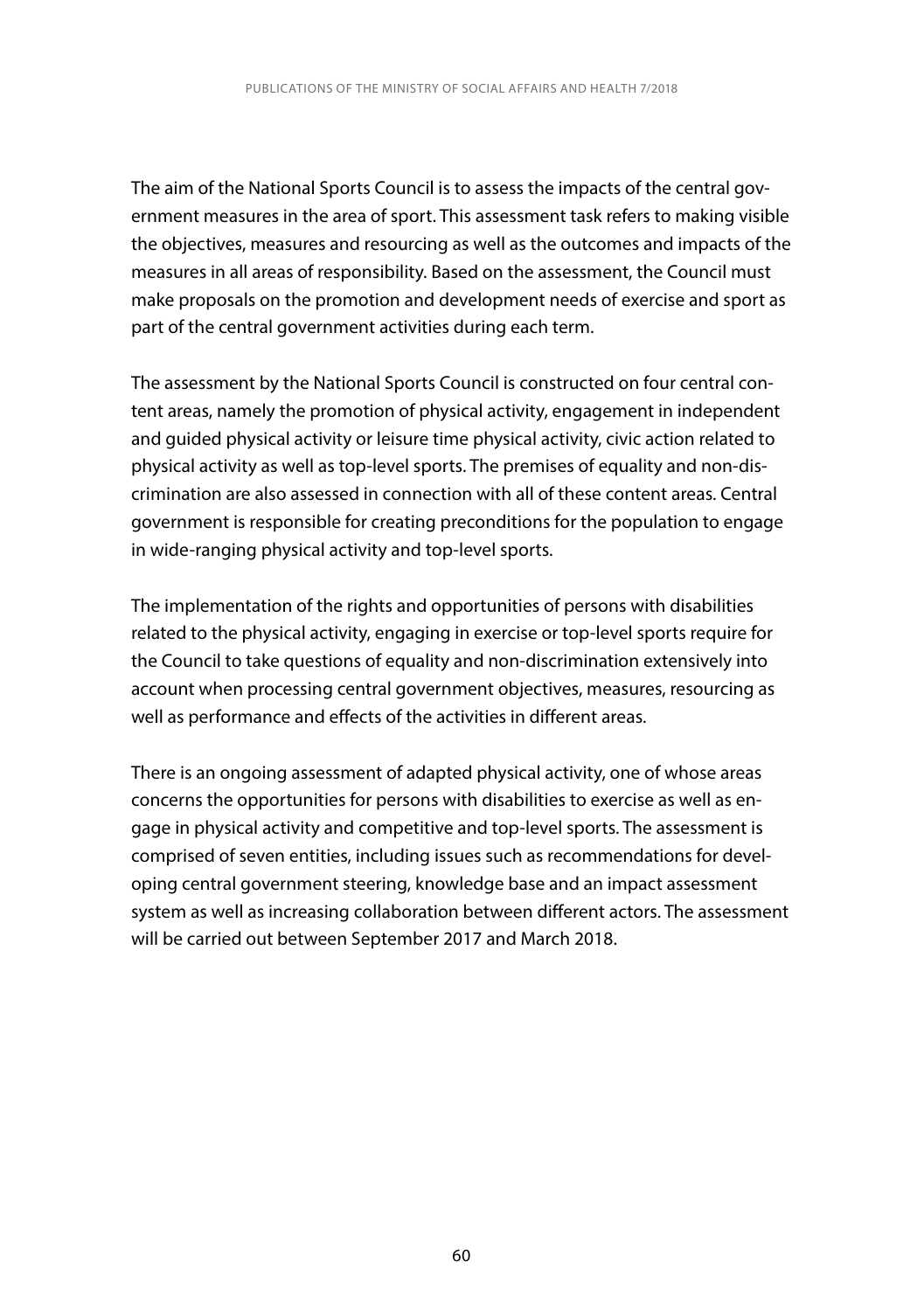The aim of the National Sports Council is to assess the impacts of the central government measures in the area of sport. This assessment task refers to making visible the objectives, measures and resourcing as well as the outcomes and impacts of the measures in all areas of responsibility. Based on the assessment, the Council must make proposals on the promotion and development needs of exercise and sport as part of the central government activities during each term.

The assessment by the National Sports Council is constructed on four central content areas, namely the promotion of physical activity, engagement in independent and guided physical activity or leisure time physical activity, civic action related to physical activity as well as top-level sports. The premises of equality and non-discrimination are also assessed in connection with all of these content areas. Central government is responsible for creating preconditions for the population to engage in wide-ranging physical activity and top-level sports.

The implementation of the rights and opportunities of persons with disabilities related to the physical activity, engaging in exercise or top-level sports require for the Council to take questions of equality and non-discrimination extensively into account when processing central government objectives, measures, resourcing as well as performance and effects of the activities in different areas.

There is an ongoing assessment of adapted physical activity, one of whose areas concerns the opportunities for persons with disabilities to exercise as well as engage in physical activity and competitive and top-level sports. The assessment is comprised of seven entities, including issues such as recommendations for developing central government steering, knowledge base and an impact assessment system as well as increasing collaboration between different actors. The assessment will be carried out between September 2017 and March 2018.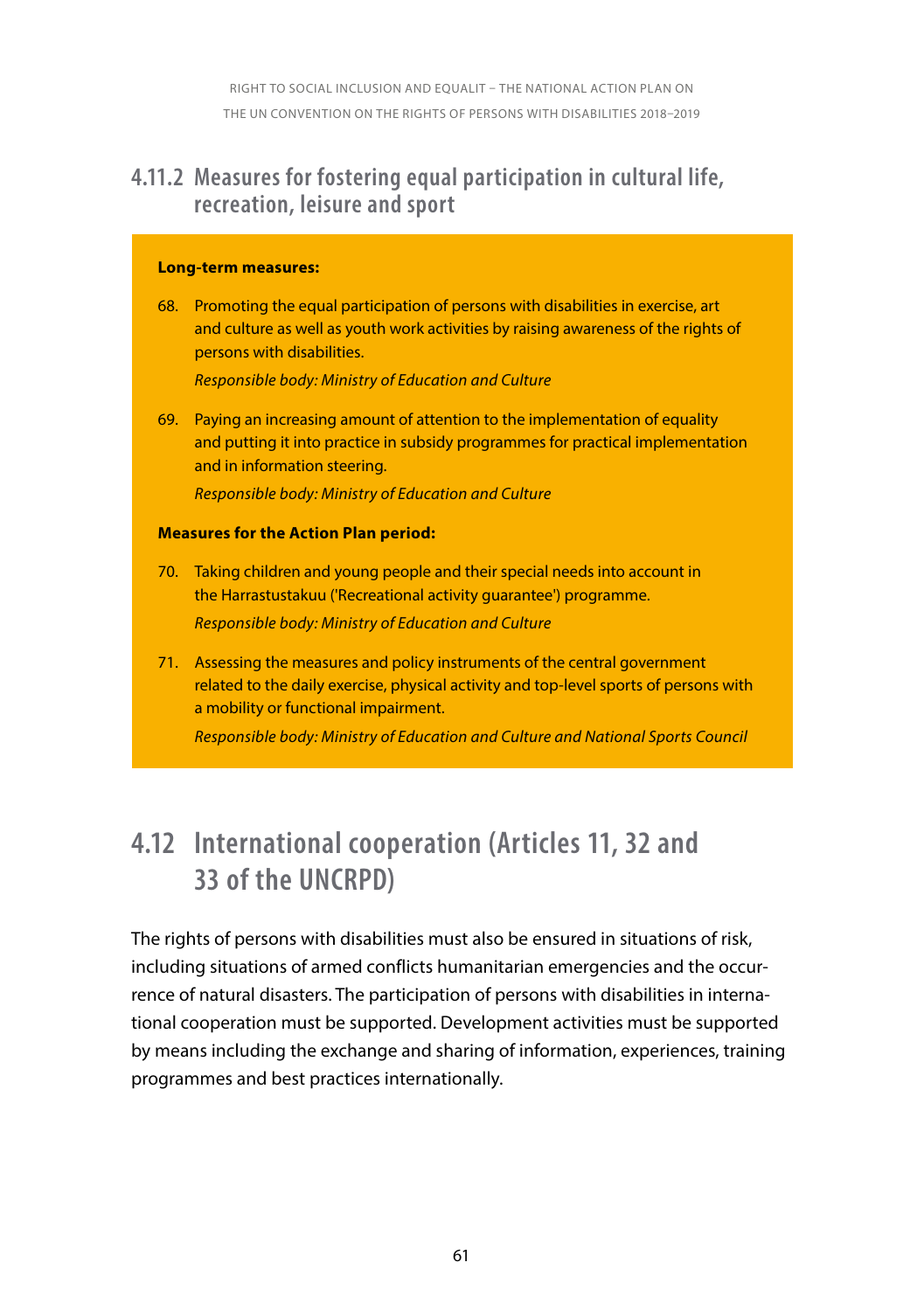## **4.11.2 Measures for fostering equal participation in cultural life, recreation, leisure and sport**

#### **Long-term measures:**

68. Promoting the equal participation of persons with disabilities in exercise, art and culture as well as youth work activities by raising awareness of the rights of persons with disabilities.

*Responsible body: Ministry of Education and Culture*

69. Paying an increasing amount of attention to the implementation of equality and putting it into practice in subsidy programmes for practical implementation and in information steering. *Responsible body: Ministry of Education and Culture*

## **Measures for the Action Plan period:**

- 70. Taking children and young people and their special needs into account in the Harrastustakuu ('Recreational activity guarantee') programme. *Responsible body: Ministry of Education and Culture*
- 71. Assessing the measures and policy instruments of the central government related to the daily exercise, physical activity and top-level sports of persons with a mobility or functional impairment.

*Responsible body: Ministry of Education and Culture and National Sports Council*

# **4.12 International cooperation (Articles 11, 32 and 33 of the UNCRPD)**

The rights of persons with disabilities must also be ensured in situations of risk, including situations of armed conflicts humanitarian emergencies and the occurrence of natural disasters. The participation of persons with disabilities in international cooperation must be supported. Development activities must be supported by means including the exchange and sharing of information, experiences, training programmes and best practices internationally.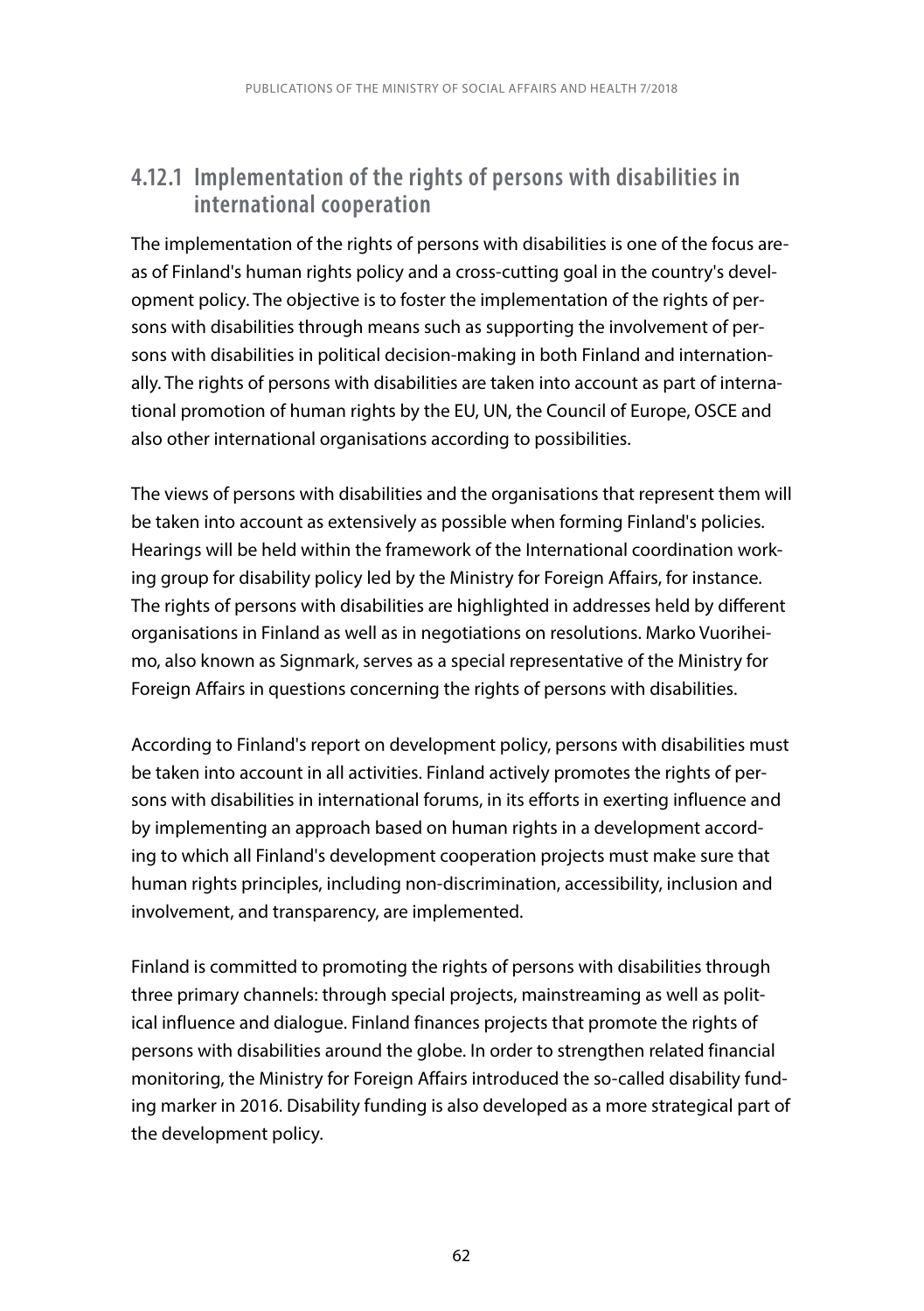## **4.12.1 Implementation of the rights of persons with disabilities in international cooperation**

The implementation of the rights of persons with disabilities is one of the focus areas of Finland's human rights policy and a cross-cutting goal in the country's development policy. The objective is to foster the implementation of the rights of persons with disabilities through means such as supporting the involvement of persons with disabilities in political decision-making in both Finland and internationally. The rights of persons with disabilities are taken into account as part of international promotion of human rights by the EU, UN, the Council of Europe, OSCE and also other international organisations according to possibilities.

The views of persons with disabilities and the organisations that represent them will be taken into account as extensively as possible when forming Finland's policies. Hearings will be held within the framework of the International coordination working group for disability policy led by the Ministry for Foreign Affairs, for instance. The rights of persons with disabilities are highlighted in addresses held by different organisations in Finland as well as in negotiations on resolutions. Marko Vuoriheimo, also known as Signmark, serves as a special representative of the Ministry for Foreign Affairs in questions concerning the rights of persons with disabilities.

According to Finland's report on development policy, persons with disabilities must be taken into account in all activities. Finland actively promotes the rights of persons with disabilities in international forums, in its efforts in exerting influence and by implementing an approach based on human rights in a development according to which all Finland's development cooperation projects must make sure that human rights principles, including non-discrimination, accessibility, inclusion and involvement, and transparency, are implemented.

Finland is committed to promoting the rights of persons with disabilities through three primary channels: through special projects, mainstreaming as well as political influence and dialogue. Finland finances projects that promote the rights of persons with disabilities around the globe. In order to strengthen related financial monitoring, the Ministry for Foreign Affairs introduced the so-called disability funding marker in 2016. Disability funding is also developed as a more strategical part of the development policy.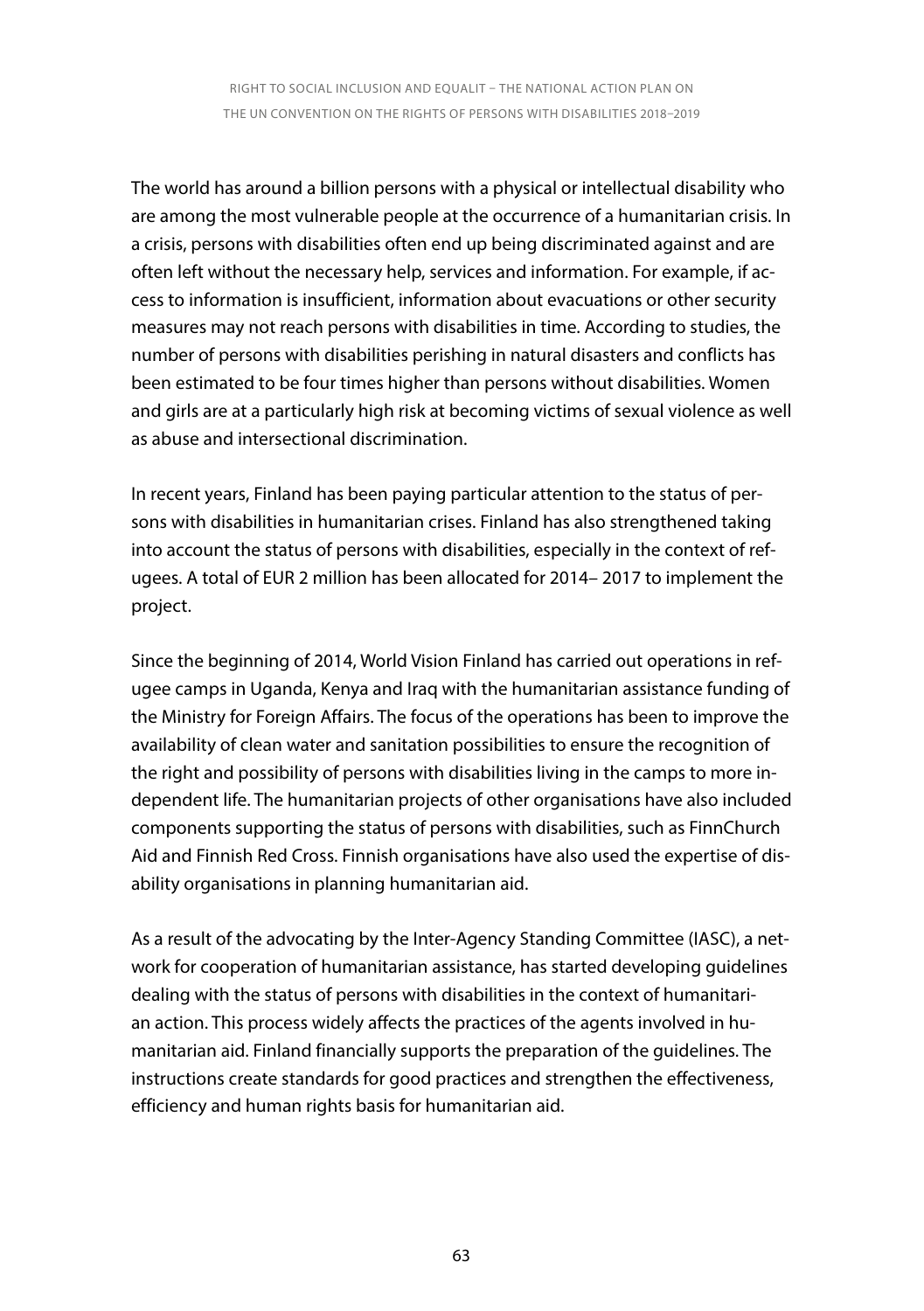The world has around a billion persons with a physical or intellectual disability who are among the most vulnerable people at the occurrence of a humanitarian crisis. In a crisis, persons with disabilities often end up being discriminated against and are often left without the necessary help, services and information. For example, if access to information is insufficient, information about evacuations or other security measures may not reach persons with disabilities in time. According to studies, the number of persons with disabilities perishing in natural disasters and conflicts has been estimated to be four times higher than persons without disabilities. Women and girls are at a particularly high risk at becoming victims of sexual violence as well as abuse and intersectional discrimination.

In recent years, Finland has been paying particular attention to the status of persons with disabilities in humanitarian crises. Finland has also strengthened taking into account the status of persons with disabilities, especially in the context of refugees. A total of EUR 2 million has been allocated for 2014– 2017 to implement the project.

Since the beginning of 2014, World Vision Finland has carried out operations in refugee camps in Uganda, Kenya and Iraq with the humanitarian assistance funding of the Ministry for Foreign Affairs. The focus of the operations has been to improve the availability of clean water and sanitation possibilities to ensure the recognition of the right and possibility of persons with disabilities living in the camps to more independent life. The humanitarian projects of other organisations have also included components supporting the status of persons with disabilities, such as FinnChurch Aid and Finnish Red Cross. Finnish organisations have also used the expertise of disability organisations in planning humanitarian aid.

As a result of the advocating by the Inter-Agency Standing Committee (IASC), a network for cooperation of humanitarian assistance, has started developing guidelines dealing with the status of persons with disabilities in the context of humanitarian action. This process widely affects the practices of the agents involved in humanitarian aid. Finland financially supports the preparation of the guidelines. The instructions create standards for good practices and strengthen the effectiveness, efficiency and human rights basis for humanitarian aid.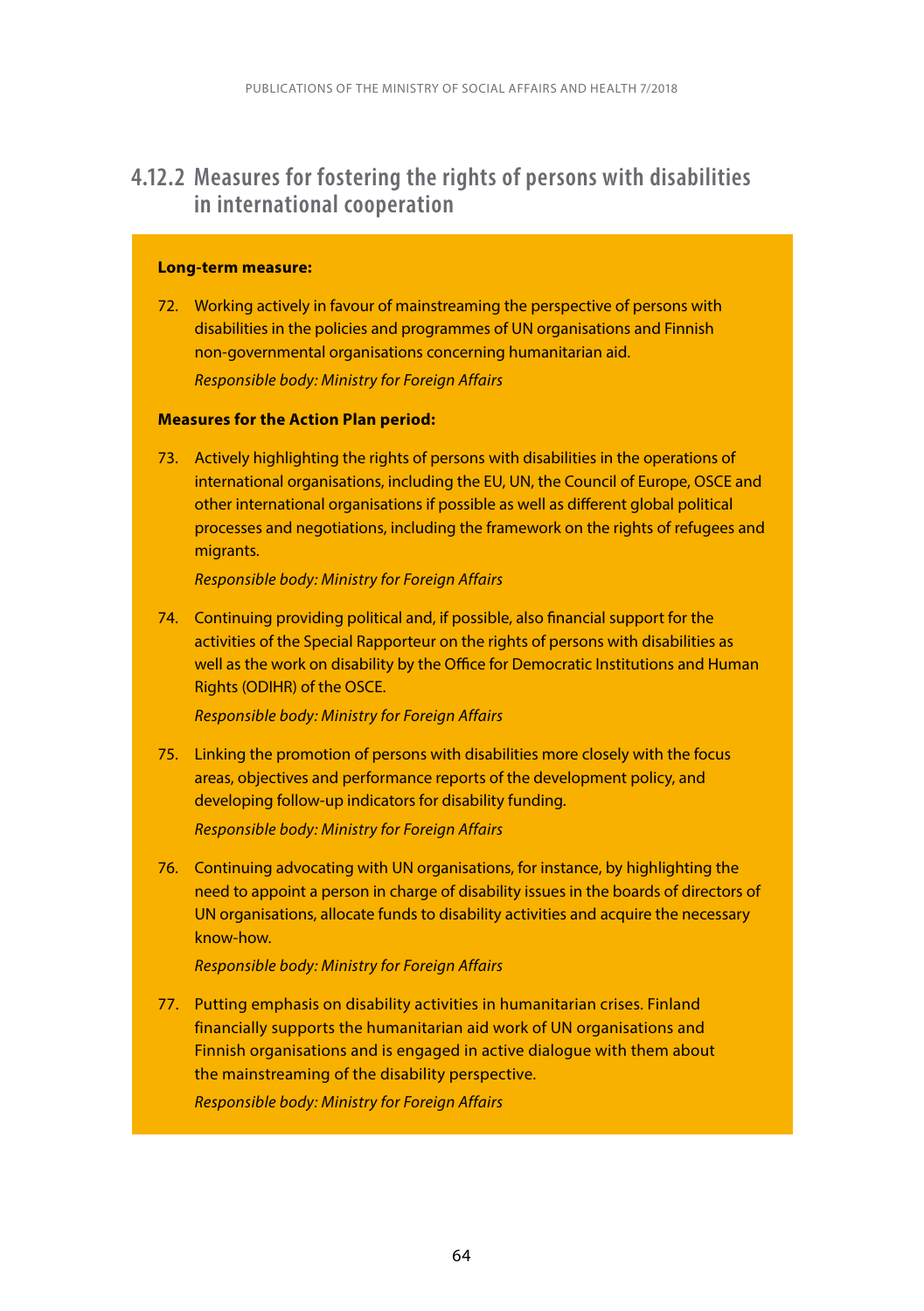## **4.12.2 Measures for fostering the rights of persons with disabilities in international cooperation**

#### **Long-term measure:**

72. Working actively in favour of mainstreaming the perspective of persons with disabilities in the policies and programmes of UN organisations and Finnish non-governmental organisations concerning humanitarian aid. *Responsible body: Ministry for Foreign Affairs*

#### **Measures for the Action Plan period:**

73. Actively highlighting the rights of persons with disabilities in the operations of international organisations, including the EU, UN, the Council of Europe, OSCE and other international organisations if possible as well as different global political processes and negotiations, including the framework on the rights of refugees and migrants.

*Responsible body: Ministry for Foreign Affairs*

74. Continuing providing political and, if possible, also financial support for the activities of the Special Rapporteur on the rights of persons with disabilities as well as the work on disability by the Office for Democratic Institutions and Human Rights (ODIHR) of the OSCE.

*Responsible body: Ministry for Foreign Affairs*

75. Linking the promotion of persons with disabilities more closely with the focus areas, objectives and performance reports of the development policy, and developing follow-up indicators for disability funding.

*Responsible body: Ministry for Foreign Affairs*

76. Continuing advocating with UN organisations, for instance, by highlighting the need to appoint a person in charge of disability issues in the boards of directors of UN organisations, allocate funds to disability activities and acquire the necessary know-how.

*Responsible body: Ministry for Foreign Affairs*

77. Putting emphasis on disability activities in humanitarian crises. Finland financially supports the humanitarian aid work of UN organisations and Finnish organisations and is engaged in active dialogue with them about the mainstreaming of the disability perspective.

*Responsible body: Ministry for Foreign Affairs*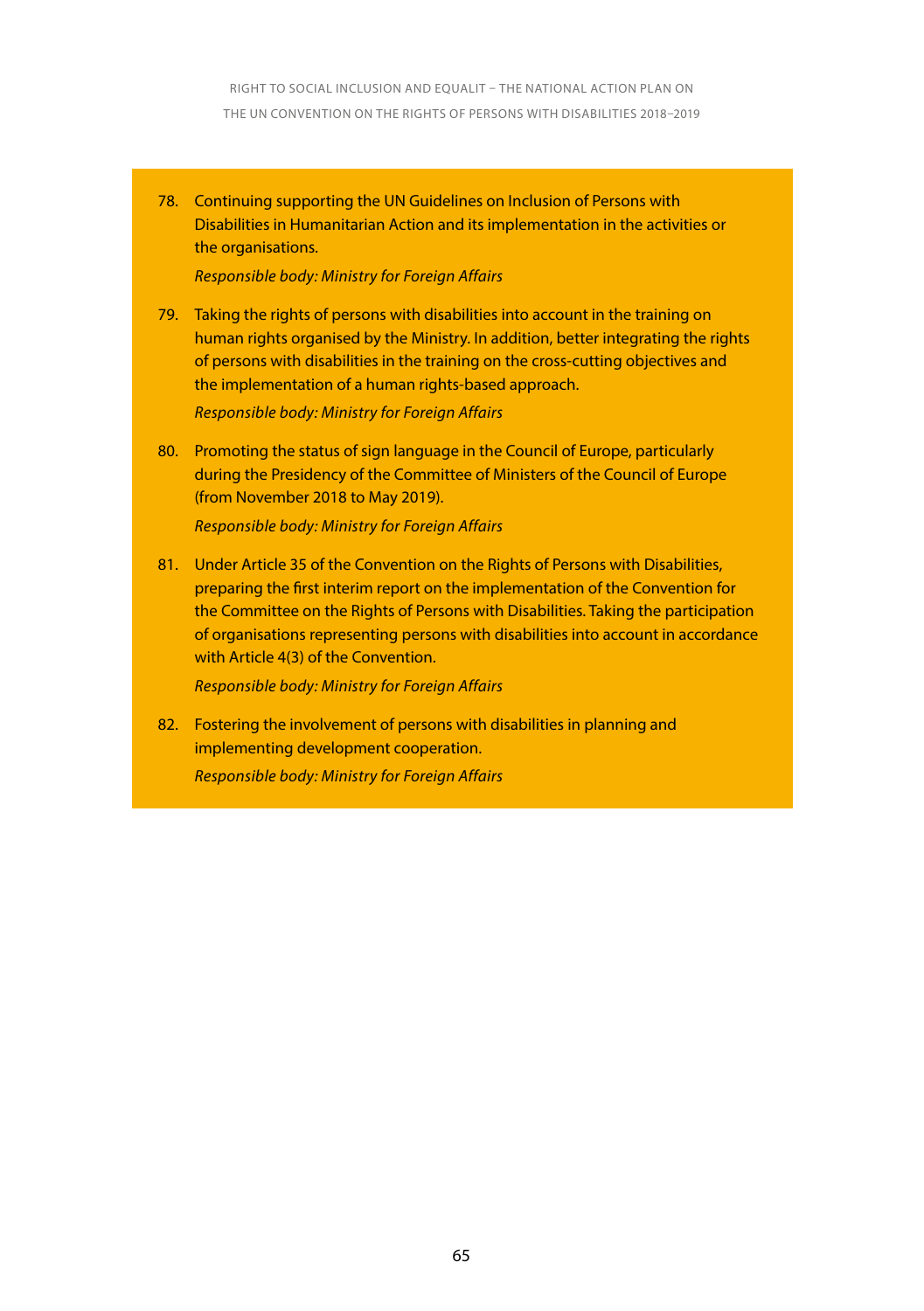78. Continuing supporting the UN Guidelines on Inclusion of Persons with Disabilities in Humanitarian Action and its implementation in the activities or the organisations.

*Responsible body: Ministry for Foreign Affairs*

- 79. Taking the rights of persons with disabilities into account in the training on human rights organised by the Ministry. In addition, better integrating the rights of persons with disabilities in the training on the cross-cutting objectives and the implementation of a human rights-based approach. *Responsible body: Ministry for Foreign Affairs*
- 80. Promoting the status of sign language in the Council of Europe, particularly during the Presidency of the Committee of Ministers of the Council of Europe (from November 2018 to May 2019).

*Responsible body: Ministry for Foreign Affairs*

81. Under Article 35 of the Convention on the Rights of Persons with Disabilities, preparing the first interim report on the implementation of the Convention for the Committee on the Rights of Persons with Disabilities. Taking the participation of organisations representing persons with disabilities into account in accordance with Article 4(3) of the Convention.

*Responsible body: Ministry for Foreign Affairs*

82. Fostering the involvement of persons with disabilities in planning and implementing development cooperation. *Responsible body: Ministry for Foreign Affairs*

65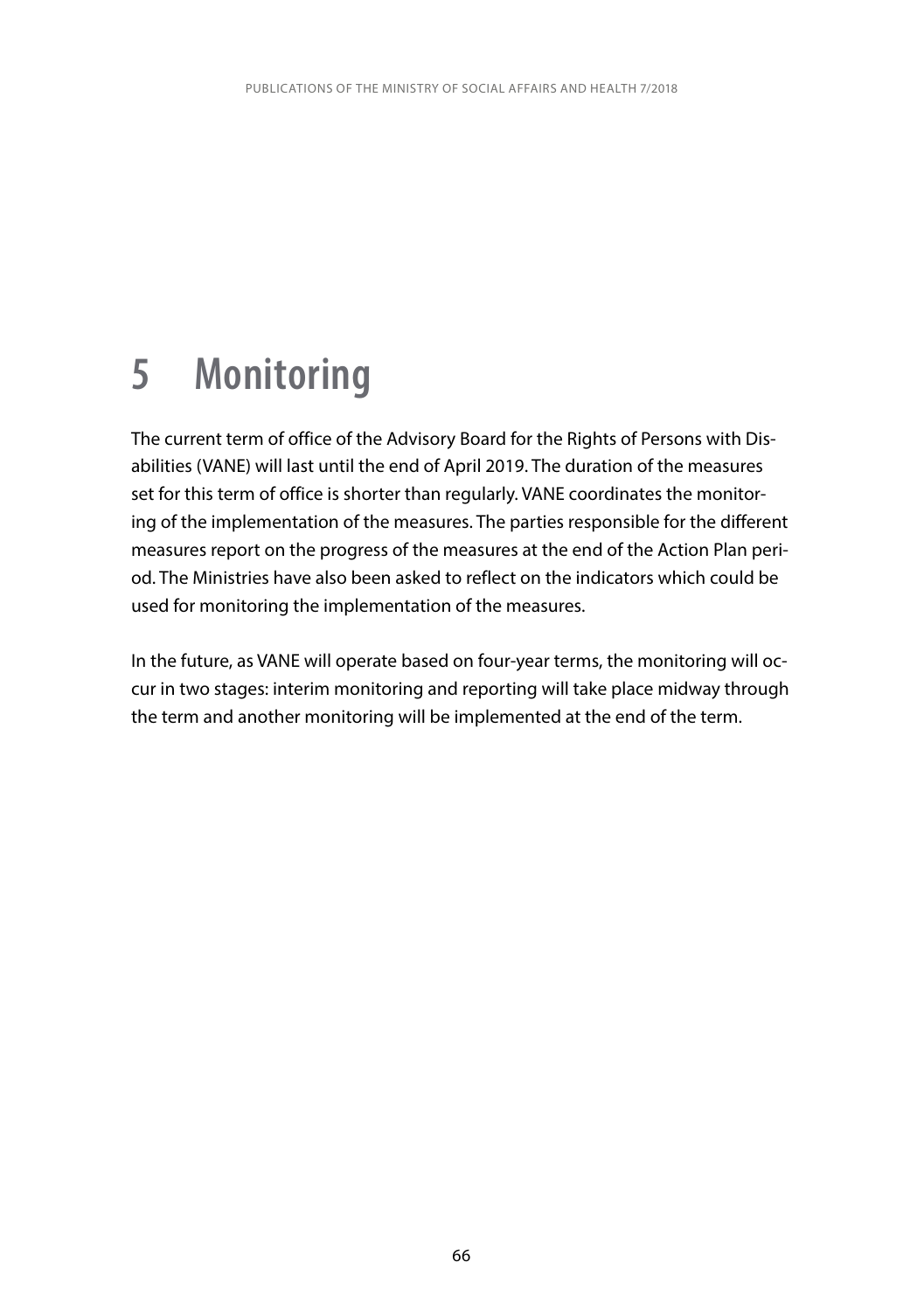# **5 Monitoring**

The current term of office of the Advisory Board for the Rights of Persons with Disabilities (VANE) will last until the end of April 2019. The duration of the measures set for this term of office is shorter than regularly. VANE coordinates the monitoring of the implementation of the measures. The parties responsible for the different measures report on the progress of the measures at the end of the Action Plan period. The Ministries have also been asked to reflect on the indicators which could be used for monitoring the implementation of the measures.

In the future, as VANE will operate based on four-year terms, the monitoring will occur in two stages: interim monitoring and reporting will take place midway through the term and another monitoring will be implemented at the end of the term.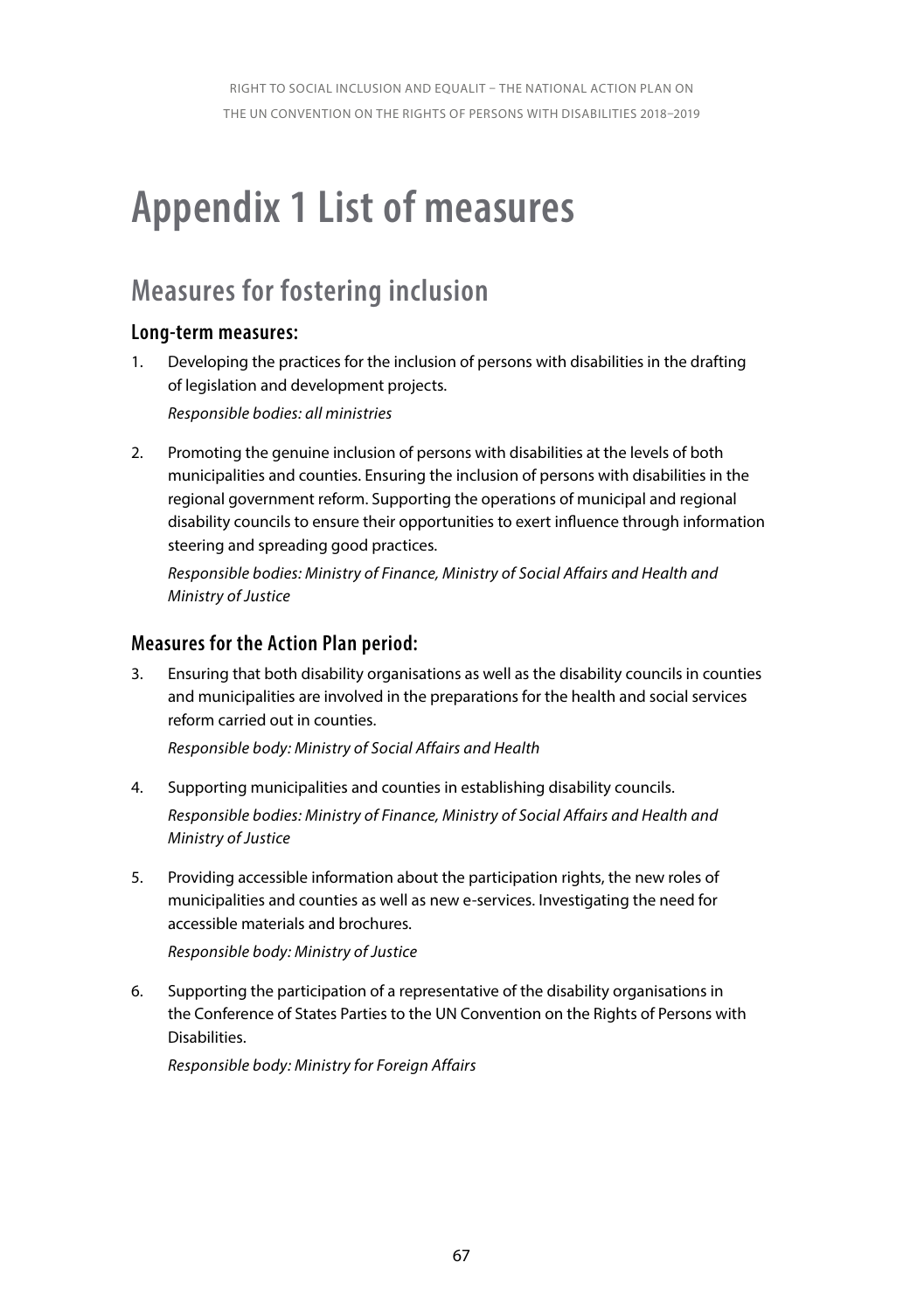# **Appendix 1 List of measures**

# **Measures for fostering inclusion**

#### **Long-term measures:**

- 1. Developing the practices for the inclusion of persons with disabilities in the drafting of legislation and development projects. *Responsible bodies: all ministries*
- 2. Promoting the genuine inclusion of persons with disabilities at the levels of both municipalities and counties. Ensuring the inclusion of persons with disabilities in the regional government reform. Supporting the operations of municipal and regional disability councils to ensure their opportunities to exert influence through information steering and spreading good practices.

*Responsible bodies: Ministry of Finance, Ministry of Social Affairs and Health and Ministry of Justice*

## **Measures for the Action Plan period:**

3. Ensuring that both disability organisations as well as the disability councils in counties and municipalities are involved in the preparations for the health and social services reform carried out in counties.

*Responsible body: Ministry of Social Affairs and Health*

- 4. Supporting municipalities and counties in establishing disability councils. *Responsible bodies: Ministry of Finance, Ministry of Social Affairs and Health and Ministry of Justice*
- 5. Providing accessible information about the participation rights, the new roles of municipalities and counties as well as new e-services. Investigating the need for accessible materials and brochures. *Responsible body: Ministry of Justice*
- 6. Supporting the participation of a representative of the disability organisations in the Conference of States Parties to the UN Convention on the Rights of Persons with Disabilities.

*Responsible body: Ministry for Foreign Affairs*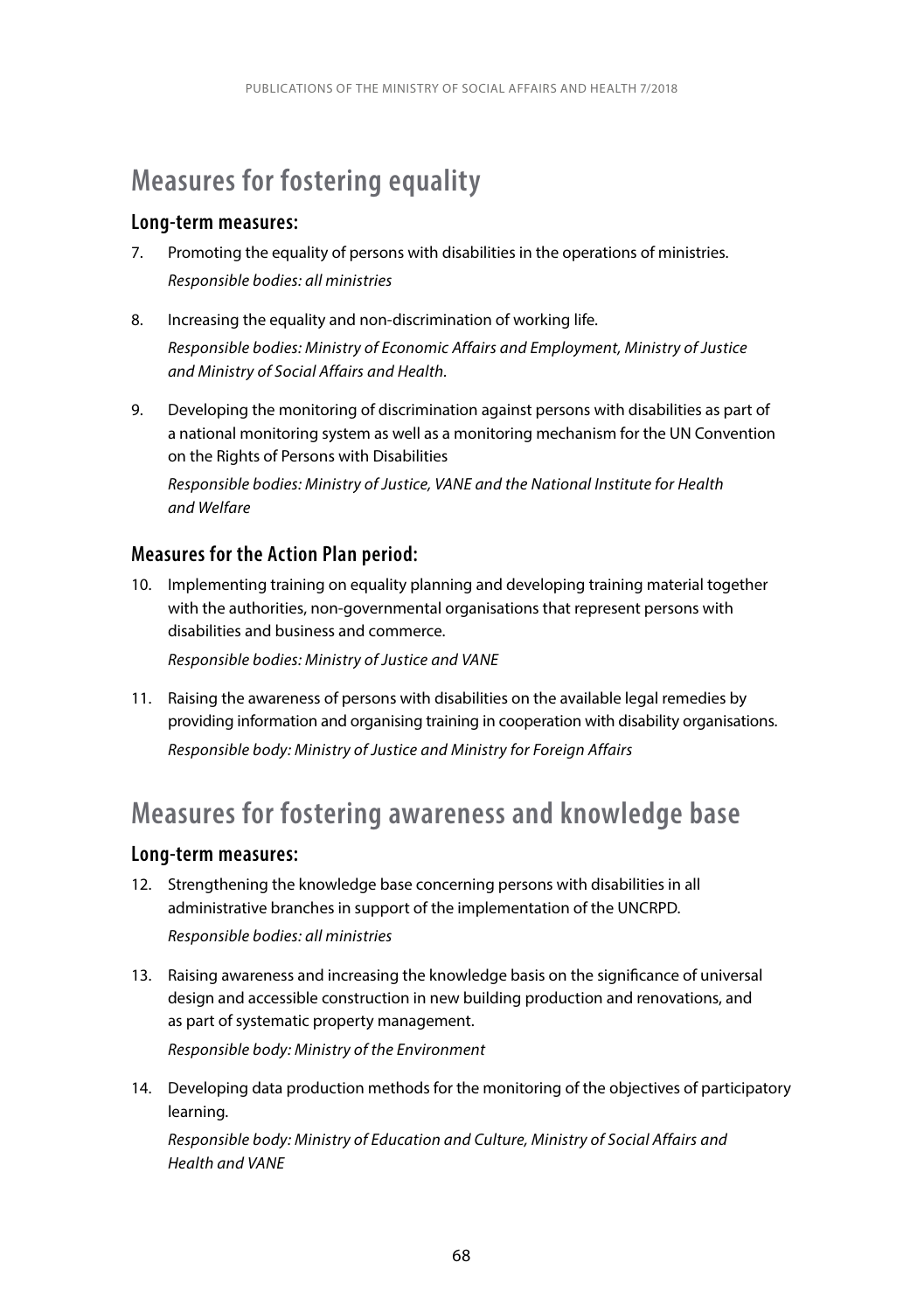# **Measures for fostering equality**

#### **Long-term measures:**

- 7. Promoting the equality of persons with disabilities in the operations of ministries. *Responsible bodies: all ministries*
- 8. Increasing the equality and non-discrimination of working life. *Responsible bodies: Ministry of Economic Affairs and Employment, Ministry of Justice and Ministry of Social Affairs and Health.*
- 9. Developing the monitoring of discrimination against persons with disabilities as part of a national monitoring system as well as a monitoring mechanism for the UN Convention on the Rights of Persons with Disabilities

*Responsible bodies: Ministry of Justice, VANE and the National Institute for Health and Welfare*

### **Measures for the Action Plan period:**

10. Implementing training on equality planning and developing training material together with the authorities, non-governmental organisations that represent persons with disabilities and business and commerce.

*Responsible bodies: Ministry of Justice and VANE*

11. Raising the awareness of persons with disabilities on the available legal remedies by providing information and organising training in cooperation with disability organisations. *Responsible body: Ministry of Justice and Ministry for Foreign Affairs*

# **Measures for fostering awareness and knowledge base**

#### **Long-term measures:**

- 12. Strengthening the knowledge base concerning persons with disabilities in all administrative branches in support of the implementation of the UNCRPD. *Responsible bodies: all ministries*
- 13. Raising awareness and increasing the knowledge basis on the significance of universal design and accessible construction in new building production and renovations, and as part of systematic property management.

*Responsible body: Ministry of the Environment*

14. Developing data production methods for the monitoring of the objectives of participatory learning.

*Responsible body: Ministry of Education and Culture, Ministry of Social Affairs and Health and VANE*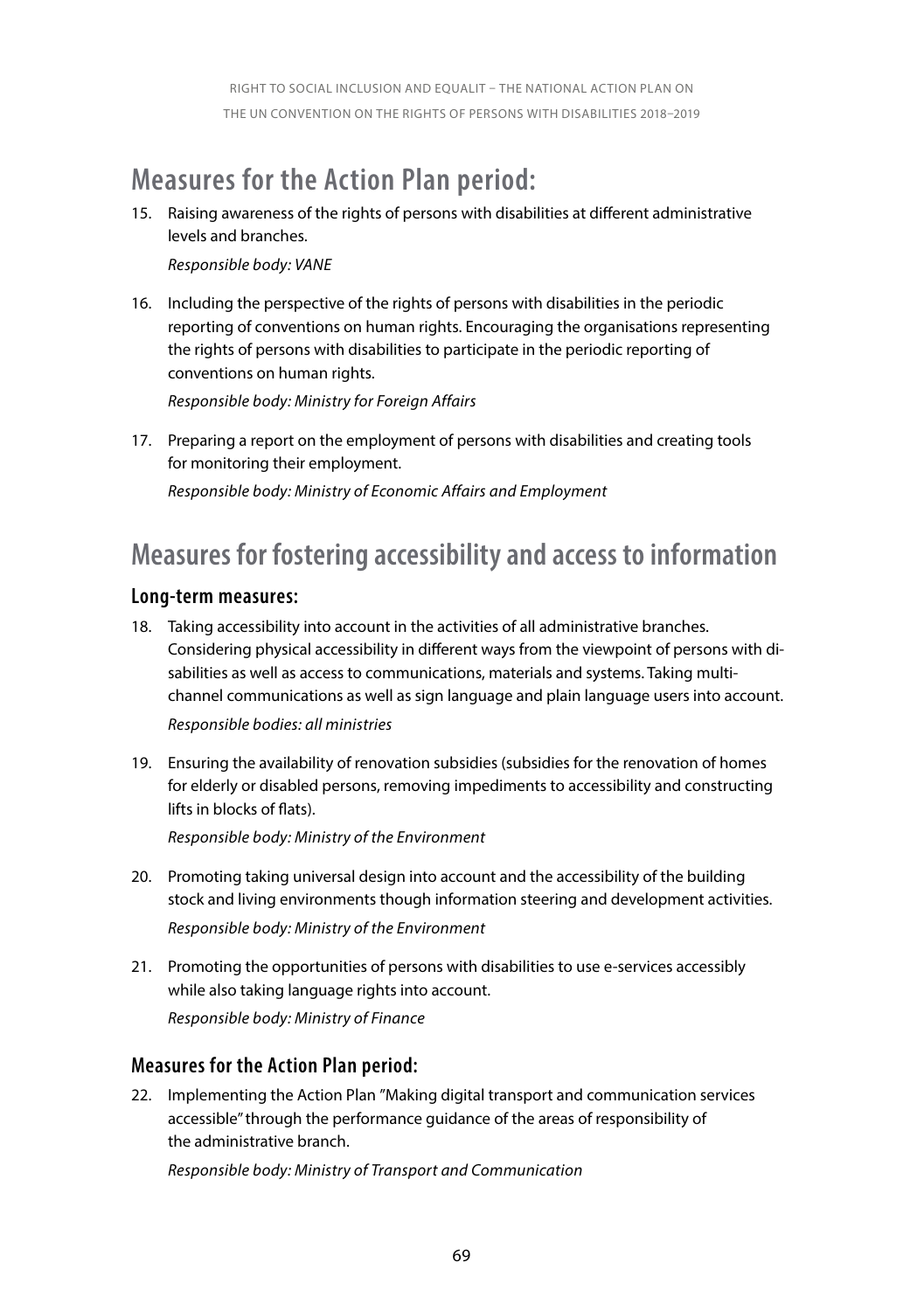# **Measures for the Action Plan period:**

15. Raising awareness of the rights of persons with disabilities at different administrative levels and branches.

*Responsible body: VANE* 

16. Including the perspective of the rights of persons with disabilities in the periodic reporting of conventions on human rights. Encouraging the organisations representing the rights of persons with disabilities to participate in the periodic reporting of conventions on human rights.

*Responsible body: Ministry for Foreign Affairs*

17. Preparing a report on the employment of persons with disabilities and creating tools for monitoring their employment. *Responsible body: Ministry of Economic Affairs and Employment*

# **Measures for fostering accessibility and access to information**

#### **Long-term measures:**

- 18. Taking accessibility into account in the activities of all administrative branches. Considering physical accessibility in different ways from the viewpoint of persons with disabilities as well as access to communications, materials and systems. Taking multichannel communications as well as sign language and plain language users into account. *Responsible bodies: all ministries*
- 19. Ensuring the availability of renovation subsidies (subsidies for the renovation of homes for elderly or disabled persons, removing impediments to accessibility and constructing lifts in blocks of flats).

*Responsible body: Ministry of the Environment*

- 20. Promoting taking universal design into account and the accessibility of the building stock and living environments though information steering and development activities. *Responsible body: Ministry of the Environment*
- 21. Promoting the opportunities of persons with disabilities to use e-services accessibly while also taking language rights into account. *Responsible body: Ministry of Finance*

### **Measures for the Action Plan period:**

22. Implementing the Action Plan "Making digital transport and communication services accessible" through the performance guidance of the areas of responsibility of the administrative branch.

*Responsible body: Ministry of Transport and Communication*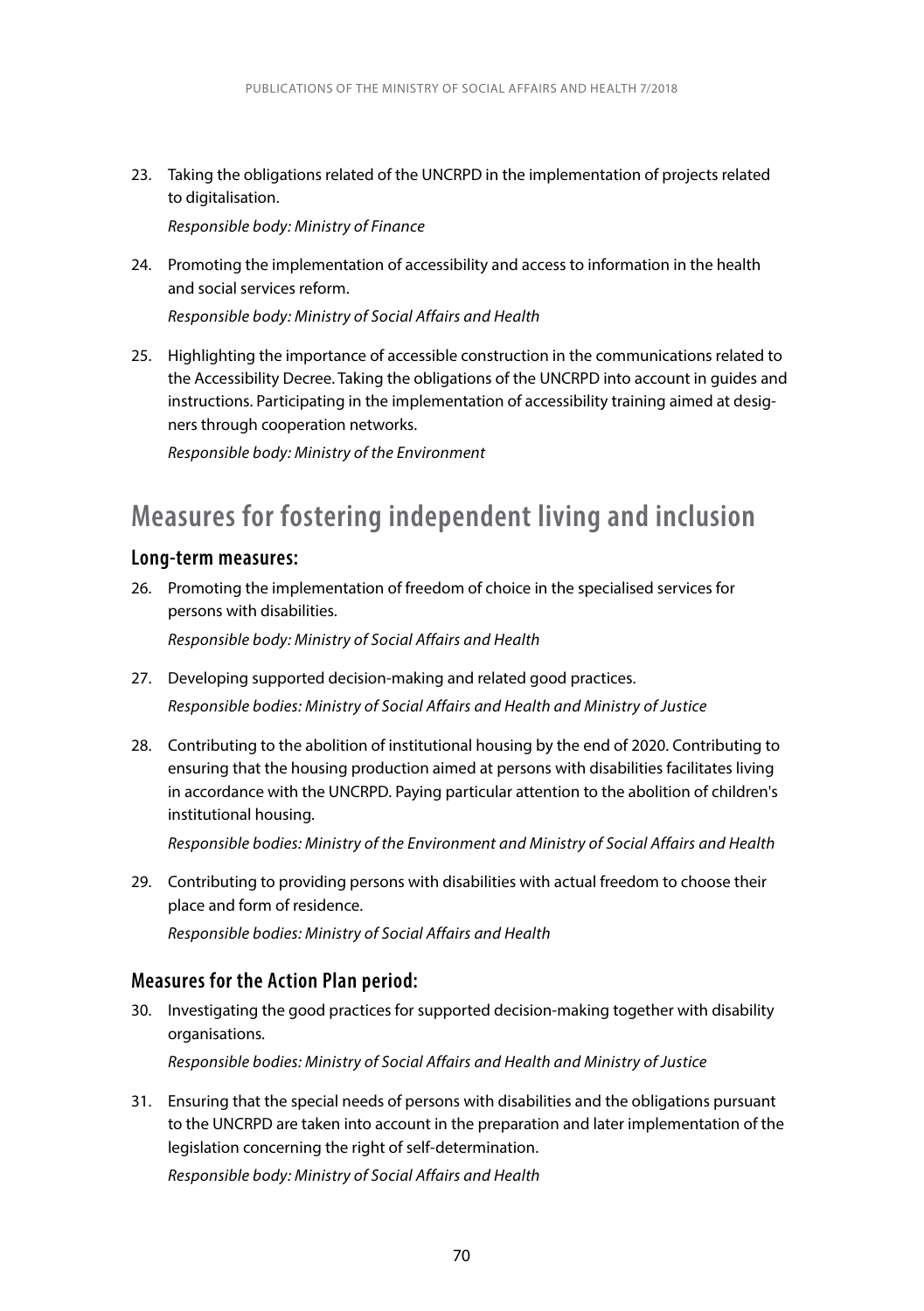23. Taking the obligations related of the UNCRPD in the implementation of projects related to digitalisation.

*Responsible body: Ministry of Finance*

24. Promoting the implementation of accessibility and access to information in the health and social services reform.

*Responsible body: Ministry of Social Affairs and Health* 

25. Highlighting the importance of accessible construction in the communications related to the Accessibility Decree. Taking the obligations of the UNCRPD into account in guides and instructions. Participating in the implementation of accessibility training aimed at designers through cooperation networks.

*Responsible body: Ministry of the Environment*

## **Measures for fostering independent living and inclusion**

#### **Long-term measures:**

26. Promoting the implementation of freedom of choice in the specialised services for persons with disabilities.

*Responsible body: Ministry of Social Affairs and Health*

- 27. Developing supported decision-making and related good practices. *Responsible bodies: Ministry of Social Affairs and Health and Ministry of Justice*
- 28. Contributing to the abolition of institutional housing by the end of 2020. Contributing to ensuring that the housing production aimed at persons with disabilities facilitates living in accordance with the UNCRPD. Paying particular attention to the abolition of children's institutional housing.

*Responsible bodies: Ministry of the Environment and Ministry of Social Affairs and Health*

29. Contributing to providing persons with disabilities with actual freedom to choose their place and form of residence.

*Responsible bodies: Ministry of Social Affairs and Health*

#### **Measures for the Action Plan period:**

30. Investigating the good practices for supported decision-making together with disability organisations. *Responsible bodies: Ministry of Social Affairs and Health and Ministry of Justice* 

31. Ensuring that the special needs of persons with disabilities and the obligations pursuant to the UNCRPD are taken into account in the preparation and later implementation of the legislation concerning the right of self-determination.

*Responsible body: Ministry of Social Affairs and Health*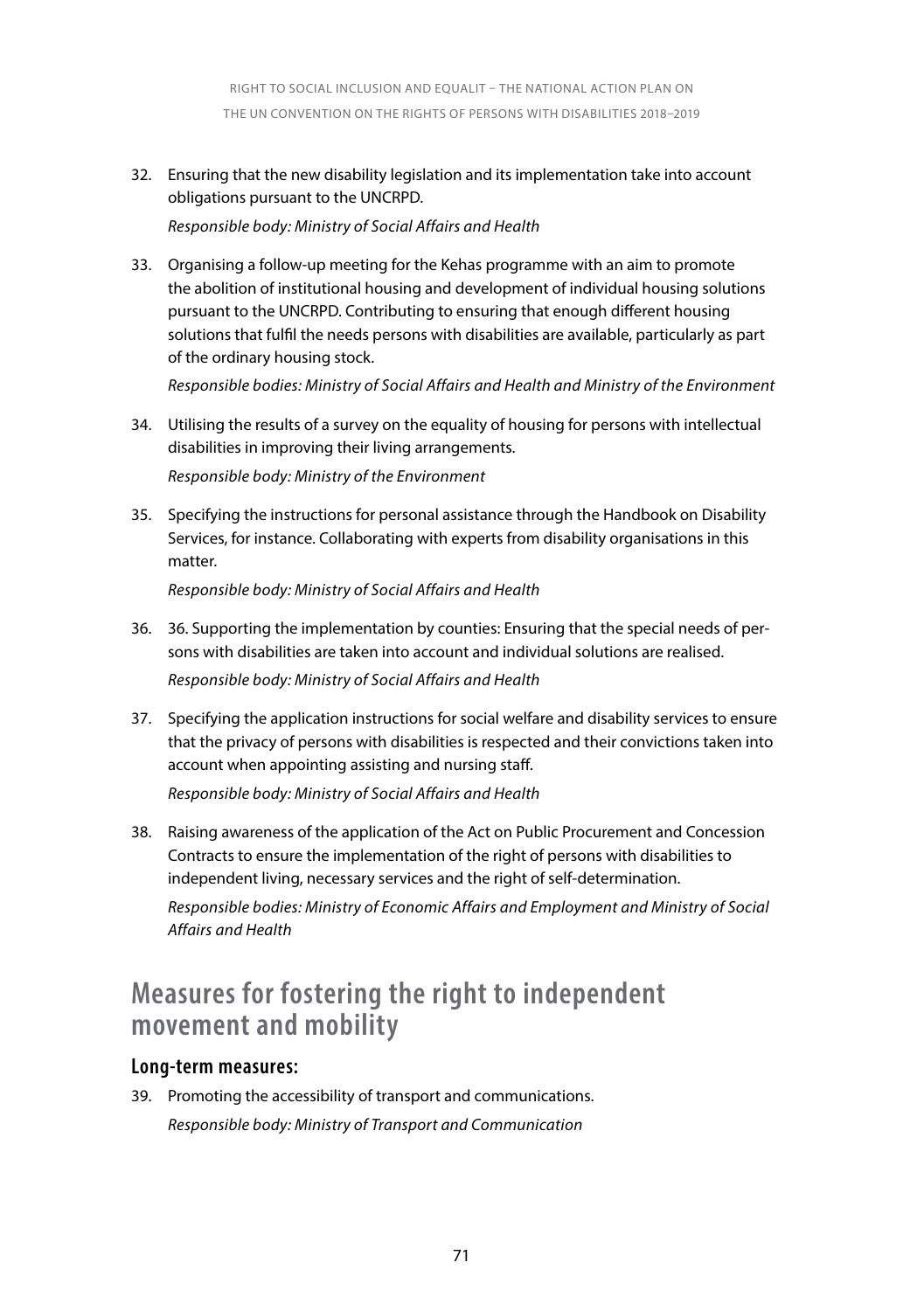32. Ensuring that the new disability legislation and its implementation take into account obligations pursuant to the UNCRPD.

*Responsible body: Ministry of Social Affairs and Health*

33. Organising a follow-up meeting for the Kehas programme with an aim to promote the abolition of institutional housing and development of individual housing solutions pursuant to the UNCRPD. Contributing to ensuring that enough different housing solutions that fulfil the needs persons with disabilities are available, particularly as part of the ordinary housing stock.

*Responsible bodies: Ministry of Social Affairs and Health and Ministry of the Environment*

- 34. Utilising the results of a survey on the equality of housing for persons with intellectual disabilities in improving their living arrangements. *Responsible body: Ministry of the Environment*
- 35. Specifying the instructions for personal assistance through the Handbook on Disability Services, for instance. Collaborating with experts from disability organisations in this matter.

*Responsible body: Ministry of Social Affairs and Health*

- 36. 36. Supporting the implementation by counties: Ensuring that the special needs of persons with disabilities are taken into account and individual solutions are realised. *Responsible body: Ministry of Social Affairs and Health*
- 37. Specifying the application instructions for social welfare and disability services to ensure that the privacy of persons with disabilities is respected and their convictions taken into account when appointing assisting and nursing staff. *Responsible body: Ministry of Social Affairs and Health*
- 38. Raising awareness of the application of the Act on Public Procurement and Concession Contracts to ensure the implementation of the right of persons with disabilities to independent living, necessary services and the right of self-determination.

*Responsible bodies: Ministry of Economic Affairs and Employment and Ministry of Social Affairs and Health*

# **Measures for fostering the right to independent movement and mobility**

### **Long-term measures:**

39. Promoting the accessibility of transport and communications. *Responsible body: Ministry of Transport and Communication*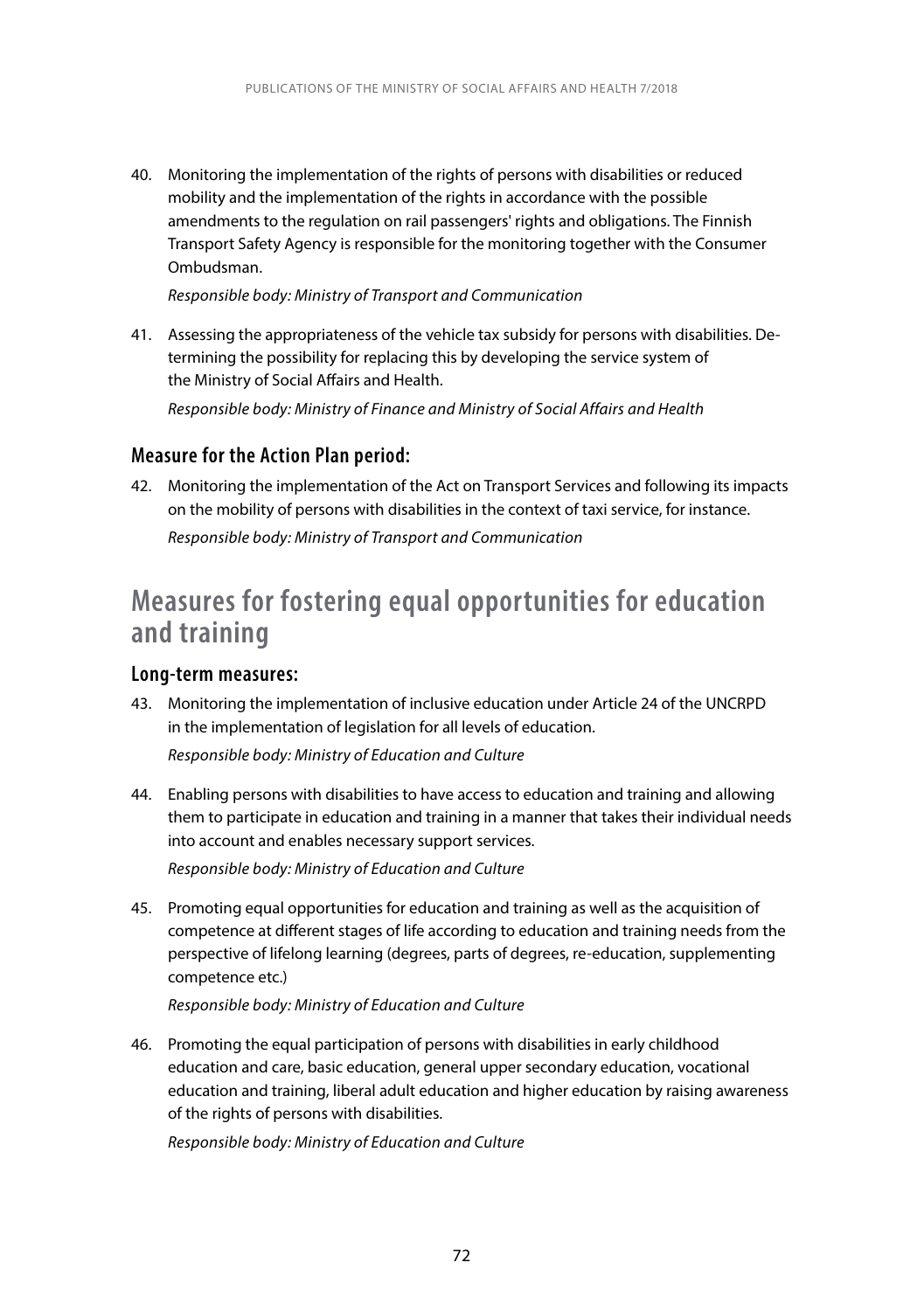40. Monitoring the implementation of the rights of persons with disabilities or reduced mobility and the implementation of the rights in accordance with the possible amendments to the regulation on rail passengers' rights and obligations. The Finnish Transport Safety Agency is responsible for the monitoring together with the Consumer Ombudsman.

*Responsible body: Ministry of Transport and Communication*

41. Assessing the appropriateness of the vehicle tax subsidy for persons with disabilities. Determining the possibility for replacing this by developing the service system of the Ministry of Social Affairs and Health.

*Responsible body: Ministry of Finance and Ministry of Social Affairs and Health*

#### **Measure for the Action Plan period:**

42. Monitoring the implementation of the Act on Transport Services and following its impacts on the mobility of persons with disabilities in the context of taxi service, for instance. *Responsible body: Ministry of Transport and Communication*

### **Measures for fostering equal opportunities for education and training**

#### **Long-term measures:**

43. Monitoring the implementation of inclusive education under Article 24 of the UNCRPD in the implementation of legislation for all levels of education.

*Responsible body: Ministry of Education and Culture*

- 44. Enabling persons with disabilities to have access to education and training and allowing them to participate in education and training in a manner that takes their individual needs into account and enables necessary support services. *Responsible body: Ministry of Education and Culture*
- 45. Promoting equal opportunities for education and training as well as the acquisition of competence at different stages of life according to education and training needs from the perspective of lifelong learning (degrees, parts of degrees, re-education, supplementing competence etc.)

*Responsible body: Ministry of Education and Culture*

46. Promoting the equal participation of persons with disabilities in early childhood education and care, basic education, general upper secondary education, vocational education and training, liberal adult education and higher education by raising awareness of the rights of persons with disabilities.

*Responsible body: Ministry of Education and Culture*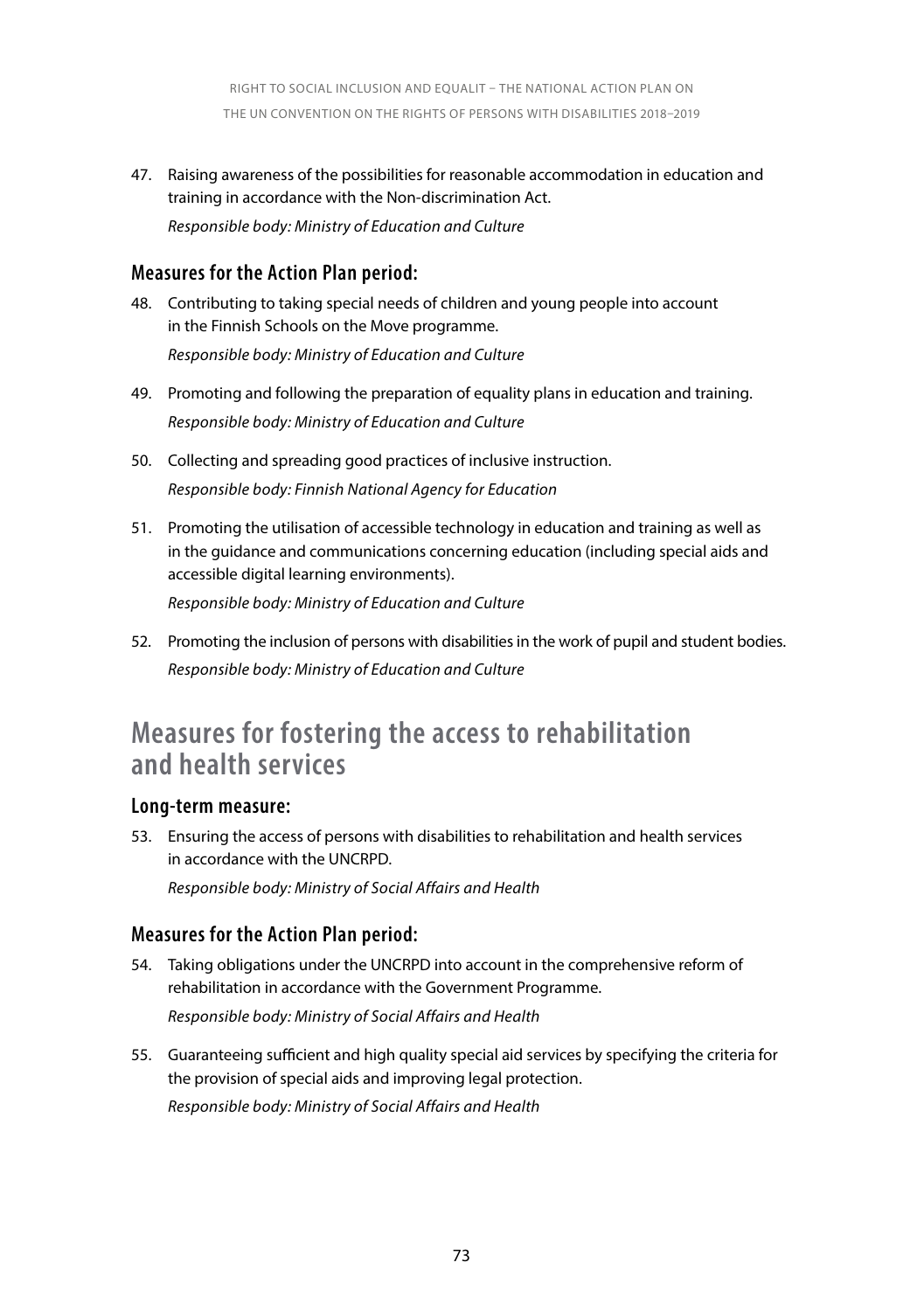47. Raising awareness of the possibilities for reasonable accommodation in education and training in accordance with the Non-discrimination Act. *Responsible body: Ministry of Education and Culture*

### **Measures for the Action Plan period:**

- 48. Contributing to taking special needs of children and young people into account in the Finnish Schools on the Move programme. *Responsible body: Ministry of Education and Culture*
- 49. Promoting and following the preparation of equality plans in education and training. *Responsible body: Ministry of Education and Culture*
- 50. Collecting and spreading good practices of inclusive instruction. *Responsible body: Finnish National Agency for Education*
- 51. Promoting the utilisation of accessible technology in education and training as well as in the guidance and communications concerning education (including special aids and accessible digital learning environments).

*Responsible body: Ministry of Education and Culture*

52. Promoting the inclusion of persons with disabilities in the work of pupil and student bodies. *Responsible body: Ministry of Education and Culture*

# **Measures for fostering the access to rehabilitation and health services**

### **Long-term measure:**

53. Ensuring the access of persons with disabilities to rehabilitation and health services in accordance with the UNCRPD.

*Responsible body: Ministry of Social Affairs and Health*

### **Measures for the Action Plan period:**

54. Taking obligations under the UNCRPD into account in the comprehensive reform of rehabilitation in accordance with the Government Programme.

*Responsible body: Ministry of Social Affairs and Health*

55. Guaranteeing sufficient and high quality special aid services by specifying the criteria for the provision of special aids and improving legal protection. *Responsible body: Ministry of Social Affairs and Health*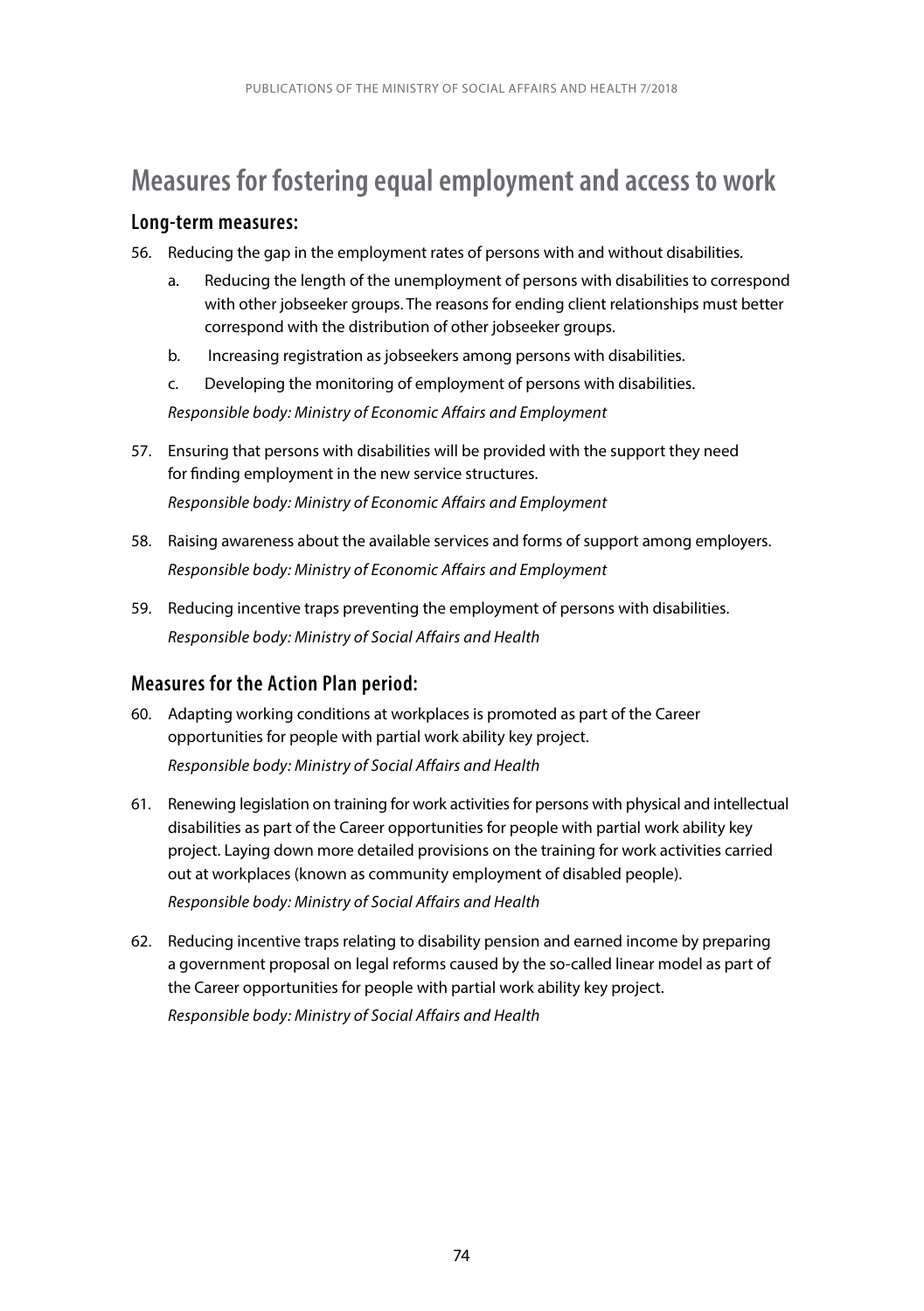# **Measures for fostering equal employment and access to work**

#### **Long-term measures:**

- 56. Reducing the gap in the employment rates of persons with and without disabilities.
	- a. Reducing the length of the unemployment of persons with disabilities to correspond with other jobseeker groups. The reasons for ending client relationships must better correspond with the distribution of other jobseeker groups.
	- b. Increasing registration as jobseekers among persons with disabilities.
	- c. Developing the monitoring of employment of persons with disabilities.

*Responsible body: Ministry of Economic Affairs and Employment*

- 57. Ensuring that persons with disabilities will be provided with the support they need for finding employment in the new service structures. *Responsible body: Ministry of Economic Affairs and Employment*
- 58. Raising awareness about the available services and forms of support among employers. *Responsible body: Ministry of Economic Affairs and Employment*
- 59. Reducing incentive traps preventing the employment of persons with disabilities. *Responsible body: Ministry of Social Affairs and Health*

### **Measures for the Action Plan period:**

60. Adapting working conditions at workplaces is promoted as part of the Career opportunities for people with partial work ability key project.

*Responsible body: Ministry of Social Affairs and Health*

- 61. Renewing legislation on training for work activities for persons with physical and intellectual disabilities as part of the Career opportunities for people with partial work ability key project. Laying down more detailed provisions on the training for work activities carried out at workplaces (known as community employment of disabled people). *Responsible body: Ministry of Social Affairs and Health*
- 62. Reducing incentive traps relating to disability pension and earned income by preparing a government proposal on legal reforms caused by the so-called linear model as part of the Career opportunities for people with partial work ability key project. *Responsible body: Ministry of Social Affairs and Health*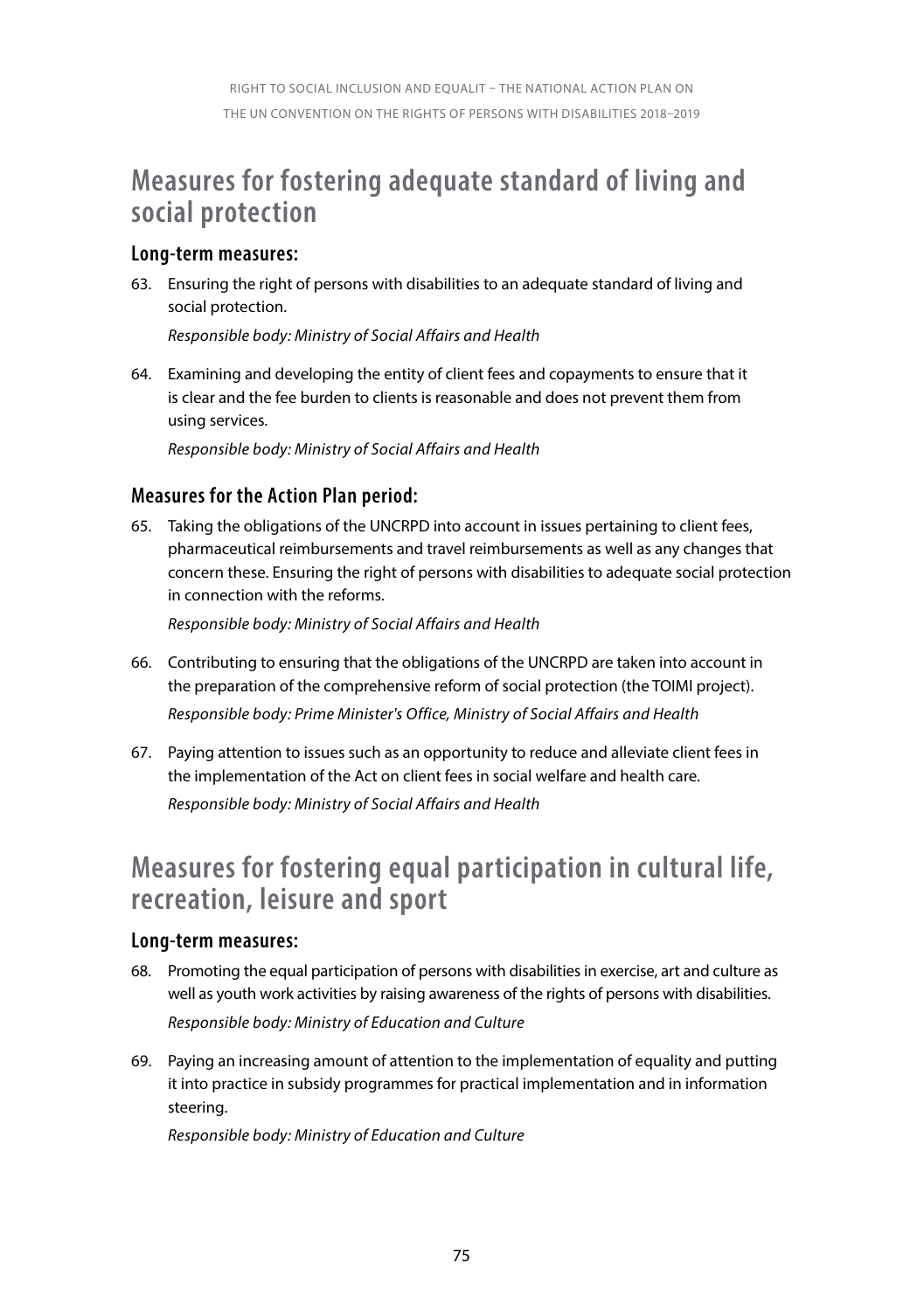# **Measures for fostering adequate standard of living and social protection**

### **Long-term measures:**

63. Ensuring the right of persons with disabilities to an adequate standard of living and social protection.

*Responsible body: Ministry of Social Affairs and Health*

64. Examining and developing the entity of client fees and copayments to ensure that it is clear and the fee burden to clients is reasonable and does not prevent them from using services.

*Responsible body: Ministry of Social Affairs and Health*

### **Measures for the Action Plan period:**

65. Taking the obligations of the UNCRPD into account in issues pertaining to client fees, pharmaceutical reimbursements and travel reimbursements as well as any changes that concern these. Ensuring the right of persons with disabilities to adequate social protection in connection with the reforms.

*Responsible body: Ministry of Social Affairs and Health*

- 66. Contributing to ensuring that the obligations of the UNCRPD are taken into account in the preparation of the comprehensive reform of social protection (the TOIMI project). *Responsible body: Prime Minister's Office, Ministry of Social Affairs and Health*
- 67. Paying attention to issues such as an opportunity to reduce and alleviate client fees in the implementation of the Act on client fees in social welfare and health care. *Responsible body: Ministry of Social Affairs and Health*

# **Measures for fostering equal participation in cultural life, recreation, leisure and sport**

### **Long-term measures:**

- 68. Promoting the equal participation of persons with disabilities in exercise, art and culture as well as youth work activities by raising awareness of the rights of persons with disabilities. *Responsible body: Ministry of Education and Culture*
- 69. Paying an increasing amount of attention to the implementation of equality and putting it into practice in subsidy programmes for practical implementation and in information steering.

*Responsible body: Ministry of Education and Culture*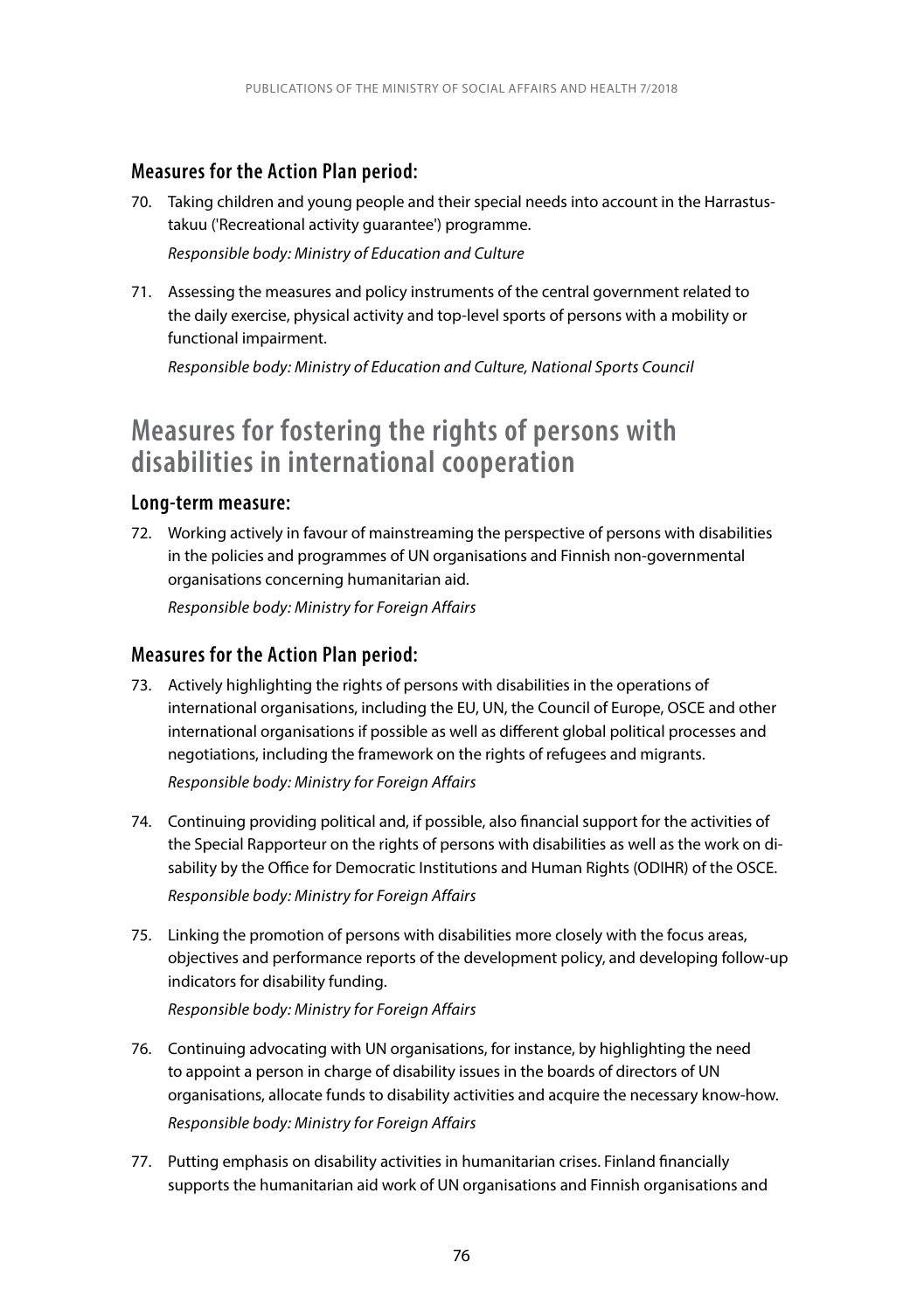### **Measures for the Action Plan period:**

70. Taking children and young people and their special needs into account in the Harrastustakuu ('Recreational activity guarantee') programme.

*Responsible body: Ministry of Education and Culture*

71. Assessing the measures and policy instruments of the central government related to the daily exercise, physical activity and top-level sports of persons with a mobility or functional impairment.

*Responsible body: Ministry of Education and Culture, National Sports Council*

### **Measures for fostering the rights of persons with disabilities in international cooperation**

#### **Long-term measure:**

72. Working actively in favour of mainstreaming the perspective of persons with disabilities in the policies and programmes of UN organisations and Finnish non-governmental organisations concerning humanitarian aid.

*Responsible body: Ministry for Foreign Affairs*

### **Measures for the Action Plan period:**

- 73. Actively highlighting the rights of persons with disabilities in the operations of international organisations, including the EU, UN, the Council of Europe, OSCE and other international organisations if possible as well as different global political processes and negotiations, including the framework on the rights of refugees and migrants. *Responsible body: Ministry for Foreign Affairs*
- 74. Continuing providing political and, if possible, also financial support for the activities of the Special Rapporteur on the rights of persons with disabilities as well as the work on disability by the Office for Democratic Institutions and Human Rights (ODIHR) of the OSCE. *Responsible body: Ministry for Foreign Affairs*
- 75. Linking the promotion of persons with disabilities more closely with the focus areas, objectives and performance reports of the development policy, and developing follow-up indicators for disability funding.

*Responsible body: Ministry for Foreign Affairs*

- 76. Continuing advocating with UN organisations, for instance, by highlighting the need to appoint a person in charge of disability issues in the boards of directors of UN organisations, allocate funds to disability activities and acquire the necessary know-how. *Responsible body: Ministry for Foreign Affairs*
- 77. Putting emphasis on disability activities in humanitarian crises. Finland financially supports the humanitarian aid work of UN organisations and Finnish organisations and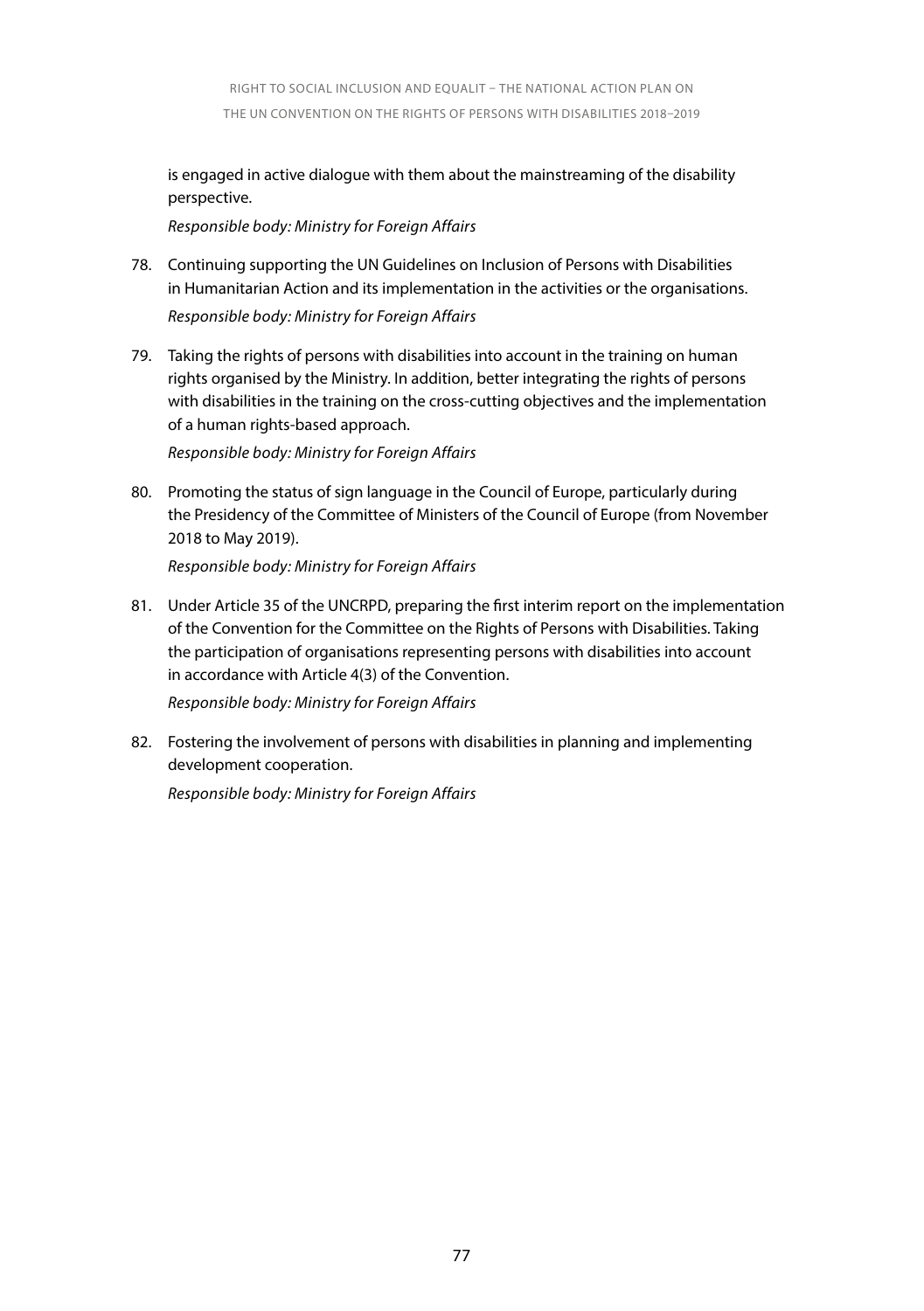is engaged in active dialogue with them about the mainstreaming of the disability perspective.

*Responsible body: Ministry for Foreign Affairs*

- 78. Continuing supporting the UN Guidelines on Inclusion of Persons with Disabilities in Humanitarian Action and its implementation in the activities or the organisations. *Responsible body: Ministry for Foreign Affairs*
- 79. Taking the rights of persons with disabilities into account in the training on human rights organised by the Ministry. In addition, better integrating the rights of persons with disabilities in the training on the cross-cutting objectives and the implementation of a human rights-based approach.

*Responsible body: Ministry for Foreign Affairs* 

80. Promoting the status of sign language in the Council of Europe, particularly during the Presidency of the Committee of Ministers of the Council of Europe (from November 2018 to May 2019).

*Responsible body: Ministry for Foreign Affairs*

81. Under Article 35 of the UNCRPD, preparing the first interim report on the implementation of the Convention for the Committee on the Rights of Persons with Disabilities. Taking the participation of organisations representing persons with disabilities into account in accordance with Article 4(3) of the Convention.

*Responsible body: Ministry for Foreign Affairs*

82. Fostering the involvement of persons with disabilities in planning and implementing development cooperation.

*Responsible body: Ministry for Foreign Affairs*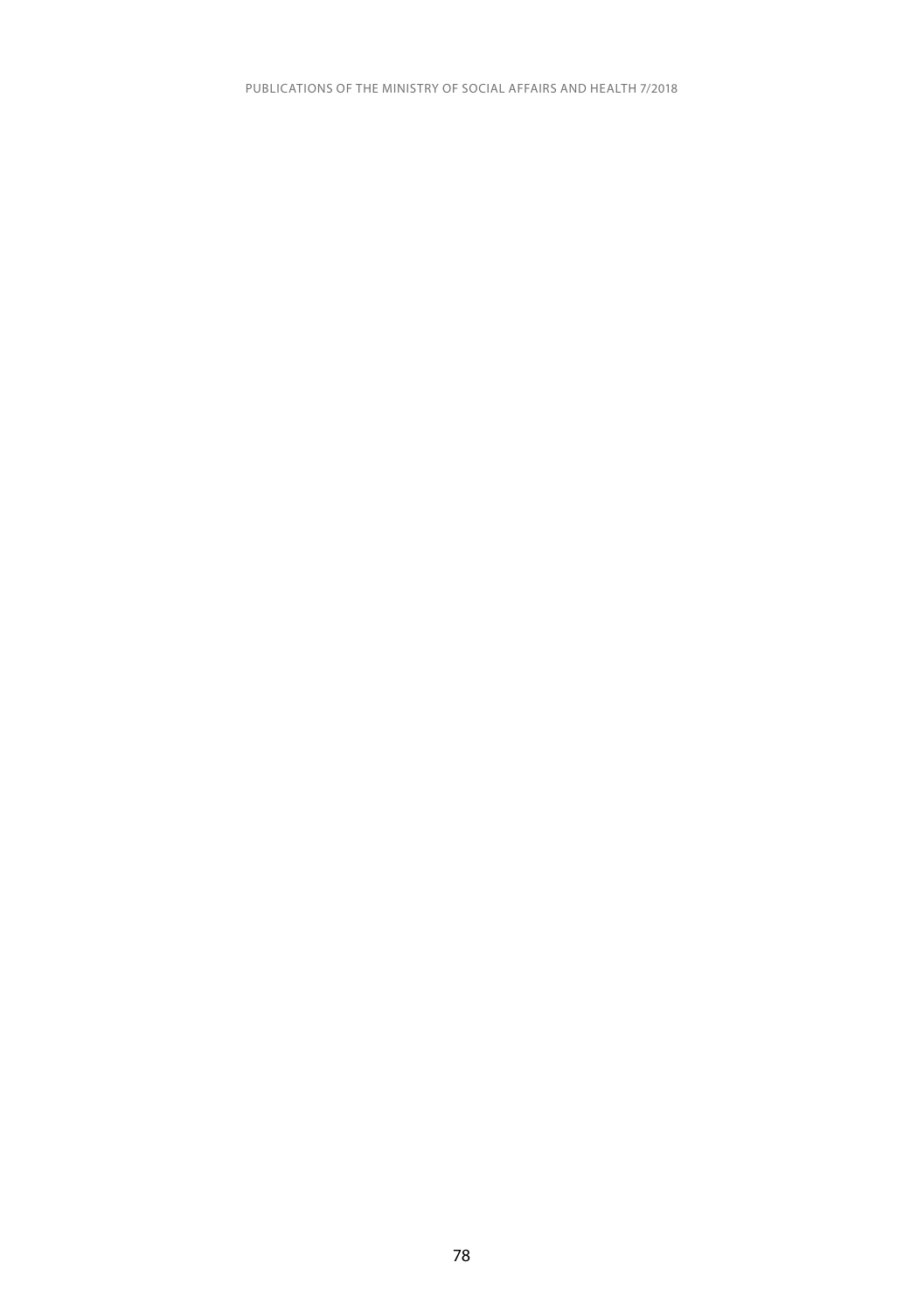#### PUBLICATIONS OF THE MINISTRY OF SOCIAL AFFAIRS AND HEALTH 7/2018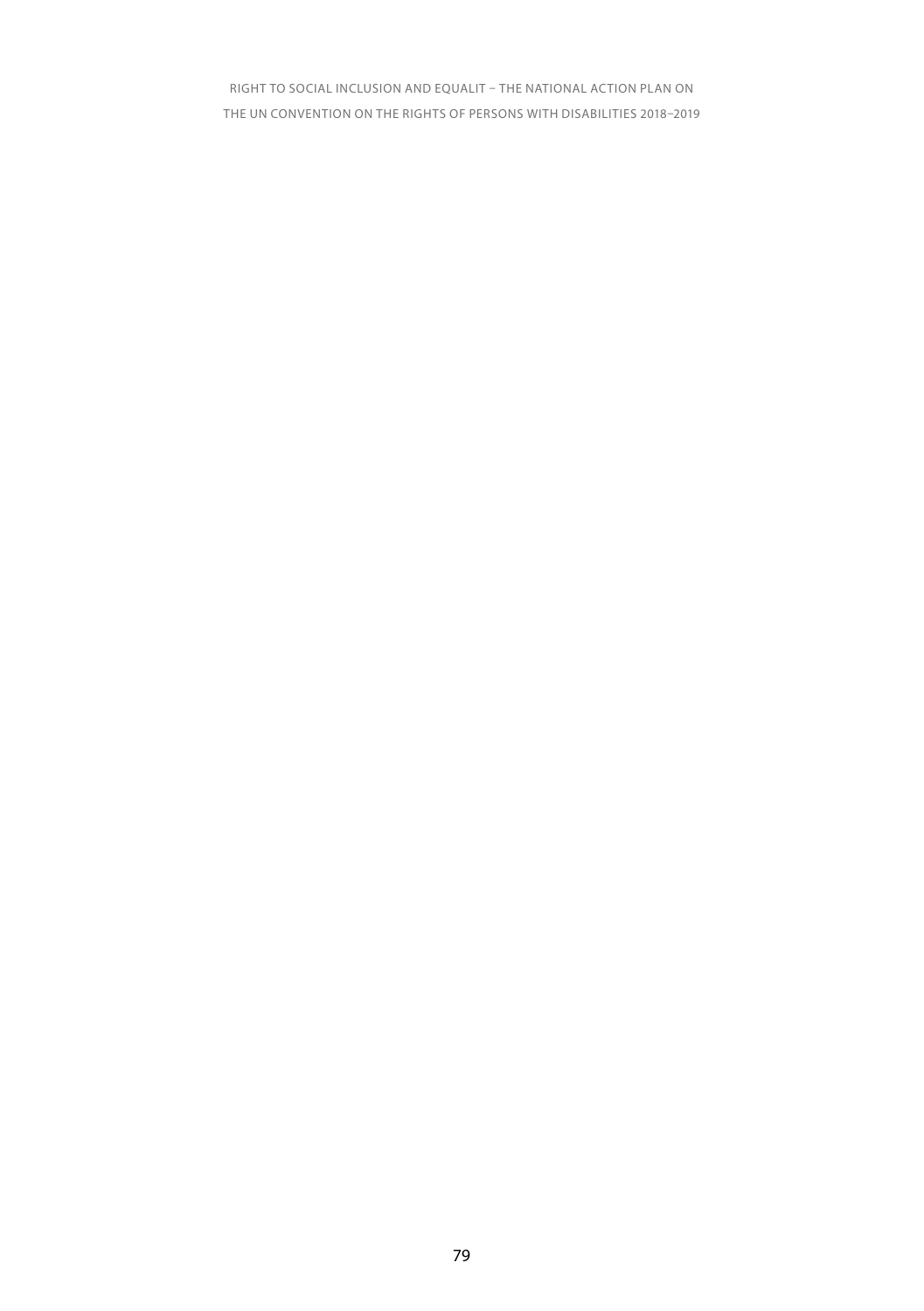RIGHT TO SOCIAL INCLUSION AND EQUALIT – THE NATIONAL ACTION PLAN ON THE UN CONVENTION ON THE RIGHTS OF PERSONS WITH DISABILITIES 2018–2019